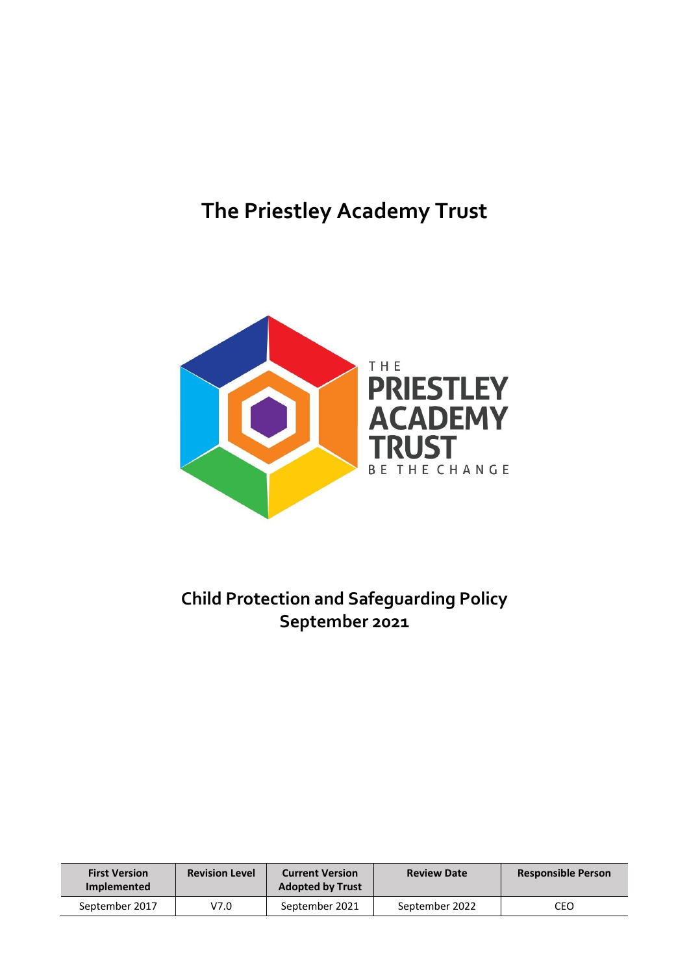# **The Priestley Academy Trust**



# **Child Protection and Safeguarding Policy September 2021**

| <b>First Version</b><br>Implemented | <b>Revision Level</b> | <b>Current Version</b><br><b>Adopted by Trust</b> | <b>Review Date</b> | <b>Responsible Person</b> |
|-------------------------------------|-----------------------|---------------------------------------------------|--------------------|---------------------------|
| September 2017                      | V7.0                  | September 2021                                    | September 2022     | CEO                       |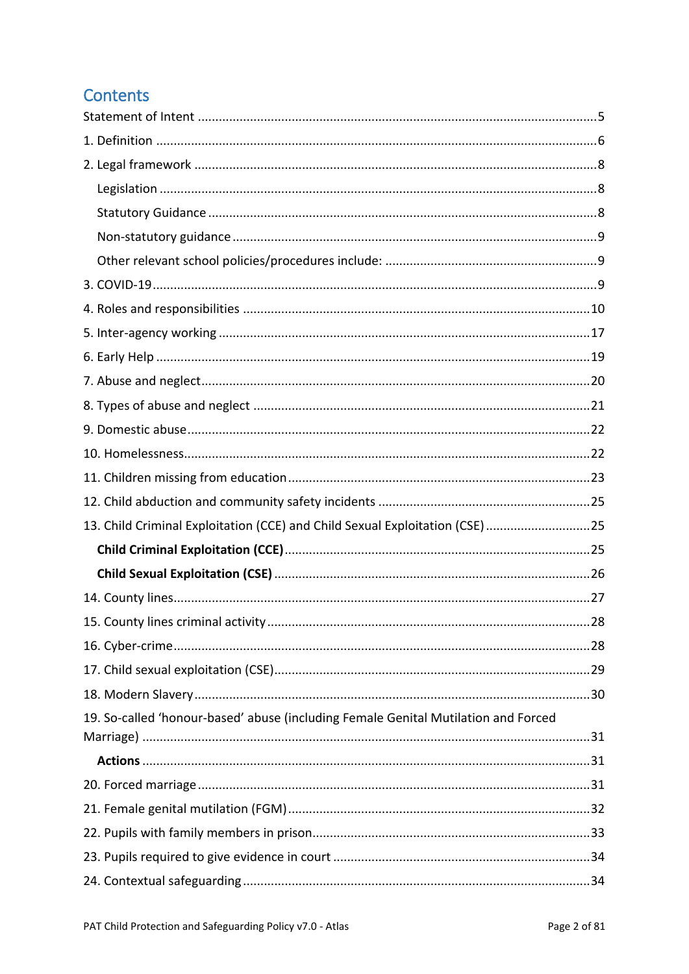# **Contents**

| 13. Child Criminal Exploitation (CCE) and Child Sexual Exploitation (CSE) 25       |    |
|------------------------------------------------------------------------------------|----|
|                                                                                    |    |
|                                                                                    |    |
|                                                                                    |    |
|                                                                                    | 28 |
|                                                                                    |    |
|                                                                                    |    |
|                                                                                    |    |
| 19. So-called 'honour-based' abuse (including Female Genital Mutilation and Forced |    |
|                                                                                    |    |
|                                                                                    |    |
|                                                                                    |    |
|                                                                                    |    |
|                                                                                    |    |
|                                                                                    |    |
|                                                                                    |    |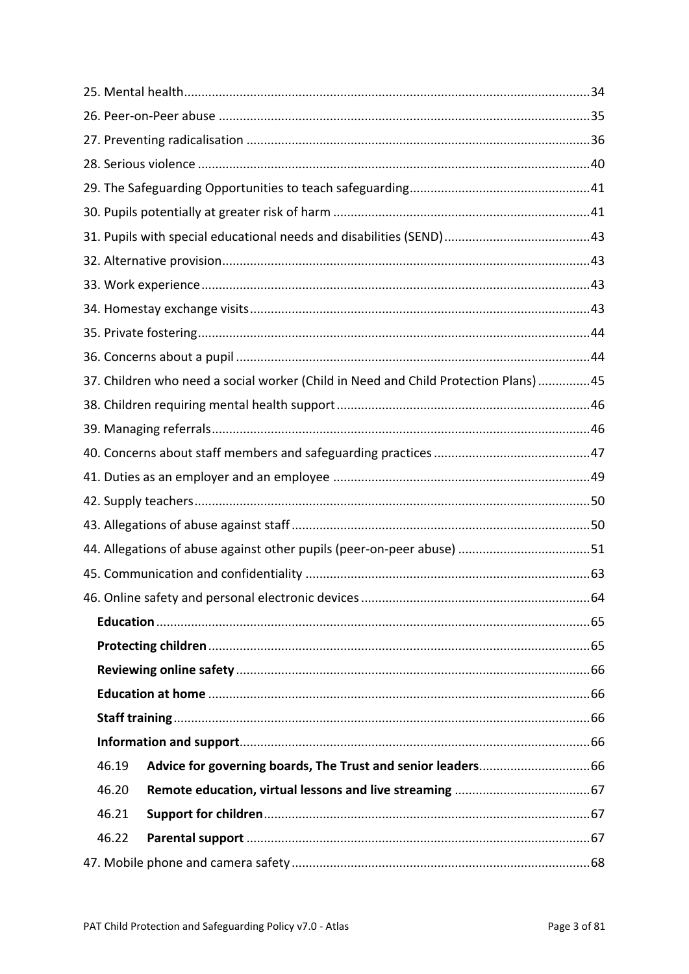|       | 37. Children who need a social worker (Child in Need and Child Protection Plans)45 |  |
|-------|------------------------------------------------------------------------------------|--|
|       |                                                                                    |  |
|       |                                                                                    |  |
|       |                                                                                    |  |
|       |                                                                                    |  |
|       |                                                                                    |  |
|       |                                                                                    |  |
|       |                                                                                    |  |
|       |                                                                                    |  |
|       |                                                                                    |  |
|       |                                                                                    |  |
|       |                                                                                    |  |
|       |                                                                                    |  |
|       |                                                                                    |  |
|       |                                                                                    |  |
|       |                                                                                    |  |
| 46.19 |                                                                                    |  |
| 46.20 |                                                                                    |  |
| 46.21 |                                                                                    |  |
| 46.22 |                                                                                    |  |
|       |                                                                                    |  |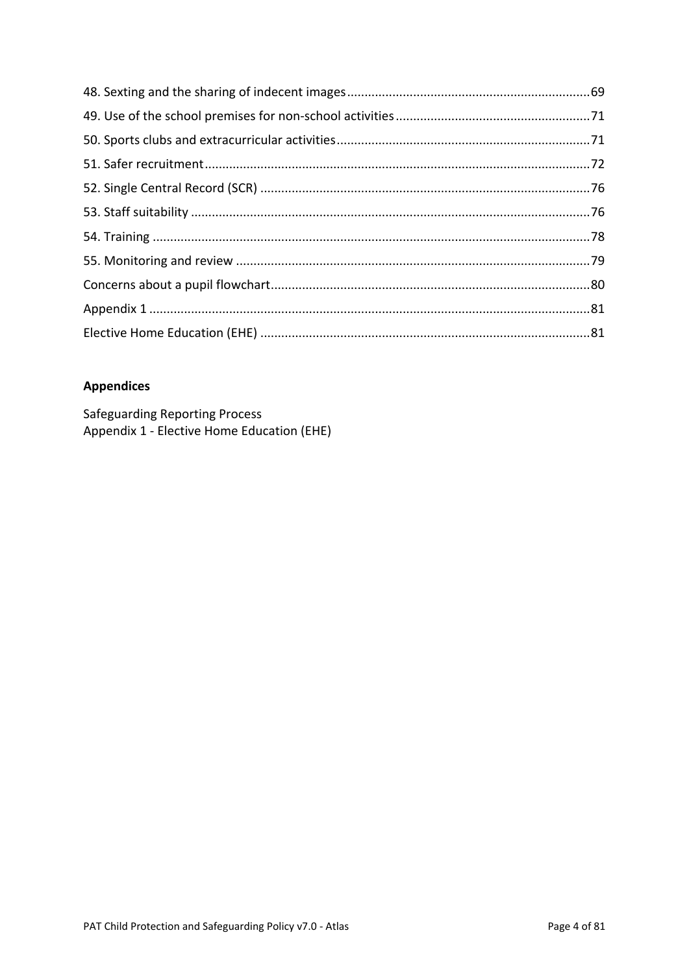### **Appendices**

**Safeguarding Reporting Process** Appendix 1 - Elective Home Education (EHE)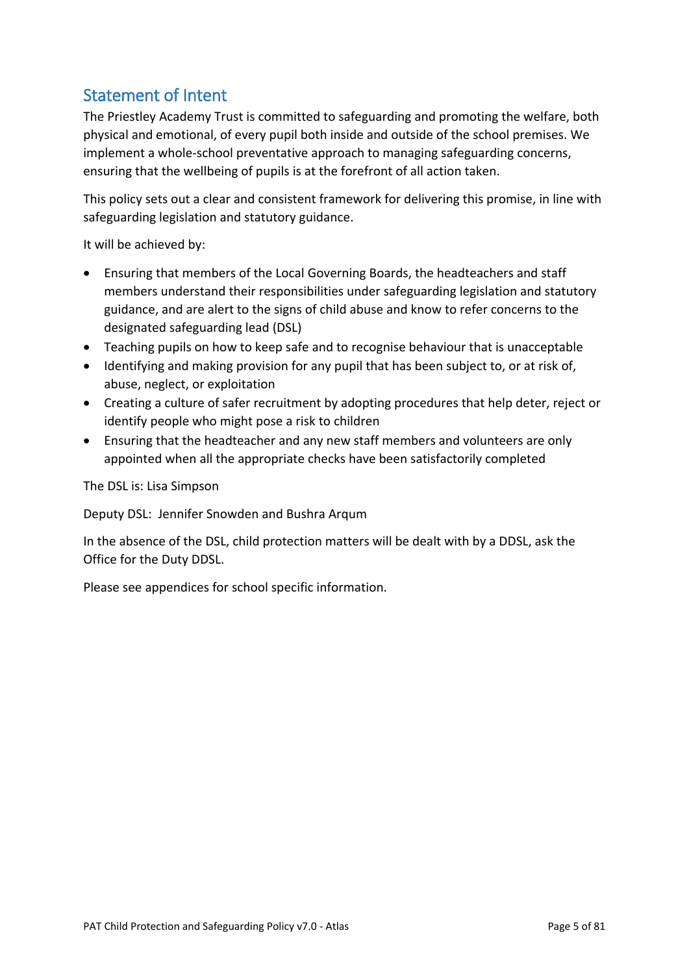# <span id="page-4-0"></span>Statement of Intent

The Priestley Academy Trust is committed to safeguarding and promoting the welfare, both physical and emotional, of every pupil both inside and outside of the school premises. We implement a whole-school preventative approach to managing safeguarding concerns, ensuring that the wellbeing of pupils is at the forefront of all action taken.

This policy sets out a clear and consistent framework for delivering this promise, in line with safeguarding legislation and statutory guidance.

It will be achieved by:

- Ensuring that members of the Local Governing Boards, the headteachers and staff members understand their responsibilities under safeguarding legislation and statutory guidance, and are alert to the signs of child abuse and know to refer concerns to the designated safeguarding lead (DSL)
- Teaching pupils on how to keep safe and to recognise behaviour that is unacceptable
- Identifying and making provision for any pupil that has been subject to, or at risk of, abuse, neglect, or exploitation
- Creating a culture of safer recruitment by adopting procedures that help deter, reject or identify people who might pose a risk to children
- Ensuring that the headteacher and any new staff members and volunteers are only appointed when all the appropriate checks have been satisfactorily completed

The DSL is: Lisa Simpson

Deputy DSL: Jennifer Snowden and Bushra Arqum

In the absence of the DSL, child protection matters will be dealt with by a DDSL, ask the Office for the Duty DDSL.

Please see appendices for school specific information.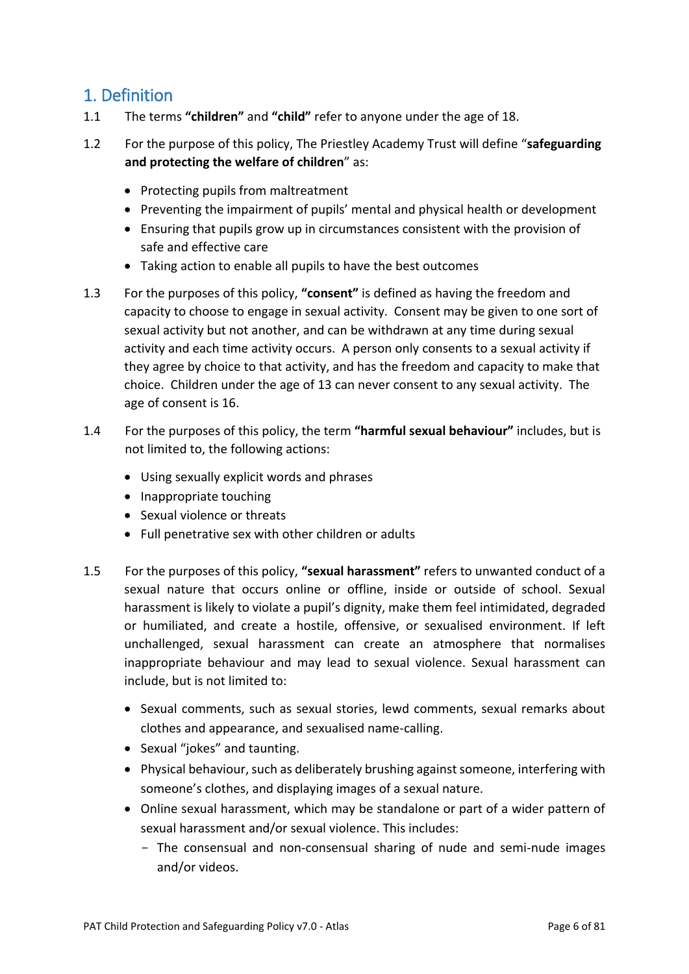### <span id="page-5-0"></span>1. Definition

- 1.1 The terms **"children"** and **"child"** refer to anyone under the age of 18.
- 1.2 For the purpose of this policy, The Priestley Academy Trust will define "**safeguarding and protecting the welfare of children**" as:
	- Protecting pupils from maltreatment
	- Preventing the impairment of pupils' mental and physical health or development
	- Ensuring that pupils grow up in circumstances consistent with the provision of safe and effective care
	- Taking action to enable all pupils to have the best outcomes
- 1.3 For the purposes of this policy, **"consent"** is defined as having the freedom and capacity to choose to engage in sexual activity. Consent may be given to one sort of sexual activity but not another, and can be withdrawn at any time during sexual activity and each time activity occurs. A person only consents to a sexual activity if they agree by choice to that activity, and has the freedom and capacity to make that choice. Children under the age of 13 can never consent to any sexual activity. The age of consent is 16.
- 1.4 For the purposes of this policy, the term **"harmful sexual behaviour"** includes, but is not limited to, the following actions:
	- Using sexually explicit words and phrases
	- Inappropriate touching
	- Sexual violence or threats
	- Full penetrative sex with other children or adults
- 1.5 For the purposes of this policy, **"sexual harassment"** refers to unwanted conduct of a sexual nature that occurs online or offline, inside or outside of school. Sexual harassment is likely to violate a pupil's dignity, make them feel intimidated, degraded or humiliated, and create a hostile, offensive, or sexualised environment. If left unchallenged, sexual harassment can create an atmosphere that normalises inappropriate behaviour and may lead to sexual violence. Sexual harassment can include, but is not limited to:
	- Sexual comments, such as sexual stories, lewd comments, sexual remarks about clothes and appearance, and sexualised name-calling.
	- Sexual "jokes" and taunting.
	- Physical behaviour, such as deliberately brushing against someone, interfering with someone's clothes, and displaying images of a sexual nature.
	- Online sexual harassment, which may be standalone or part of a wider pattern of sexual harassment and/or sexual violence. This includes:
		- The consensual and non-consensual sharing of nude and semi-nude images and/or videos.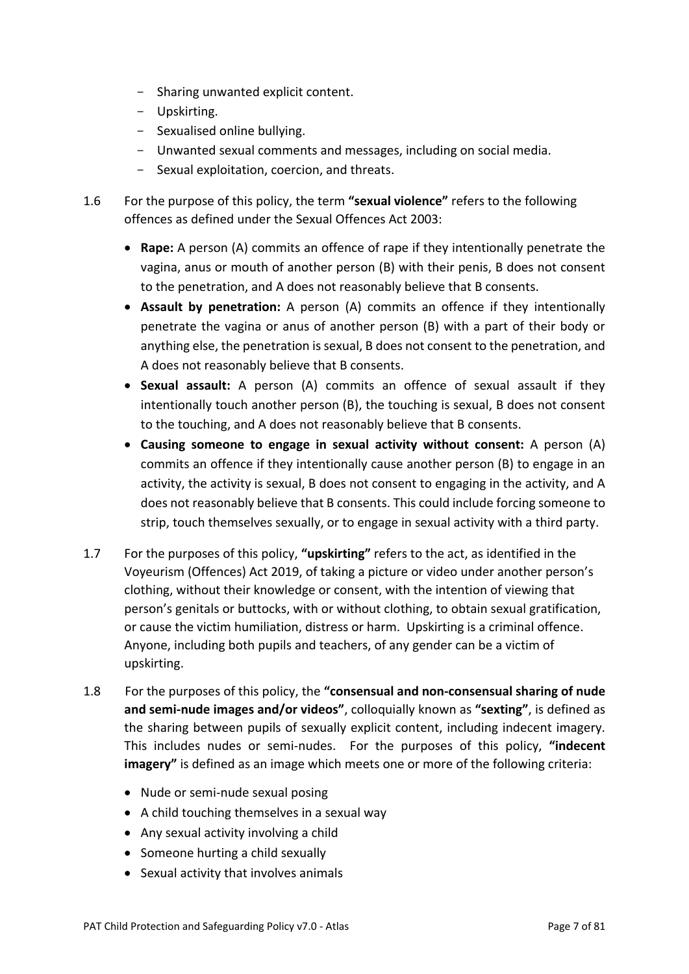- Sharing unwanted explicit content.
- Upskirting.
- Sexualised online bullying.
- Unwanted sexual comments and messages, including on social media.
- Sexual exploitation, coercion, and threats.
- 1.6 For the purpose of this policy, the term **"sexual violence"** refers to the following offences as defined under the Sexual Offences Act 2003:
	- **Rape:** A person (A) commits an offence of rape if they intentionally penetrate the vagina, anus or mouth of another person (B) with their penis, B does not consent to the penetration, and A does not reasonably believe that B consents.
	- **Assault by penetration:** A person (A) commits an offence if they intentionally penetrate the vagina or anus of another person (B) with a part of their body or anything else, the penetration is sexual, B does not consent to the penetration, and A does not reasonably believe that B consents.
	- **Sexual assault:** A person (A) commits an offence of sexual assault if they intentionally touch another person (B), the touching is sexual, B does not consent to the touching, and A does not reasonably believe that B consents.
	- **Causing someone to engage in sexual activity without consent:** A person (A) commits an offence if they intentionally cause another person (B) to engage in an activity, the activity is sexual, B does not consent to engaging in the activity, and A does not reasonably believe that B consents. This could include forcing someone to strip, touch themselves sexually, or to engage in sexual activity with a third party.
- 1.7 For the purposes of this policy, **"upskirting"** refers to the act, as identified in the Voyeurism (Offences) Act 2019, of taking a picture or video under another person's clothing, without their knowledge or consent, with the intention of viewing that person's genitals or buttocks, with or without clothing, to obtain sexual gratification, or cause the victim humiliation, distress or harm. Upskirting is a criminal offence. Anyone, including both pupils and teachers, of any gender can be a victim of upskirting.
- 1.8 For the purposes of this policy, the **"consensual and non-consensual sharing of nude and semi-nude images and/or videos"**, colloquially known as **"sexting"**, is defined as the sharing between pupils of sexually explicit content, including indecent imagery. This includes nudes or semi-nudes. For the purposes of this policy, **"indecent imagery"** is defined as an image which meets one or more of the following criteria:
	- Nude or semi-nude sexual posing
	- A child touching themselves in a sexual way
	- Any sexual activity involving a child
	- Someone hurting a child sexually
	- Sexual activity that involves animals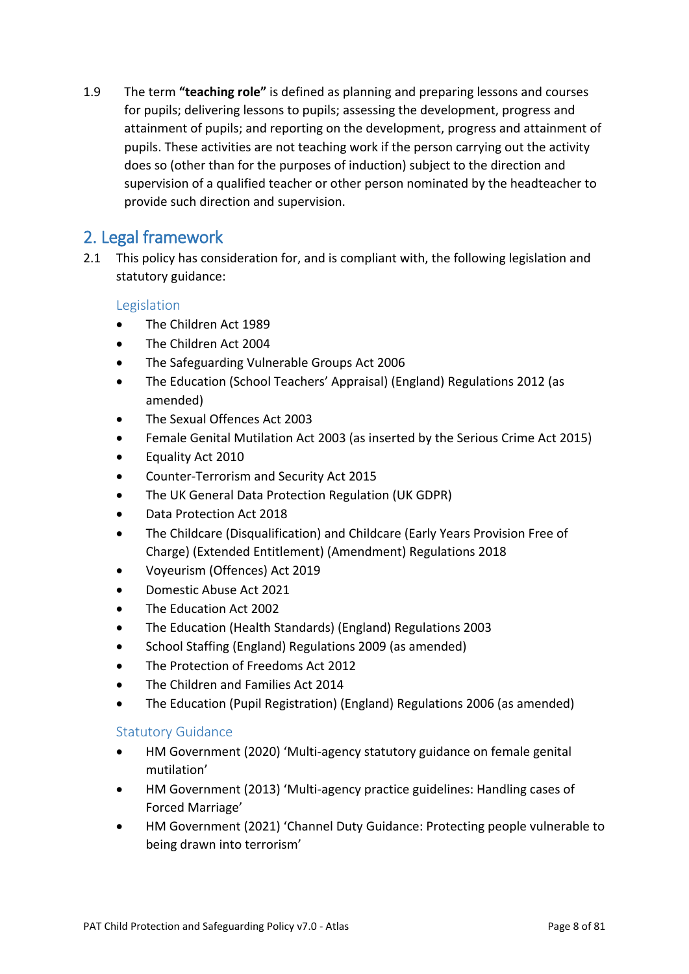1.9 The term **"teaching role"** is defined as planning and preparing lessons and courses for pupils; delivering lessons to pupils; assessing the development, progress and attainment of pupils; and reporting on the development, progress and attainment of pupils. These activities are not teaching work if the person carrying out the activity does so (other than for the purposes of induction) subject to the direction and supervision of a qualified teacher or other person nominated by the headteacher to provide such direction and supervision.

# <span id="page-7-0"></span>2. Legal framework

2.1 This policy has consideration for, and is compliant with, the following legislation and statutory guidance:

#### <span id="page-7-1"></span>Legislation

- The Children Act 1989
- The Children Act 2004
- The Safeguarding Vulnerable Groups Act 2006
- The Education (School Teachers' Appraisal) (England) Regulations 2012 (as amended)
- The Sexual Offences Act 2003
- Female Genital Mutilation Act 2003 (as inserted by the Serious Crime Act 2015)
- Equality Act 2010
- Counter-Terrorism and Security Act 2015
- The UK General Data Protection Regulation (UK GDPR)
- Data Protection Act 2018
- The Childcare (Disqualification) and Childcare (Early Years Provision Free of Charge) (Extended Entitlement) (Amendment) Regulations 2018
- Voyeurism (Offences) Act 2019
- Domestic Abuse Act 2021
- The Education Act 2002
- The Education (Health Standards) (England) Regulations 2003
- School Staffing (England) Regulations 2009 (as amended)
- The Protection of Freedoms Act 2012
- The Children and Families Act 2014
- The Education (Pupil Registration) (England) Regulations 2006 (as amended)

#### <span id="page-7-2"></span>Statutory Guidance

- HM Government (2020) 'Multi-agency statutory guidance on female genital mutilation'
- HM Government (2013) 'Multi-agency practice guidelines: Handling cases of Forced Marriage'
- HM Government (2021) 'Channel Duty Guidance: Protecting people vulnerable to being drawn into terrorism'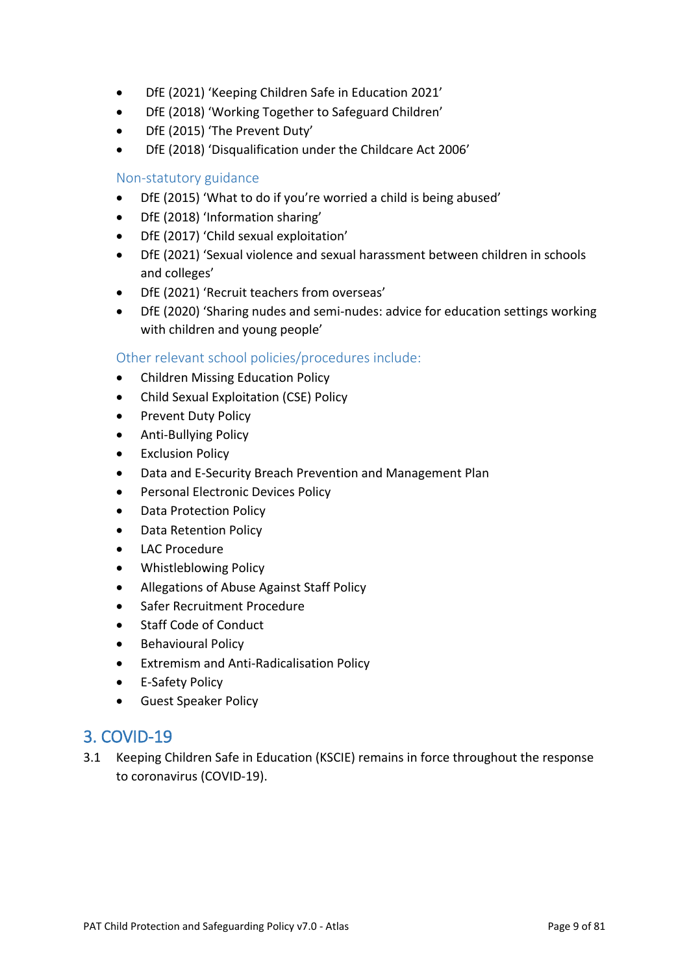- DfE (2021) 'Keeping Children Safe in Education 2021'
- DfE (2018) 'Working Together to Safeguard Children'
- DfE (2015) 'The Prevent Duty'
- DfE (2018) 'Disqualification under the Childcare Act 2006'

#### <span id="page-8-0"></span>Non-statutory guidance

- DfE (2015) 'What to do if you're worried a child is being abused'
- DfE (2018) 'Information sharing'
- DfE (2017) 'Child sexual exploitation'
- DfE (2021) 'Sexual violence and sexual harassment between children in schools and colleges'
- DfE (2021) 'Recruit teachers from overseas'
- DfE (2020) 'Sharing nudes and semi-nudes: advice for education settings working with children and young people'

<span id="page-8-1"></span>Other relevant school policies/procedures include:

- Children Missing Education Policy
- Child Sexual Exploitation (CSE) Policy
- Prevent Duty Policy
- Anti-Bullying Policy
- **Exclusion Policy**
- Data and E-Security Breach Prevention and Management Plan
- Personal Electronic Devices Policy
- Data Protection Policy
- Data Retention Policy
- LAC Procedure
- Whistleblowing Policy
- Allegations of Abuse Against Staff Policy
- Safer Recruitment Procedure
- Staff Code of Conduct
- Behavioural Policy
- Extremism and Anti-Radicalisation Policy
- E-Safety Policy
- Guest Speaker Policy

# <span id="page-8-2"></span>3. COVID-19

3.1 Keeping Children Safe in Education (KSCIE) remains in force throughout the response to coronavirus (COVID-19).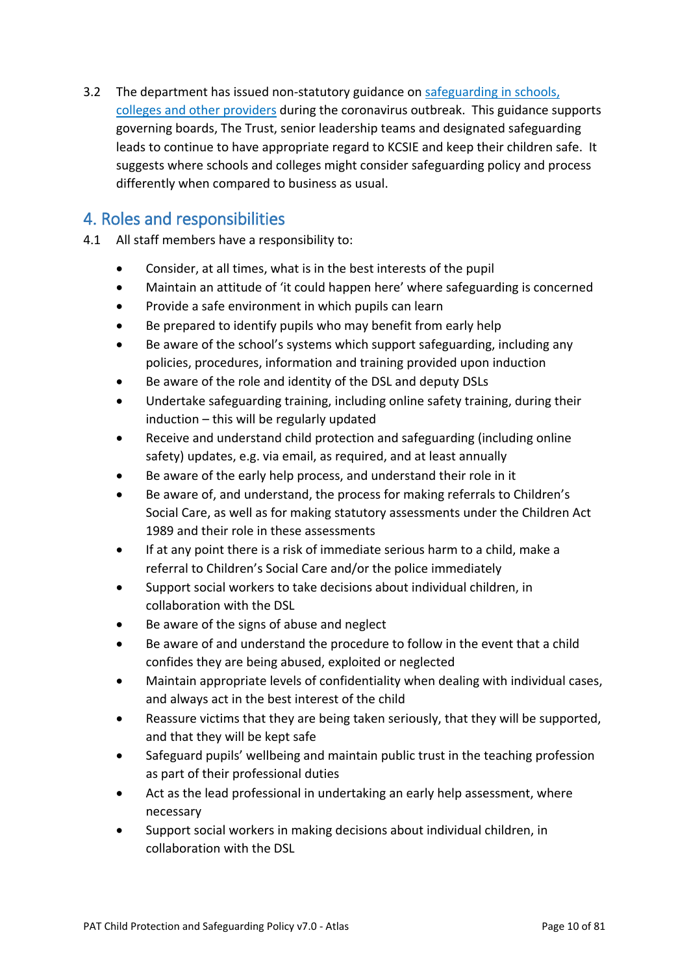3.2 The department has issued non-statutory guidance on safeguarding in schools, colleges and other providers during the coronavirus outbreak. This guidance supports governing boards, The Trust, senior leadership teams and designated safeguarding leads to continue to have appropriate regard to KCSIE and keep their children safe. It suggests where schools and colleges might consider safeguarding policy and process differently when compared to business as usual.

# <span id="page-9-0"></span>4. Roles and responsibilities

- 4.1 All staff members have a responsibility to:
	- Consider, at all times, what is in the best interests of the pupil
	- Maintain an attitude of 'it could happen here' where safeguarding is concerned
	- Provide a safe environment in which pupils can learn
	- Be prepared to identify pupils who may benefit from early help
	- Be aware of the school's systems which support safeguarding, including any policies, procedures, information and training provided upon induction
	- Be aware of the role and identity of the DSL and deputy DSLs
	- Undertake safeguarding training, including online safety training, during their induction – this will be regularly updated
	- Receive and understand child protection and safeguarding (including online safety) updates, e.g. via email, as required, and at least annually
	- Be aware of the early help process, and understand their role in it
	- Be aware of, and understand, the process for making referrals to Children's Social Care, as well as for making statutory assessments under the Children Act 1989 and their role in these assessments
	- If at any point there is a risk of immediate serious harm to a child, make a referral to Children's Social Care and/or the police immediately
	- Support social workers to take decisions about individual children, in collaboration with the DSL
	- Be aware of the signs of abuse and neglect
	- Be aware of and understand the procedure to follow in the event that a child confides they are being abused, exploited or neglected
	- Maintain appropriate levels of confidentiality when dealing with individual cases, and always act in the best interest of the child
	- Reassure victims that they are being taken seriously, that they will be supported, and that they will be kept safe
	- Safeguard pupils' wellbeing and maintain public trust in the teaching profession as part of their professional duties
	- Act as the lead professional in undertaking an early help assessment, where necessary
	- Support social workers in making decisions about individual children, in collaboration with the DSL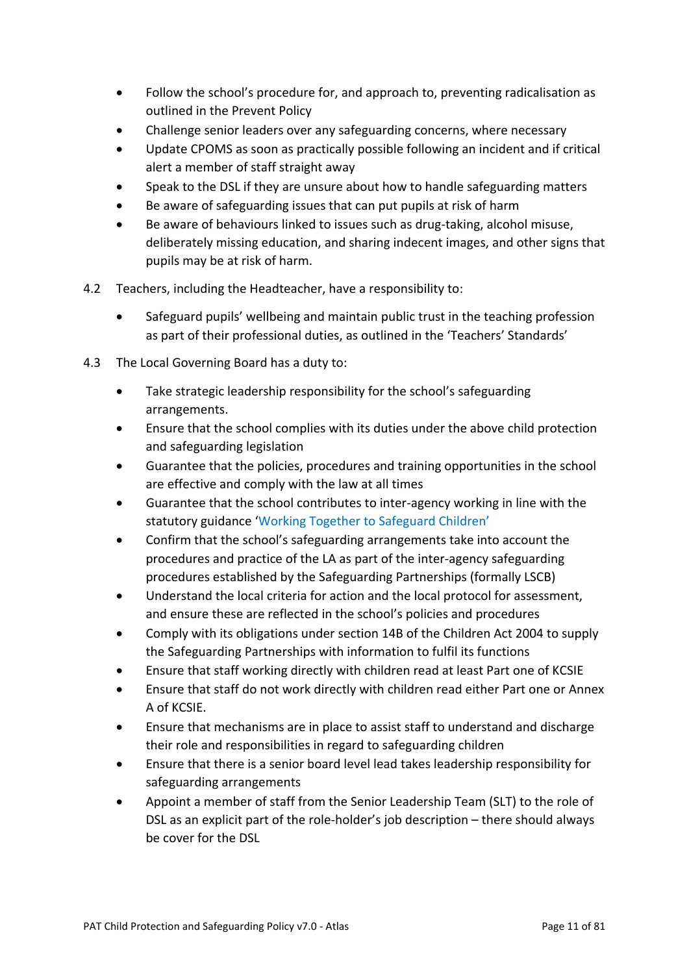- Follow the school's procedure for, and approach to, preventing radicalisation as outlined in the Prevent Policy
- Challenge senior leaders over any safeguarding concerns, where necessary
- Update CPOMS as soon as practically possible following an incident and if critical alert a member of staff straight away
- Speak to the DSL if they are unsure about how to handle safeguarding matters
- Be aware of safeguarding issues that can put pupils at risk of harm
- Be aware of behaviours linked to issues such as drug-taking, alcohol misuse, deliberately missing education, and sharing indecent images, and other signs that pupils may be at risk of harm.
- 4.2 Teachers, including the Headteacher, have a responsibility to:
	- Safeguard pupils' wellbeing and maintain public trust in the teaching profession as part of their professional duties, as outlined in the 'Teachers' Standards'
- 4.3 The Local Governing Board has a duty to:
	- Take strategic leadership responsibility for the school's safeguarding arrangements.
	- Ensure that the school complies with its duties under the above child protection and safeguarding legislation
	- Guarantee that the policies, procedures and training opportunities in the school are effective and comply with the law at all times
	- Guarantee that the school contributes to inter-agency working in line with the statutory guidance 'Working Together to Safeguard Children'
	- Confirm that the school's safeguarding arrangements take into account the procedures and practice of the LA as part of the inter-agency safeguarding procedures established by the Safeguarding Partnerships (formally LSCB)
	- Understand the local criteria for action and the local protocol for assessment, and ensure these are reflected in the school's policies and procedures
	- Comply with its obligations under section 14B of the Children Act 2004 to supply the Safeguarding Partnerships with information to fulfil its functions
	- Ensure that staff working directly with children read at least Part one of KCSIE
	- Ensure that staff do not work directly with children read either Part one or Annex A of KCSIE.
	- Ensure that mechanisms are in place to assist staff to understand and discharge their role and responsibilities in regard to safeguarding children
	- Ensure that there is a senior board level lead takes leadership responsibility for safeguarding arrangements
	- Appoint a member of staff from the Senior Leadership Team (SLT) to the role of DSL as an explicit part of the role-holder's job description – there should always be cover for the DSL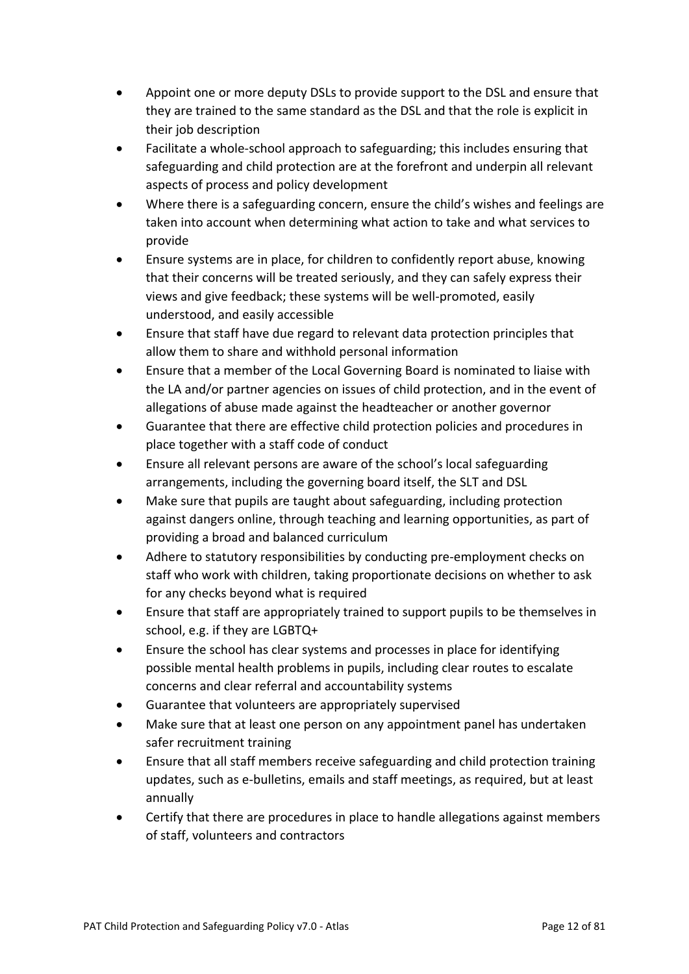- Appoint one or more deputy DSLs to provide support to the DSL and ensure that they are trained to the same standard as the DSL and that the role is explicit in their job description
- Facilitate a whole-school approach to safeguarding; this includes ensuring that safeguarding and child protection are at the forefront and underpin all relevant aspects of process and policy development
- Where there is a safeguarding concern, ensure the child's wishes and feelings are taken into account when determining what action to take and what services to provide
- Ensure systems are in place, for children to confidently report abuse, knowing that their concerns will be treated seriously, and they can safely express their views and give feedback; these systems will be well-promoted, easily understood, and easily accessible
- Ensure that staff have due regard to relevant data protection principles that allow them to share and withhold personal information
- Ensure that a member of the Local Governing Board is nominated to liaise with the LA and/or partner agencies on issues of child protection, and in the event of allegations of abuse made against the headteacher or another governor
- Guarantee that there are effective child protection policies and procedures in place together with a staff code of conduct
- Ensure all relevant persons are aware of the school's local safeguarding arrangements, including the governing board itself, the SLT and DSL
- Make sure that pupils are taught about safeguarding, including protection against dangers online, through teaching and learning opportunities, as part of providing a broad and balanced curriculum
- Adhere to statutory responsibilities by conducting pre-employment checks on staff who work with children, taking proportionate decisions on whether to ask for any checks beyond what is required
- Ensure that staff are appropriately trained to support pupils to be themselves in school, e.g. if they are LGBTQ+
- Ensure the school has clear systems and processes in place for identifying possible mental health problems in pupils, including clear routes to escalate concerns and clear referral and accountability systems
- Guarantee that volunteers are appropriately supervised
- Make sure that at least one person on any appointment panel has undertaken safer recruitment training
- Ensure that all staff members receive safeguarding and child protection training updates, such as e-bulletins, emails and staff meetings, as required, but at least annually
- Certify that there are procedures in place to handle allegations against members of staff, volunteers and contractors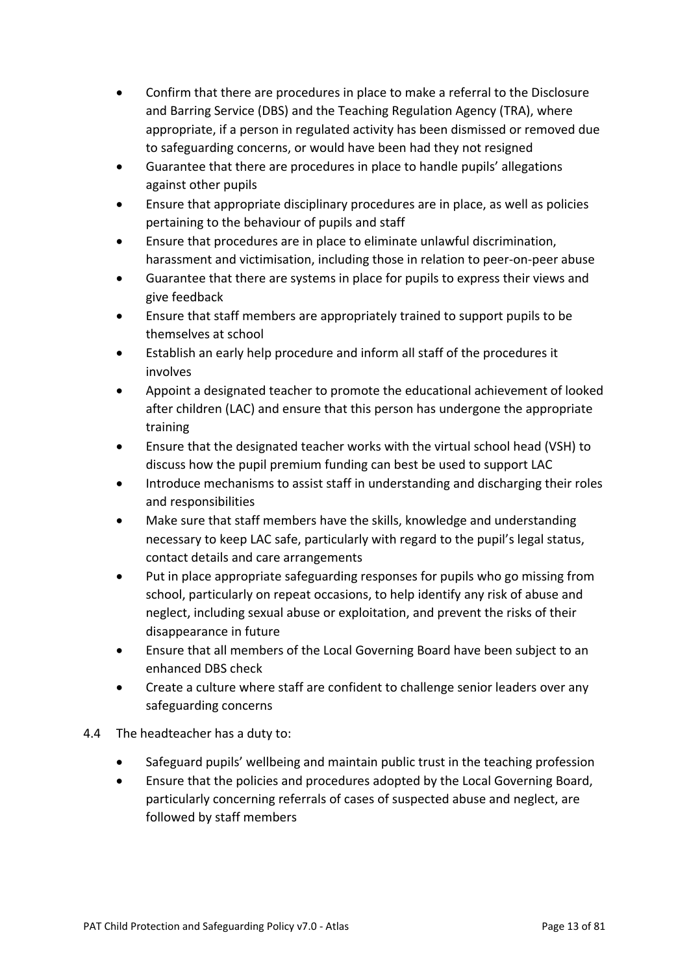- Confirm that there are procedures in place to make a referral to the Disclosure and Barring Service (DBS) and the Teaching Regulation Agency (TRA), where appropriate, if a person in regulated activity has been dismissed or removed due to safeguarding concerns, or would have been had they not resigned
- Guarantee that there are procedures in place to handle pupils' allegations against other pupils
- Ensure that appropriate disciplinary procedures are in place, as well as policies pertaining to the behaviour of pupils and staff
- Ensure that procedures are in place to eliminate unlawful discrimination, harassment and victimisation, including those in relation to peer-on-peer abuse
- Guarantee that there are systems in place for pupils to express their views and give feedback
- Ensure that staff members are appropriately trained to support pupils to be themselves at school
- Establish an early help procedure and inform all staff of the procedures it involves
- Appoint a designated teacher to promote the educational achievement of looked after children (LAC) and ensure that this person has undergone the appropriate training
- Ensure that the designated teacher works with the virtual school head (VSH) to discuss how the pupil premium funding can best be used to support LAC
- Introduce mechanisms to assist staff in understanding and discharging their roles and responsibilities
- Make sure that staff members have the skills, knowledge and understanding necessary to keep LAC safe, particularly with regard to the pupil's legal status, contact details and care arrangements
- Put in place appropriate safeguarding responses for pupils who go missing from school, particularly on repeat occasions, to help identify any risk of abuse and neglect, including sexual abuse or exploitation, and prevent the risks of their disappearance in future
- Ensure that all members of the Local Governing Board have been subject to an enhanced DBS check
- Create a culture where staff are confident to challenge senior leaders over any safeguarding concerns
- 4.4 The headteacher has a duty to:
	- Safeguard pupils' wellbeing and maintain public trust in the teaching profession
	- Ensure that the policies and procedures adopted by the Local Governing Board, particularly concerning referrals of cases of suspected abuse and neglect, are followed by staff members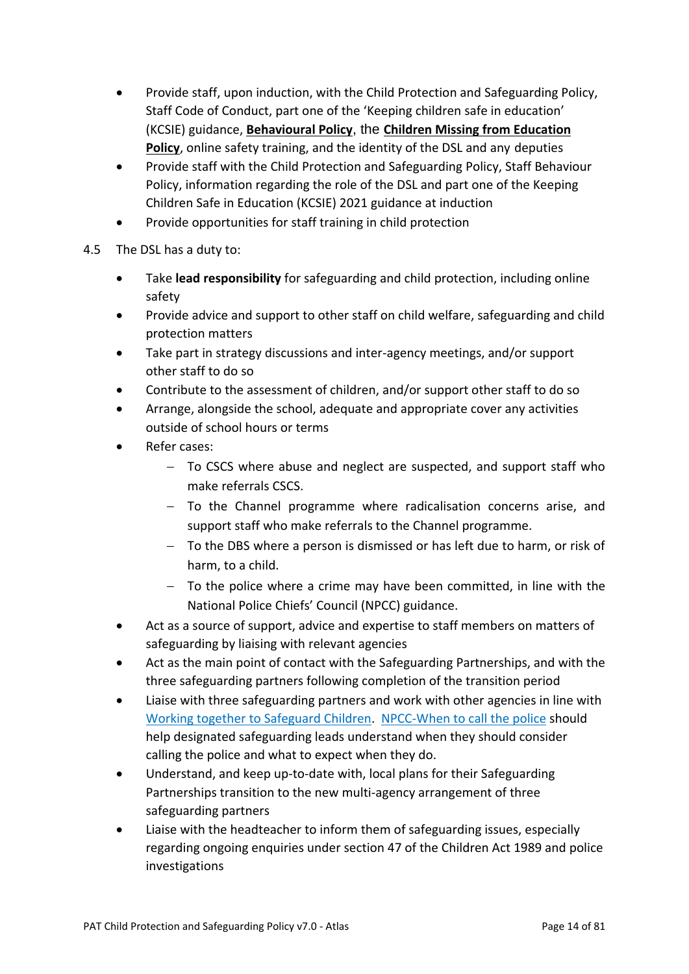- Provide staff, upon induction, with the Child Protection and Safeguarding Policy, Staff Code of Conduct, part one of the 'Keeping children safe in education' (KCSIE) guidance, **Behavioural Policy**, the **Children Missing from Education Policy**, online safety training, and the identity of the DSL and any deputies
- Provide staff with the Child Protection and Safeguarding Policy, Staff Behaviour Policy, information regarding the role of the DSL and part one of the Keeping Children Safe in Education (KCSIE) 2021 guidance at induction
- Provide opportunities for staff training in child protection
- 4.5 The DSL has a duty to:
	- Take **lead responsibility** for safeguarding and child protection, including online safety
	- Provide advice and support to other staff on child welfare, safeguarding and child protection matters
	- Take part in strategy discussions and inter-agency meetings, and/or support other staff to do so
	- Contribute to the assessment of children, and/or support other staff to do so
	- Arrange, alongside the school, adequate and appropriate cover any activities outside of school hours or terms
	- Refer cases:
		- − To CSCS where abuse and neglect are suspected, and support staff who make referrals CSCS.
		- − To the Channel programme where radicalisation concerns arise, and support staff who make referrals to the Channel programme.
		- − To the DBS where a person is dismissed or has left due to harm, or risk of harm, to a child.
		- − To the police where a crime may have been committed, in line with the National Police Chiefs' Council (NPCC) guidance.
	- Act as a source of support, advice and expertise to staff members on matters of safeguarding by liaising with relevant agencies
	- Act as the main point of contact with the Safeguarding Partnerships, and with the three safeguarding partners following completion of the transition period
	- Liaise with three safeguarding partners and work with other agencies in line with Working together to Safeguard Children. NPCC-When to call the police should help designated safeguarding leads understand when they should consider calling the police and what to expect when they do.
	- Understand, and keep up-to-date with, local plans for their Safeguarding Partnerships transition to the new multi-agency arrangement of three safeguarding partners
	- Liaise with the headteacher to inform them of safeguarding issues, especially regarding ongoing enquiries under section 47 of the Children Act 1989 and police investigations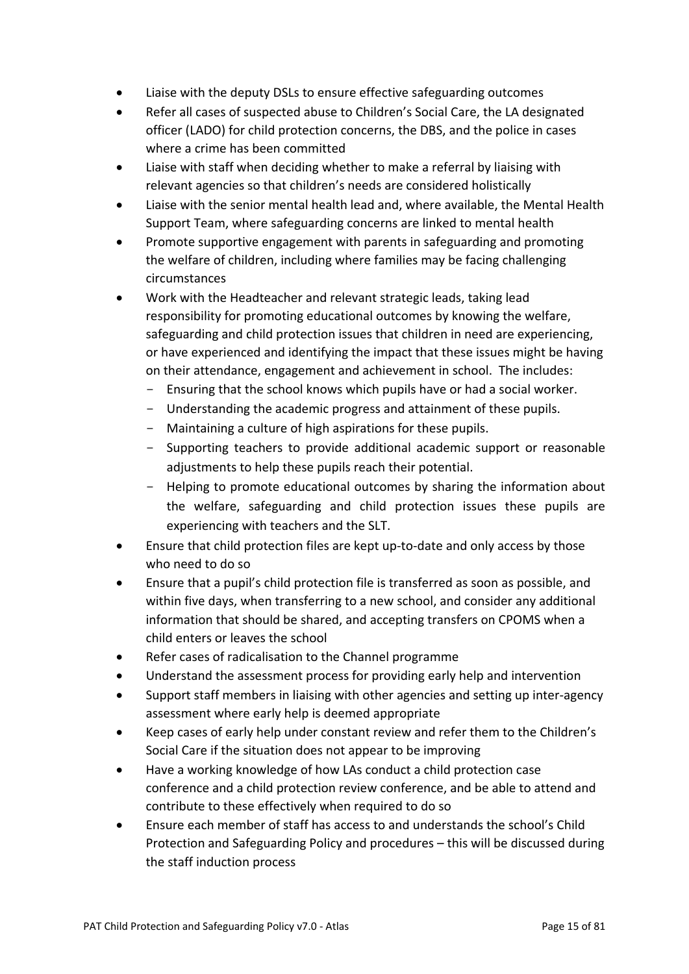- Liaise with the deputy DSLs to ensure effective safeguarding outcomes
- Refer all cases of suspected abuse to Children's Social Care, the LA designated officer (LADO) for child protection concerns, the DBS, and the police in cases where a crime has been committed
- Liaise with staff when deciding whether to make a referral by liaising with relevant agencies so that children's needs are considered holistically
- Liaise with the senior mental health lead and, where available, the Mental Health Support Team, where safeguarding concerns are linked to mental health
- Promote supportive engagement with parents in safeguarding and promoting the welfare of children, including where families may be facing challenging circumstances
- Work with the Headteacher and relevant strategic leads, taking lead responsibility for promoting educational outcomes by knowing the welfare, safeguarding and child protection issues that children in need are experiencing, or have experienced and identifying the impact that these issues might be having on their attendance, engagement and achievement in school. The includes:
	- Ensuring that the school knows which pupils have or had a social worker.
	- Understanding the academic progress and attainment of these pupils.
	- Maintaining a culture of high aspirations for these pupils.
	- Supporting teachers to provide additional academic support or reasonable adjustments to help these pupils reach their potential.
	- Helping to promote educational outcomes by sharing the information about the welfare, safeguarding and child protection issues these pupils are experiencing with teachers and the SLT.
- Ensure that child protection files are kept up-to-date and only access by those who need to do so
- Ensure that a pupil's child protection file is transferred as soon as possible, and within five days, when transferring to a new school, and consider any additional information that should be shared, and accepting transfers on CPOMS when a child enters or leaves the school
- Refer cases of radicalisation to the Channel programme
- Understand the assessment process for providing early help and intervention
- Support staff members in liaising with other agencies and setting up inter-agency assessment where early help is deemed appropriate
- Keep cases of early help under constant review and refer them to the Children's Social Care if the situation does not appear to be improving
- Have a working knowledge of how LAs conduct a child protection case conference and a child protection review conference, and be able to attend and contribute to these effectively when required to do so
- Ensure each member of staff has access to and understands the school's Child Protection and Safeguarding Policy and procedures – this will be discussed during the staff induction process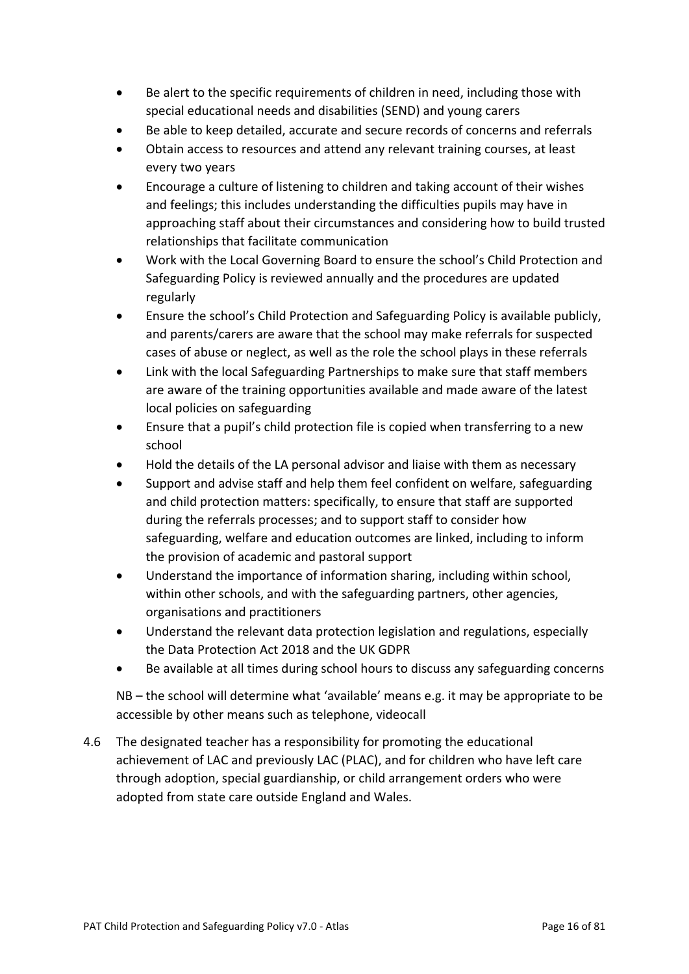- Be alert to the specific requirements of children in need, including those with special educational needs and disabilities (SEND) and young carers
- Be able to keep detailed, accurate and secure records of concerns and referrals
- Obtain access to resources and attend any relevant training courses, at least every two years
- Encourage a culture of listening to children and taking account of their wishes and feelings; this includes understanding the difficulties pupils may have in approaching staff about their circumstances and considering how to build trusted relationships that facilitate communication
- Work with the Local Governing Board to ensure the school's Child Protection and Safeguarding Policy is reviewed annually and the procedures are updated regularly
- Ensure the school's Child Protection and Safeguarding Policy is available publicly, and parents/carers are aware that the school may make referrals for suspected cases of abuse or neglect, as well as the role the school plays in these referrals
- Link with the local Safeguarding Partnerships to make sure that staff members are aware of the training opportunities available and made aware of the latest local policies on safeguarding
- Ensure that a pupil's child protection file is copied when transferring to a new school
- Hold the details of the LA personal advisor and liaise with them as necessary
- Support and advise staff and help them feel confident on welfare, safeguarding and child protection matters: specifically, to ensure that staff are supported during the referrals processes; and to support staff to consider how safeguarding, welfare and education outcomes are linked, including to inform the provision of academic and pastoral support
- Understand the importance of information sharing, including within school, within other schools, and with the safeguarding partners, other agencies, organisations and practitioners
- Understand the relevant data protection legislation and regulations, especially the Data Protection Act 2018 and the UK GDPR
- Be available at all times during school hours to discuss any safeguarding concerns

NB – the school will determine what 'available' means e.g. it may be appropriate to be accessible by other means such as telephone, videocall

4.6 The designated teacher has a responsibility for promoting the educational achievement of LAC and previously LAC (PLAC), and for children who have left care through adoption, special guardianship, or child arrangement orders who were adopted from state care outside England and Wales.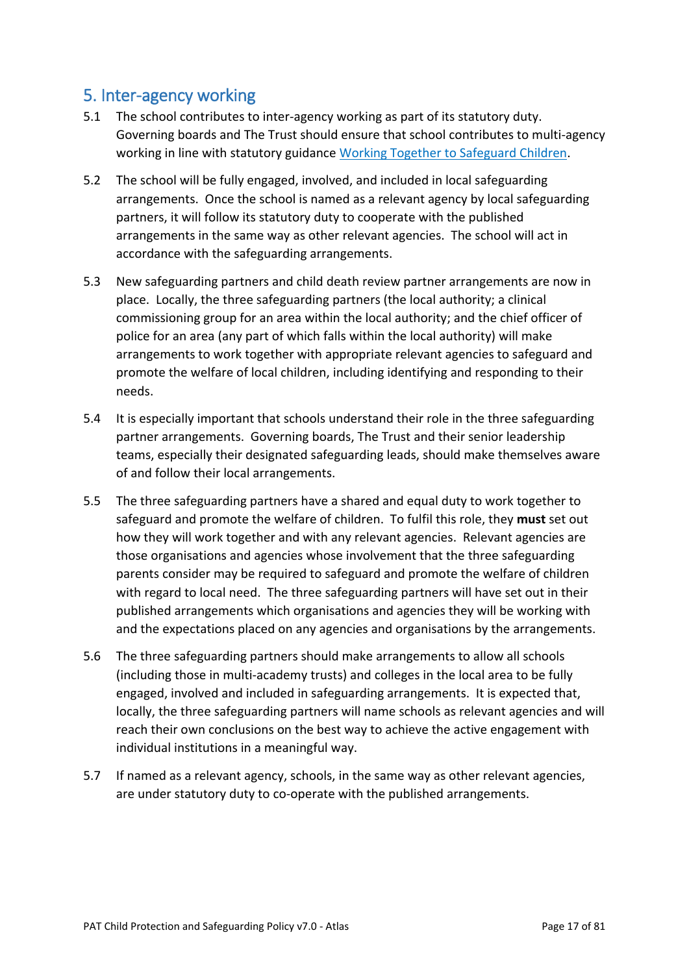# <span id="page-16-0"></span>5. Inter-agency working

- 5.1 The school contributes to inter-agency working as part of its statutory duty. Governing boards and The Trust should ensure that school contributes to multi-agency working in line with statutory guidance Working Together to Safeguard Children.
- 5.2 The school will be fully engaged, involved, and included in local safeguarding arrangements. Once the school is named as a relevant agency by local safeguarding partners, it will follow its statutory duty to cooperate with the published arrangements in the same way as other relevant agencies. The school will act in accordance with the safeguarding arrangements.
- 5.3 New safeguarding partners and child death review partner arrangements are now in place. Locally, the three safeguarding partners (the local authority; a clinical commissioning group for an area within the local authority; and the chief officer of police for an area (any part of which falls within the local authority) will make arrangements to work together with appropriate relevant agencies to safeguard and promote the welfare of local children, including identifying and responding to their needs.
- 5.4 It is especially important that schools understand their role in the three safeguarding partner arrangements. Governing boards, The Trust and their senior leadership teams, especially their designated safeguarding leads, should make themselves aware of and follow their local arrangements.
- 5.5 The three safeguarding partners have a shared and equal duty to work together to safeguard and promote the welfare of children. To fulfil this role, they **must** set out how they will work together and with any relevant agencies. Relevant agencies are those organisations and agencies whose involvement that the three safeguarding parents consider may be required to safeguard and promote the welfare of children with regard to local need. The three safeguarding partners will have set out in their published arrangements which organisations and agencies they will be working with and the expectations placed on any agencies and organisations by the arrangements.
- 5.6 The three safeguarding partners should make arrangements to allow all schools (including those in multi-academy trusts) and colleges in the local area to be fully engaged, involved and included in safeguarding arrangements. It is expected that, locally, the three safeguarding partners will name schools as relevant agencies and will reach their own conclusions on the best way to achieve the active engagement with individual institutions in a meaningful way.
- 5.7 If named as a relevant agency, schools, in the same way as other relevant agencies, are under statutory duty to co-operate with the published arrangements.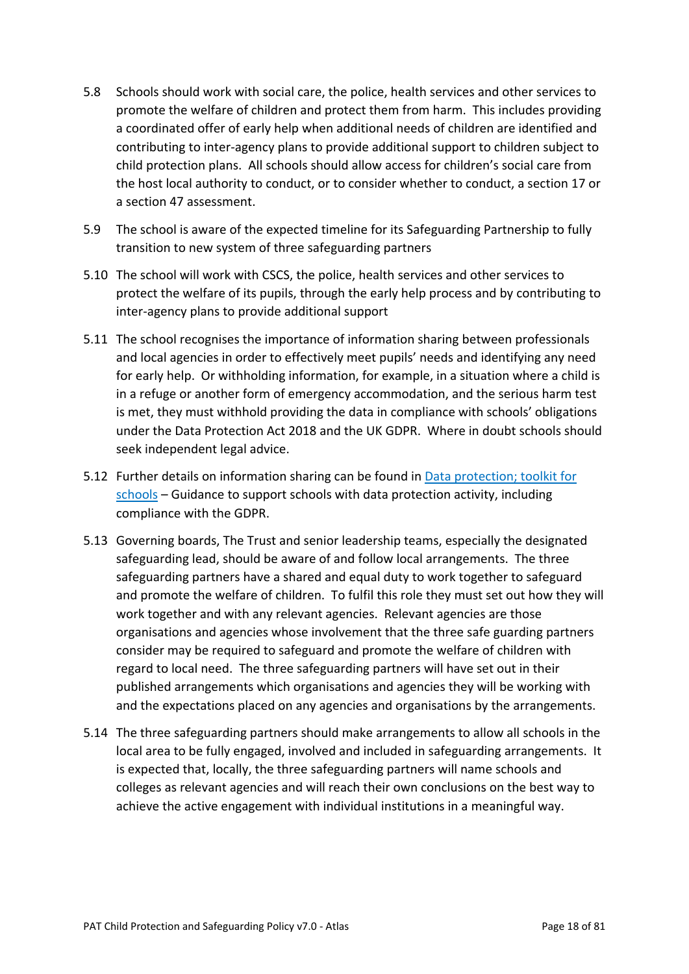- 5.8 Schools should work with social care, the police, health services and other services to promote the welfare of children and protect them from harm. This includes providing a coordinated offer of early help when additional needs of children are identified and contributing to inter-agency plans to provide additional support to children subject to child protection plans. All schools should allow access for children's social care from the host local authority to conduct, or to consider whether to conduct, a section 17 or a section 47 assessment.
- 5.9 The school is aware of the expected timeline for its Safeguarding Partnership to fully transition to new system of three safeguarding partners
- 5.10 The school will work with CSCS, the police, health services and other services to protect the welfare of its pupils, through the early help process and by contributing to inter-agency plans to provide additional support
- 5.11 The school recognises the importance of information sharing between professionals and local agencies in order to effectively meet pupils' needs and identifying any need for early help. Or withholding information, for example, in a situation where a child is in a refuge or another form of emergency accommodation, and the serious harm test is met, they must withhold providing the data in compliance with schools' obligations under the Data Protection Act 2018 and the UK GDPR. Where in doubt schools should seek independent legal advice.
- 5.12 Further details on information sharing can be found in Data protection; toolkit for schools – Guidance to support schools with data protection activity, including compliance with the GDPR.
- 5.13 Governing boards, The Trust and senior leadership teams, especially the designated safeguarding lead, should be aware of and follow local arrangements. The three safeguarding partners have a shared and equal duty to work together to safeguard and promote the welfare of children. To fulfil this role they must set out how they will work together and with any relevant agencies. Relevant agencies are those organisations and agencies whose involvement that the three safe guarding partners consider may be required to safeguard and promote the welfare of children with regard to local need. The three safeguarding partners will have set out in their published arrangements which organisations and agencies they will be working with and the expectations placed on any agencies and organisations by the arrangements.
- 5.14 The three safeguarding partners should make arrangements to allow all schools in the local area to be fully engaged, involved and included in safeguarding arrangements. It is expected that, locally, the three safeguarding partners will name schools and colleges as relevant agencies and will reach their own conclusions on the best way to achieve the active engagement with individual institutions in a meaningful way.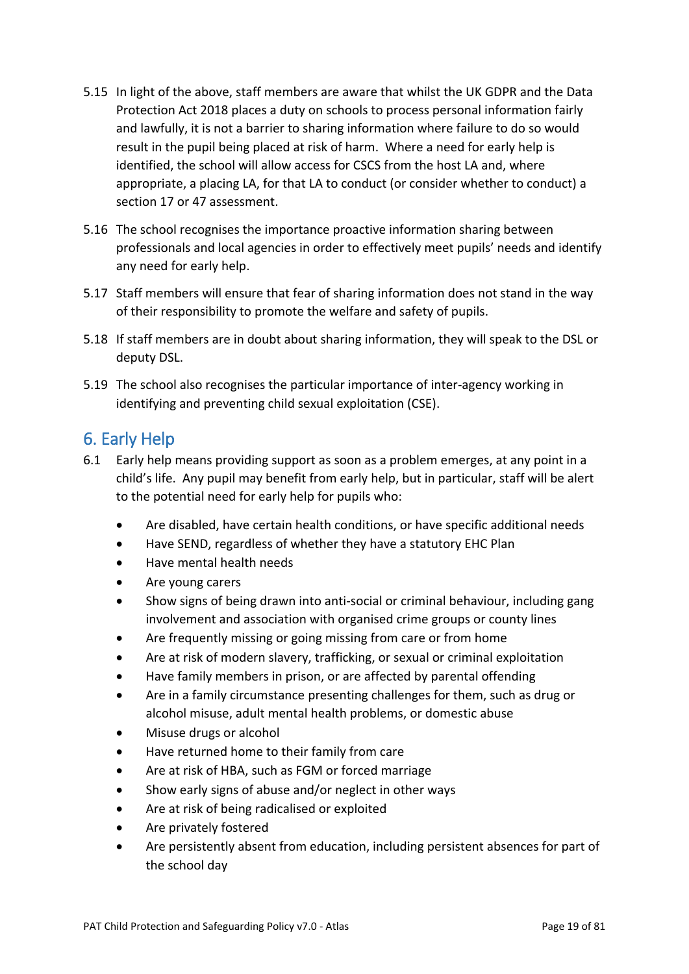- 5.15 In light of the above, staff members are aware that whilst the UK GDPR and the Data Protection Act 2018 places a duty on schools to process personal information fairly and lawfully, it is not a barrier to sharing information where failure to do so would result in the pupil being placed at risk of harm. Where a need for early help is identified, the school will allow access for CSCS from the host LA and, where appropriate, a placing LA, for that LA to conduct (or consider whether to conduct) a section 17 or 47 assessment.
- 5.16 The school recognises the importance proactive information sharing between professionals and local agencies in order to effectively meet pupils' needs and identify any need for early help.
- 5.17 Staff members will ensure that fear of sharing information does not stand in the way of their responsibility to promote the welfare and safety of pupils.
- 5.18 If staff members are in doubt about sharing information, they will speak to the DSL or deputy DSL.
- 5.19 The school also recognises the particular importance of inter-agency working in identifying and preventing child sexual exploitation (CSE).

# <span id="page-18-0"></span>6. Early Help

- 6.1 Early help means providing support as soon as a problem emerges, at any point in a child's life. Any pupil may benefit from early help, but in particular, staff will be alert to the potential need for early help for pupils who:
	- Are disabled, have certain health conditions, or have specific additional needs
	- Have SEND, regardless of whether they have a statutory EHC Plan
	- Have mental health needs
	- Are young carers
	- Show signs of being drawn into anti-social or criminal behaviour, including gang involvement and association with organised crime groups or county lines
	- Are frequently missing or going missing from care or from home
	- Are at risk of modern slavery, trafficking, or sexual or criminal exploitation
	- Have family members in prison, or are affected by parental offending
	- Are in a family circumstance presenting challenges for them, such as drug or alcohol misuse, adult mental health problems, or domestic abuse
	- Misuse drugs or alcohol
	- Have returned home to their family from care
	- Are at risk of HBA, such as FGM or forced marriage
	- Show early signs of abuse and/or neglect in other ways
	- Are at risk of being radicalised or exploited
	- Are privately fostered
	- Are persistently absent from education, including persistent absences for part of the school day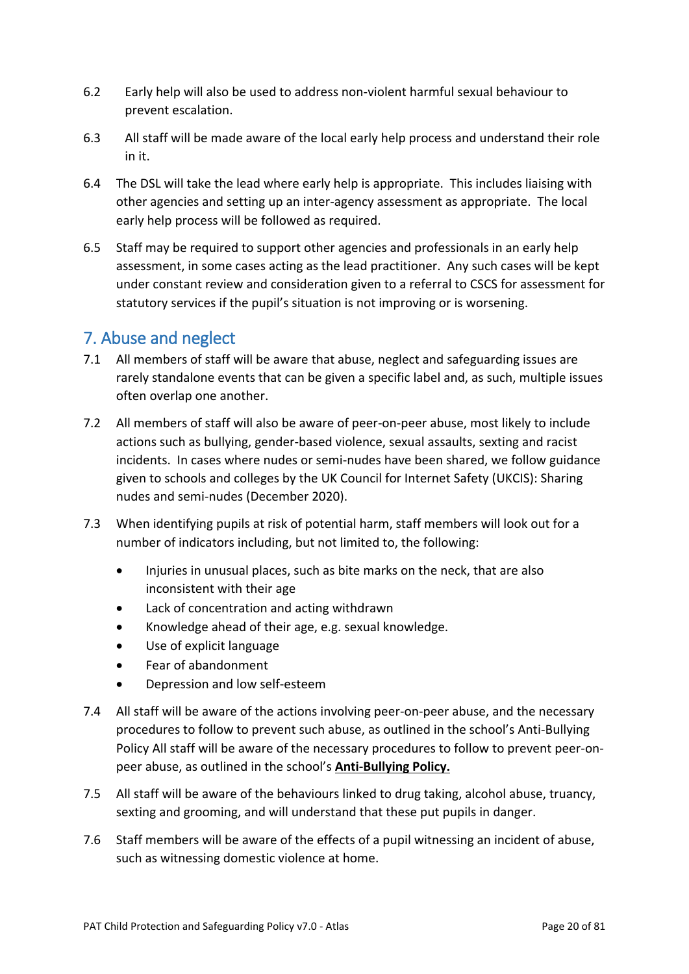- 6.2 Early help will also be used to address non-violent harmful sexual behaviour to prevent escalation.
- 6.3 All staff will be made aware of the local early help process and understand their role in it.
- 6.4 The DSL will take the lead where early help is appropriate. This includes liaising with other agencies and setting up an inter-agency assessment as appropriate. The local early help process will be followed as required.
- 6.5 Staff may be required to support other agencies and professionals in an early help assessment, in some cases acting as the lead practitioner. Any such cases will be kept under constant review and consideration given to a referral to CSCS for assessment for statutory services if the pupil's situation is not improving or is worsening.

### <span id="page-19-0"></span>7. Abuse and neglect

- 7.1 All members of staff will be aware that abuse, neglect and safeguarding issues are rarely standalone events that can be given a specific label and, as such, multiple issues often overlap one another.
- 7.2 All members of staff will also be aware of peer-on-peer abuse, most likely to include actions such as bullying, gender-based violence, sexual assaults, sexting and racist incidents. In cases where nudes or semi-nudes have been shared, we follow guidance given to schools and colleges by the UK Council for Internet Safety (UKCIS): Sharing nudes and semi-nudes (December 2020).
- 7.3 When identifying pupils at risk of potential harm, staff members will look out for a number of indicators including, but not limited to, the following:
	- Injuries in unusual places, such as bite marks on the neck, that are also inconsistent with their age
	- Lack of concentration and acting withdrawn
	- Knowledge ahead of their age, e.g. sexual knowledge.
	- Use of explicit language
	- Fear of abandonment
	- Depression and low self-esteem
- 7.4 All staff will be aware of the actions involving peer-on-peer abuse, and the necessary procedures to follow to prevent such abuse, as outlined in the school's Anti-Bullying Policy All staff will be aware of the necessary procedures to follow to prevent peer-onpeer abuse, as outlined in the school's **Anti-Bullying Policy.**
- 7.5 All staff will be aware of the behaviours linked to drug taking, alcohol abuse, truancy, sexting and grooming, and will understand that these put pupils in danger.
- 7.6 Staff members will be aware of the effects of a pupil witnessing an incident of abuse, such as witnessing domestic violence at home.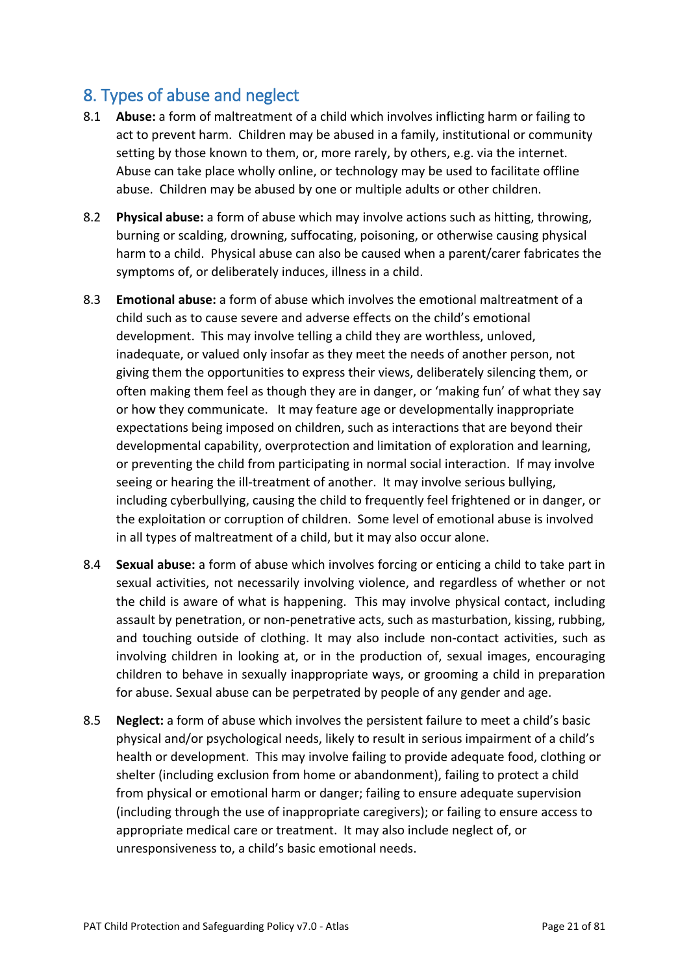# <span id="page-20-0"></span>8. Types of abuse and neglect

- 8.1 **Abuse:** a form of maltreatment of a child which involves inflicting harm or failing to act to prevent harm. Children may be abused in a family, institutional or community setting by those known to them, or, more rarely, by others, e.g. via the internet. Abuse can take place wholly online, or technology may be used to facilitate offline abuse. Children may be abused by one or multiple adults or other children.
- 8.2 **Physical abuse:** a form of abuse which may involve actions such as hitting, throwing, burning or scalding, drowning, suffocating, poisoning, or otherwise causing physical harm to a child. Physical abuse can also be caused when a parent/carer fabricates the symptoms of, or deliberately induces, illness in a child.
- 8.3 **Emotional abuse:** a form of abuse which involves the emotional maltreatment of a child such as to cause severe and adverse effects on the child's emotional development. This may involve telling a child they are worthless, unloved, inadequate, or valued only insofar as they meet the needs of another person, not giving them the opportunities to express their views, deliberately silencing them, or often making them feel as though they are in danger, or 'making fun' of what they say or how they communicate. It may feature age or developmentally inappropriate expectations being imposed on children, such as interactions that are beyond their developmental capability, overprotection and limitation of exploration and learning, or preventing the child from participating in normal social interaction. If may involve seeing or hearing the ill-treatment of another. It may involve serious bullying, including cyberbullying, causing the child to frequently feel frightened or in danger, or the exploitation or corruption of children. Some level of emotional abuse is involved in all types of maltreatment of a child, but it may also occur alone.
- 8.4 **Sexual abuse:** a form of abuse which involves forcing or enticing a child to take part in sexual activities, not necessarily involving violence, and regardless of whether or not the child is aware of what is happening. This may involve physical contact, including assault by penetration, or non-penetrative acts, such as masturbation, kissing, rubbing, and touching outside of clothing. It may also include non-contact activities, such as involving children in looking at, or in the production of, sexual images, encouraging children to behave in sexually inappropriate ways, or grooming a child in preparation for abuse. Sexual abuse can be perpetrated by people of any gender and age.
- 8.5 **Neglect:** a form of abuse which involves the persistent failure to meet a child's basic physical and/or psychological needs, likely to result in serious impairment of a child's health or development. This may involve failing to provide adequate food, clothing or shelter (including exclusion from home or abandonment), failing to protect a child from physical or emotional harm or danger; failing to ensure adequate supervision (including through the use of inappropriate caregivers); or failing to ensure access to appropriate medical care or treatment. It may also include neglect of, or unresponsiveness to, a child's basic emotional needs.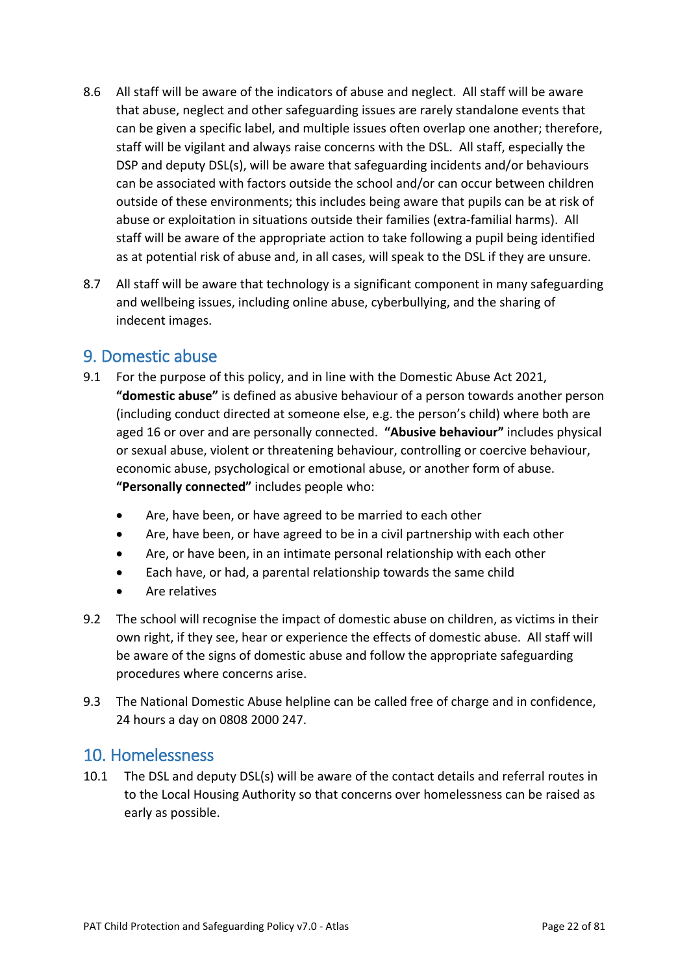- 8.6 All staff will be aware of the indicators of abuse and neglect. All staff will be aware that abuse, neglect and other safeguarding issues are rarely standalone events that can be given a specific label, and multiple issues often overlap one another; therefore, staff will be vigilant and always raise concerns with the DSL. All staff, especially the DSP and deputy DSL(s), will be aware that safeguarding incidents and/or behaviours can be associated with factors outside the school and/or can occur between children outside of these environments; this includes being aware that pupils can be at risk of abuse or exploitation in situations outside their families (extra-familial harms). All staff will be aware of the appropriate action to take following a pupil being identified as at potential risk of abuse and, in all cases, will speak to the DSL if they are unsure.
- 8.7 All staff will be aware that technology is a significant component in many safeguarding and wellbeing issues, including online abuse, cyberbullying, and the sharing of indecent images.

### <span id="page-21-0"></span>9. Domestic abuse

- 9.1 For the purpose of this policy, and in line with the Domestic Abuse Act 2021, **"domestic abuse"** is defined as abusive behaviour of a person towards another person (including conduct directed at someone else, e.g. the person's child) where both are aged 16 or over and are personally connected. **"Abusive behaviour"** includes physical or sexual abuse, violent or threatening behaviour, controlling or coercive behaviour, economic abuse, psychological or emotional abuse, or another form of abuse. **"Personally connected"** includes people who:
	- Are, have been, or have agreed to be married to each other
	- Are, have been, or have agreed to be in a civil partnership with each other
	- Are, or have been, in an intimate personal relationship with each other
	- Each have, or had, a parental relationship towards the same child
	- Are relatives
- 9.2 The school will recognise the impact of domestic abuse on children, as victims in their own right, if they see, hear or experience the effects of domestic abuse. All staff will be aware of the signs of domestic abuse and follow the appropriate safeguarding procedures where concerns arise.
- 9.3 The National Domestic Abuse helpline can be called free of charge and in confidence, 24 hours a day on 0808 2000 247.

### <span id="page-21-1"></span>10. Homelessness

10.1 The DSL and deputy DSL(s) will be aware of the contact details and referral routes in to the Local Housing Authority so that concerns over homelessness can be raised as early as possible.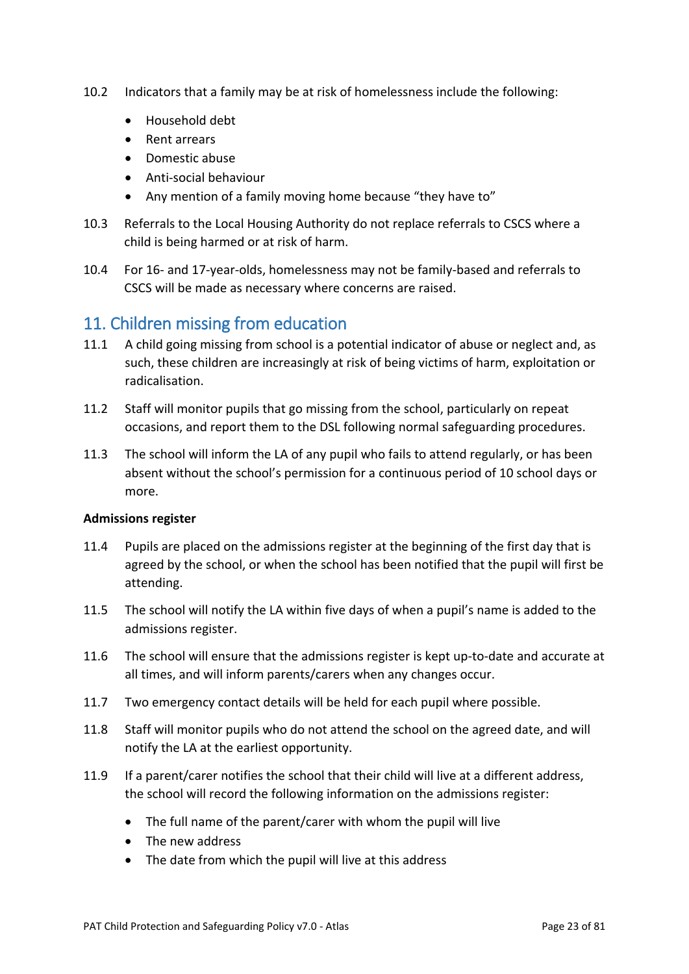- 10.2 Indicators that a family may be at risk of homelessness include the following:
	- Household debt
	- Rent arrears
	- Domestic abuse
	- Anti-social behaviour
	- Any mention of a family moving home because "they have to"
- 10.3 Referrals to the Local Housing Authority do not replace referrals to CSCS where a child is being harmed or at risk of harm.
- 10.4 For 16- and 17-year-olds, homelessness may not be family-based and referrals to CSCS will be made as necessary where concerns are raised.

### <span id="page-22-0"></span>11. Children missing from education

- 11.1 A child going missing from school is a potential indicator of abuse or neglect and, as such, these children are increasingly at risk of being victims of harm, exploitation or radicalisation.
- 11.2 Staff will monitor pupils that go missing from the school, particularly on repeat occasions, and report them to the DSL following normal safeguarding procedures.
- 11.3 The school will inform the LA of any pupil who fails to attend regularly, or has been absent without the school's permission for a continuous period of 10 school days or more.

#### **Admissions register**

- 11.4 Pupils are placed on the admissions register at the beginning of the first day that is agreed by the school, or when the school has been notified that the pupil will first be attending.
- 11.5 The school will notify the LA within five days of when a pupil's name is added to the admissions register.
- 11.6 The school will ensure that the admissions register is kept up-to-date and accurate at all times, and will inform parents/carers when any changes occur.
- 11.7 Two emergency contact details will be held for each pupil where possible.
- 11.8 Staff will monitor pupils who do not attend the school on the agreed date, and will notify the LA at the earliest opportunity.
- 11.9 If a parent/carer notifies the school that their child will live at a different address, the school will record the following information on the admissions register:
	- The full name of the parent/carer with whom the pupil will live
	- The new address
	- The date from which the pupil will live at this address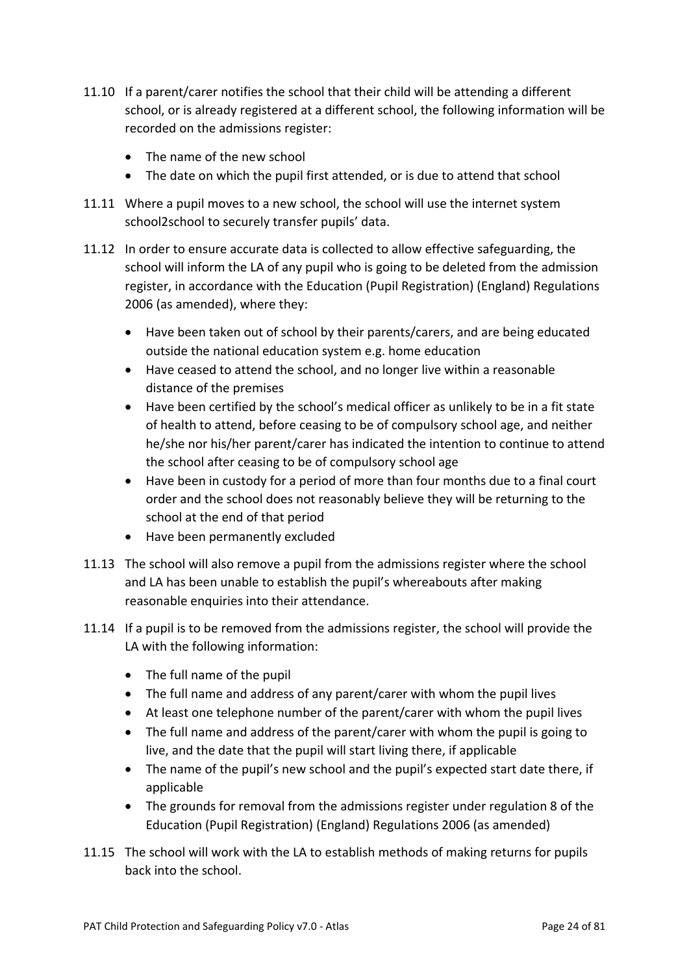- 11.10 If a parent/carer notifies the school that their child will be attending a different school, or is already registered at a different school, the following information will be recorded on the admissions register:
	- The name of the new school
	- The date on which the pupil first attended, or is due to attend that school
- 11.11 Where a pupil moves to a new school, the school will use the internet system school2school to securely transfer pupils' data.
- 11.12 In order to ensure accurate data is collected to allow effective safeguarding, the school will inform the LA of any pupil who is going to be deleted from the admission register, in accordance with the Education (Pupil Registration) (England) Regulations 2006 (as amended), where they:
	- Have been taken out of school by their parents/carers, and are being educated outside the national education system e.g. home education
	- Have ceased to attend the school, and no longer live within a reasonable distance of the premises
	- Have been certified by the school's medical officer as unlikely to be in a fit state of health to attend, before ceasing to be of compulsory school age, and neither he/she nor his/her parent/carer has indicated the intention to continue to attend the school after ceasing to be of compulsory school age
	- Have been in custody for a period of more than four months due to a final court order and the school does not reasonably believe they will be returning to the school at the end of that period
	- Have been permanently excluded
- 11.13 The school will also remove a pupil from the admissions register where the school and LA has been unable to establish the pupil's whereabouts after making reasonable enquiries into their attendance.
- 11.14 If a pupil is to be removed from the admissions register, the school will provide the LA with the following information:
	- The full name of the pupil
	- The full name and address of any parent/carer with whom the pupil lives
	- At least one telephone number of the parent/carer with whom the pupil lives
	- The full name and address of the parent/carer with whom the pupil is going to live, and the date that the pupil will start living there, if applicable
	- The name of the pupil's new school and the pupil's expected start date there, if applicable
	- The grounds for removal from the admissions register under regulation 8 of the Education (Pupil Registration) (England) Regulations 2006 (as amended)
- 11.15 The school will work with the LA to establish methods of making returns for pupils back into the school.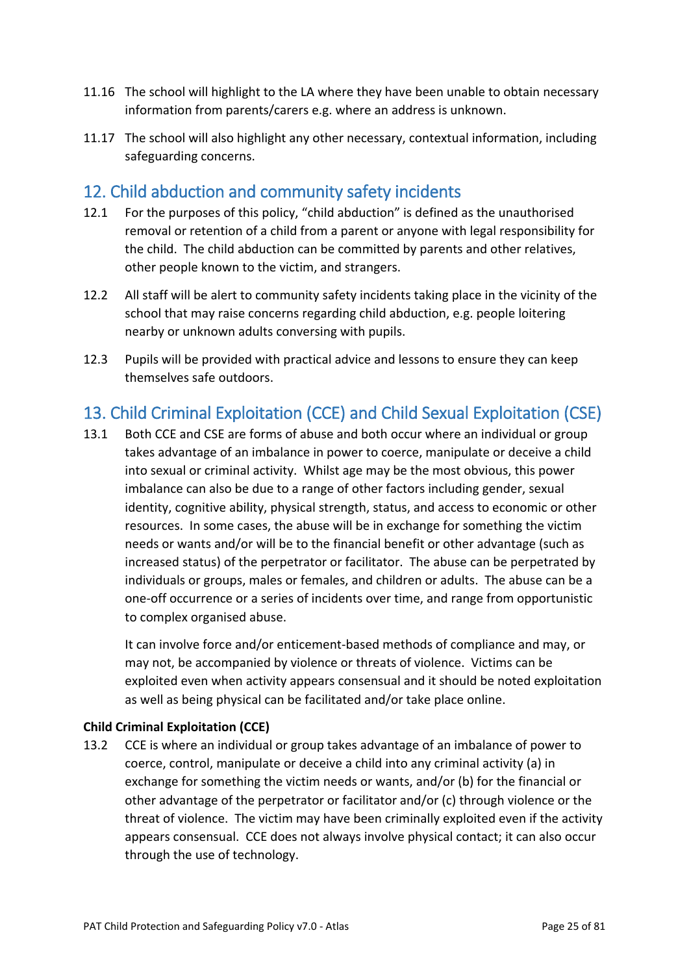- 11.16 The school will highlight to the LA where they have been unable to obtain necessary information from parents/carers e.g. where an address is unknown.
- 11.17 The school will also highlight any other necessary, contextual information, including safeguarding concerns.

### <span id="page-24-0"></span>12. Child abduction and community safety incidents

- 12.1 For the purposes of this policy, "child abduction" is defined as the unauthorised removal or retention of a child from a parent or anyone with legal responsibility for the child. The child abduction can be committed by parents and other relatives, other people known to the victim, and strangers.
- 12.2 All staff will be alert to community safety incidents taking place in the vicinity of the school that may raise concerns regarding child abduction, e.g. people loitering nearby or unknown adults conversing with pupils.
- 12.3 Pupils will be provided with practical advice and lessons to ensure they can keep themselves safe outdoors.

# <span id="page-24-1"></span>13. Child Criminal Exploitation (CCE) and Child Sexual Exploitation (CSE)

13.1 Both CCE and CSE are forms of abuse and both occur where an individual or group takes advantage of an imbalance in power to coerce, manipulate or deceive a child into sexual or criminal activity. Whilst age may be the most obvious, this power imbalance can also be due to a range of other factors including gender, sexual identity, cognitive ability, physical strength, status, and access to economic or other resources. In some cases, the abuse will be in exchange for something the victim needs or wants and/or will be to the financial benefit or other advantage (such as increased status) of the perpetrator or facilitator. The abuse can be perpetrated by individuals or groups, males or females, and children or adults. The abuse can be a one-off occurrence or a series of incidents over time, and range from opportunistic to complex organised abuse.

It can involve force and/or enticement-based methods of compliance and may, or may not, be accompanied by violence or threats of violence. Victims can be exploited even when activity appears consensual and it should be noted exploitation as well as being physical can be facilitated and/or take place online.

#### <span id="page-24-2"></span>**Child Criminal Exploitation (CCE)**

13.2 CCE is where an individual or group takes advantage of an imbalance of power to coerce, control, manipulate or deceive a child into any criminal activity (a) in exchange for something the victim needs or wants, and/or (b) for the financial or other advantage of the perpetrator or facilitator and/or (c) through violence or the threat of violence. The victim may have been criminally exploited even if the activity appears consensual. CCE does not always involve physical contact; it can also occur through the use of technology.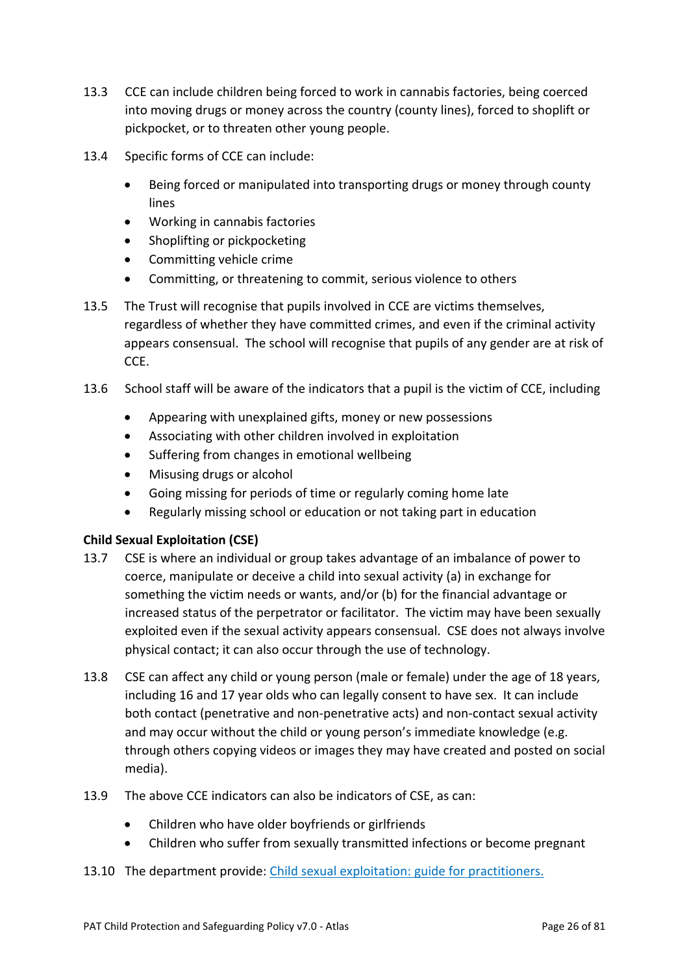- 13.3 CCE can include children being forced to work in cannabis factories, being coerced into moving drugs or money across the country (county lines), forced to shoplift or pickpocket, or to threaten other young people.
- 13.4 Specific forms of CCE can include:
	- Being forced or manipulated into transporting drugs or money through county lines
	- Working in cannabis factories
	- Shoplifting or pickpocketing
	- Committing vehicle crime
	- Committing, or threatening to commit, serious violence to others
- 13.5 The Trust will recognise that pupils involved in CCE are victims themselves, regardless of whether they have committed crimes, and even if the criminal activity appears consensual. The school will recognise that pupils of any gender are at risk of CCE.
- 13.6 School staff will be aware of the indicators that a pupil is the victim of CCE, including
	- Appearing with unexplained gifts, money or new possessions
	- Associating with other children involved in exploitation
	- Suffering from changes in emotional wellbeing
	- Misusing drugs or alcohol
	- Going missing for periods of time or regularly coming home late
	- Regularly missing school or education or not taking part in education

#### <span id="page-25-0"></span>**Child Sexual Exploitation (CSE)**

- 13.7 CSE is where an individual or group takes advantage of an imbalance of power to coerce, manipulate or deceive a child into sexual activity (a) in exchange for something the victim needs or wants, and/or (b) for the financial advantage or increased status of the perpetrator or facilitator. The victim may have been sexually exploited even if the sexual activity appears consensual. CSE does not always involve physical contact; it can also occur through the use of technology.
- 13.8 CSE can affect any child or young person (male or female) under the age of 18 years, including 16 and 17 year olds who can legally consent to have sex. It can include both contact (penetrative and non-penetrative acts) and non-contact sexual activity and may occur without the child or young person's immediate knowledge (e.g. through others copying videos or images they may have created and posted on social media).
- 13.9 The above CCE indicators can also be indicators of CSE, as can:
	- Children who have older boyfriends or girlfriends
	- Children who suffer from sexually transmitted infections or become pregnant
- 13.10 The department provide: Child sexual exploitation: guide for practitioners.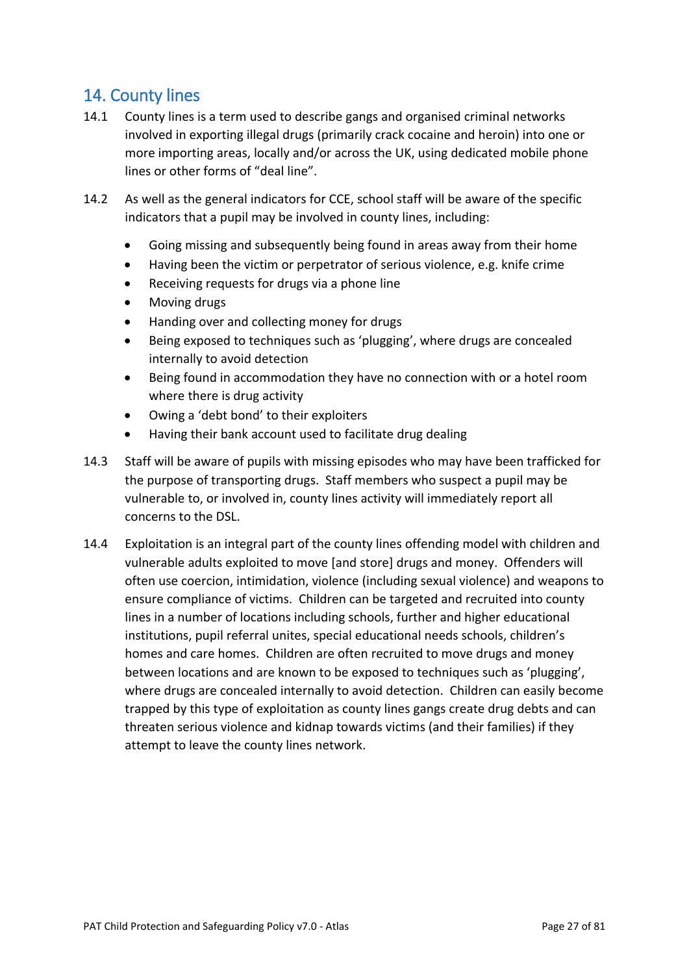# <span id="page-26-0"></span>14. County lines

- 14.1 County lines is a term used to describe gangs and organised criminal networks involved in exporting illegal drugs (primarily crack cocaine and heroin) into one or more importing areas, locally and/or across the UK, using dedicated mobile phone lines or other forms of "deal line".
- 14.2 As well as the general indicators for CCE, school staff will be aware of the specific indicators that a pupil may be involved in county lines, including:
	- Going missing and subsequently being found in areas away from their home
	- Having been the victim or perpetrator of serious violence, e.g. knife crime
	- Receiving requests for drugs via a phone line
	- Moving drugs
	- Handing over and collecting money for drugs
	- Being exposed to techniques such as 'plugging', where drugs are concealed internally to avoid detection
	- Being found in accommodation they have no connection with or a hotel room where there is drug activity
	- Owing a 'debt bond' to their exploiters
	- Having their bank account used to facilitate drug dealing
- 14.3 Staff will be aware of pupils with missing episodes who may have been trafficked for the purpose of transporting drugs. Staff members who suspect a pupil may be vulnerable to, or involved in, county lines activity will immediately report all concerns to the DSL.
- 14.4 Exploitation is an integral part of the county lines offending model with children and vulnerable adults exploited to move [and store] drugs and money. Offenders will often use coercion, intimidation, violence (including sexual violence) and weapons to ensure compliance of victims. Children can be targeted and recruited into county lines in a number of locations including schools, further and higher educational institutions, pupil referral unites, special educational needs schools, children's homes and care homes. Children are often recruited to move drugs and money between locations and are known to be exposed to techniques such as 'plugging', where drugs are concealed internally to avoid detection. Children can easily become trapped by this type of exploitation as county lines gangs create drug debts and can threaten serious violence and kidnap towards victims (and their families) if they attempt to leave the county lines network.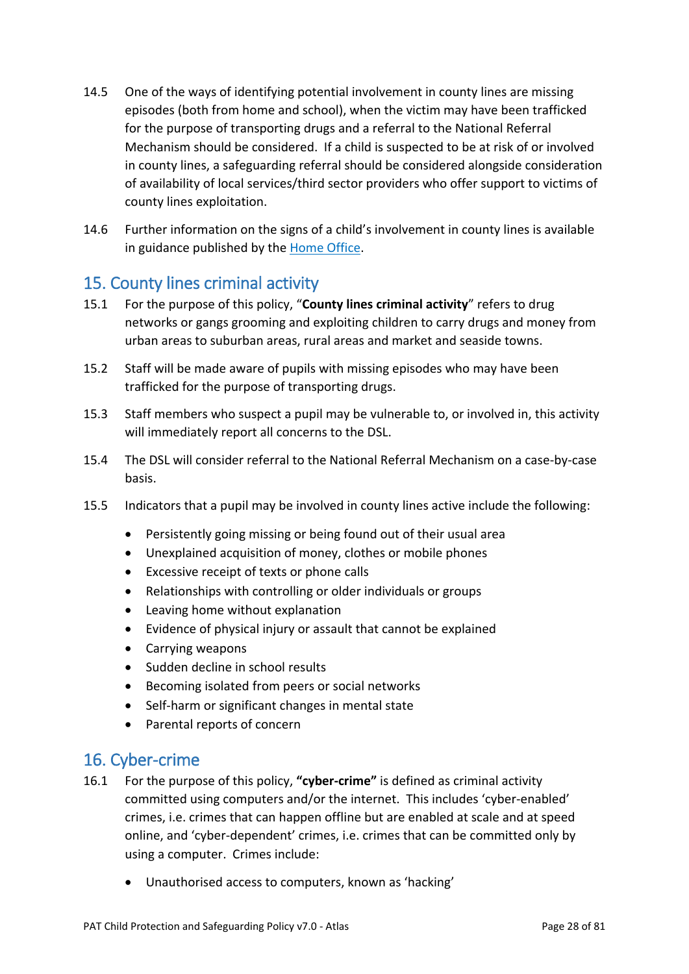- 14.5 One of the ways of identifying potential involvement in county lines are missing episodes (both from home and school), when the victim may have been trafficked for the purpose of transporting drugs and a referral to the National Referral Mechanism should be considered. If a child is suspected to be at risk of or involved in county lines, a safeguarding referral should be considered alongside consideration of availability of local services/third sector providers who offer support to victims of county lines exploitation.
- 14.6 Further information on the signs of a child's involvement in county lines is available in guidance published by the Home Office.

# <span id="page-27-0"></span>15. County lines criminal activity

- 15.1 For the purpose of this policy, "**County lines criminal activity**" refers to drug networks or gangs grooming and exploiting children to carry drugs and money from urban areas to suburban areas, rural areas and market and seaside towns.
- 15.2 Staff will be made aware of pupils with missing episodes who may have been trafficked for the purpose of transporting drugs.
- 15.3 Staff members who suspect a pupil may be vulnerable to, or involved in, this activity will immediately report all concerns to the DSL.
- 15.4 The DSL will consider referral to the National Referral Mechanism on a case-by-case basis.
- 15.5 Indicators that a pupil may be involved in county lines active include the following:
	- Persistently going missing or being found out of their usual area
	- Unexplained acquisition of money, clothes or mobile phones
	- Excessive receipt of texts or phone calls
	- Relationships with controlling or older individuals or groups
	- Leaving home without explanation
	- Evidence of physical injury or assault that cannot be explained
	- Carrying weapons
	- Sudden decline in school results
	- Becoming isolated from peers or social networks
	- Self-harm or significant changes in mental state
	- Parental reports of concern

### <span id="page-27-1"></span>16. Cyber-crime

- 16.1 For the purpose of this policy, **"cyber-crime"** is defined as criminal activity committed using computers and/or the internet. This includes 'cyber-enabled' crimes, i.e. crimes that can happen offline but are enabled at scale and at speed online, and 'cyber-dependent' crimes, i.e. crimes that can be committed only by using a computer. Crimes include:
	- Unauthorised access to computers, known as 'hacking'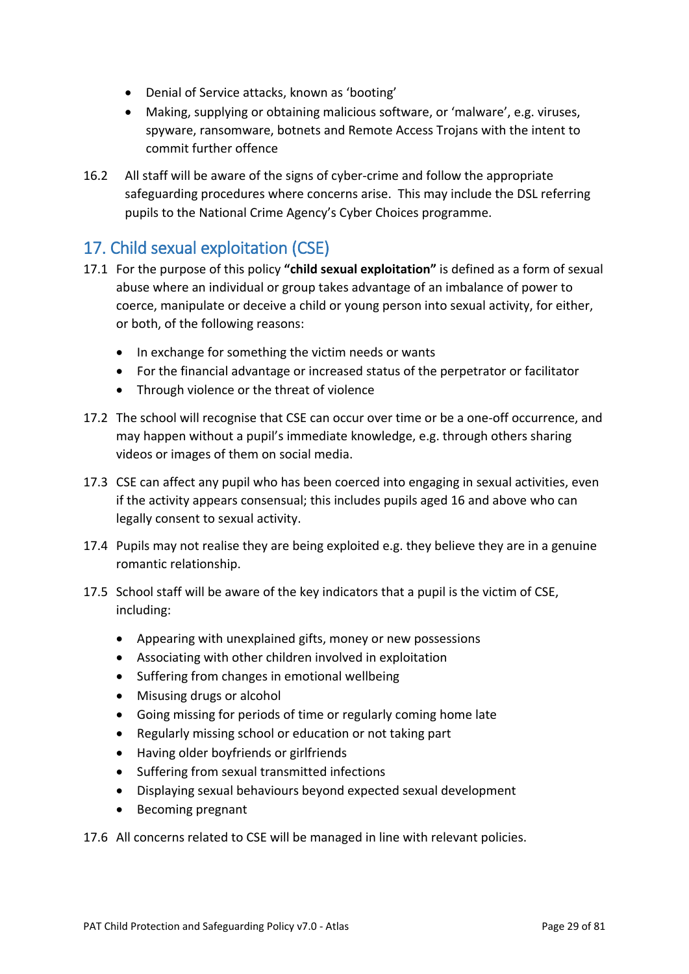- Denial of Service attacks, known as 'booting'
- Making, supplying or obtaining malicious software, or 'malware', e.g. viruses, spyware, ransomware, botnets and Remote Access Trojans with the intent to commit further offence
- 16.2 All staff will be aware of the signs of cyber-crime and follow the appropriate safeguarding procedures where concerns arise. This may include the DSL referring pupils to the National Crime Agency's Cyber Choices programme.

# <span id="page-28-0"></span>17. Child sexual exploitation (CSE)

- 17.1 For the purpose of this policy **"child sexual exploitation"** is defined as a form of sexual abuse where an individual or group takes advantage of an imbalance of power to coerce, manipulate or deceive a child or young person into sexual activity, for either, or both, of the following reasons:
	- In exchange for something the victim needs or wants
	- For the financial advantage or increased status of the perpetrator or facilitator
	- Through violence or the threat of violence
- 17.2 The school will recognise that CSE can occur over time or be a one-off occurrence, and may happen without a pupil's immediate knowledge, e.g. through others sharing videos or images of them on social media.
- 17.3 CSE can affect any pupil who has been coerced into engaging in sexual activities, even if the activity appears consensual; this includes pupils aged 16 and above who can legally consent to sexual activity.
- 17.4 Pupils may not realise they are being exploited e.g. they believe they are in a genuine romantic relationship.
- 17.5 School staff will be aware of the key indicators that a pupil is the victim of CSE, including:
	- Appearing with unexplained gifts, money or new possessions
	- Associating with other children involved in exploitation
	- Suffering from changes in emotional wellbeing
	- Misusing drugs or alcohol
	- Going missing for periods of time or regularly coming home late
	- Regularly missing school or education or not taking part
	- Having older boyfriends or girlfriends
	- Suffering from sexual transmitted infections
	- Displaying sexual behaviours beyond expected sexual development
	- Becoming pregnant

17.6 All concerns related to CSE will be managed in line with relevant policies.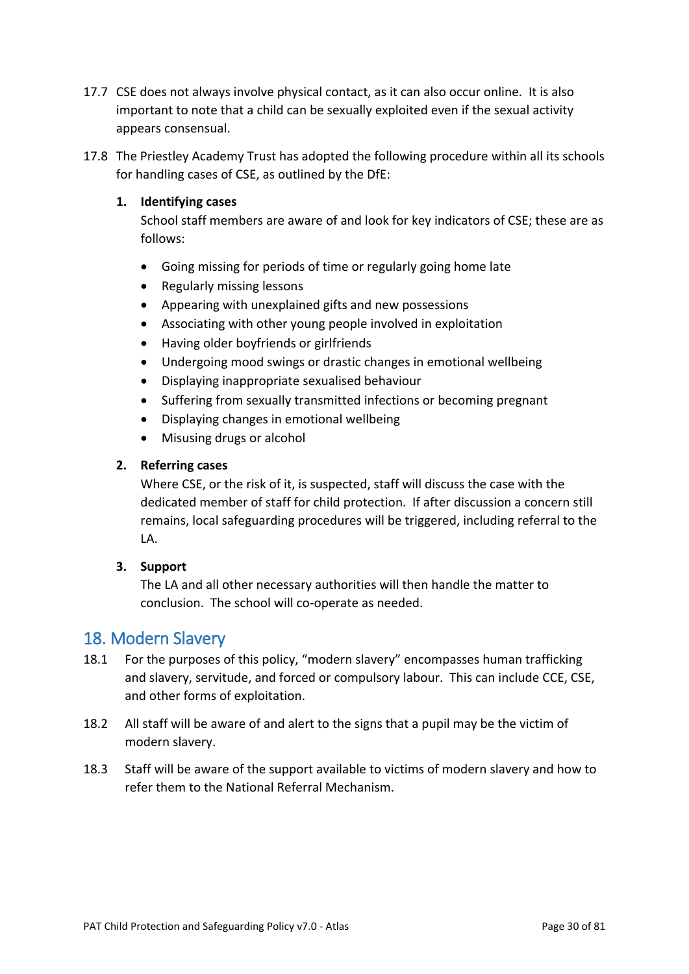- 17.7 CSE does not always involve physical contact, as it can also occur online. It is also important to note that a child can be sexually exploited even if the sexual activity appears consensual.
- 17.8 The Priestley Academy Trust has adopted the following procedure within all its schools for handling cases of CSE, as outlined by the DfE:

#### **1. Identifying cases**

School staff members are aware of and look for key indicators of CSE; these are as follows:

- Going missing for periods of time or regularly going home late
- Regularly missing lessons
- Appearing with unexplained gifts and new possessions
- Associating with other young people involved in exploitation
- Having older boyfriends or girlfriends
- Undergoing mood swings or drastic changes in emotional wellbeing
- Displaying inappropriate sexualised behaviour
- Suffering from sexually transmitted infections or becoming pregnant
- Displaying changes in emotional wellbeing
- Misusing drugs or alcohol

#### **2. Referring cases**

Where CSE, or the risk of it, is suspected, staff will discuss the case with the dedicated member of staff for child protection. If after discussion a concern still remains, local safeguarding procedures will be triggered, including referral to the LA.

#### **3. Support**

The LA and all other necessary authorities will then handle the matter to conclusion. The school will co-operate as needed.

### <span id="page-29-0"></span>18. Modern Slavery

- 18.1 For the purposes of this policy, "modern slavery" encompasses human trafficking and slavery, servitude, and forced or compulsory labour. This can include CCE, CSE, and other forms of exploitation.
- 18.2 All staff will be aware of and alert to the signs that a pupil may be the victim of modern slavery.
- 18.3 Staff will be aware of the support available to victims of modern slavery and how to refer them to the National Referral Mechanism.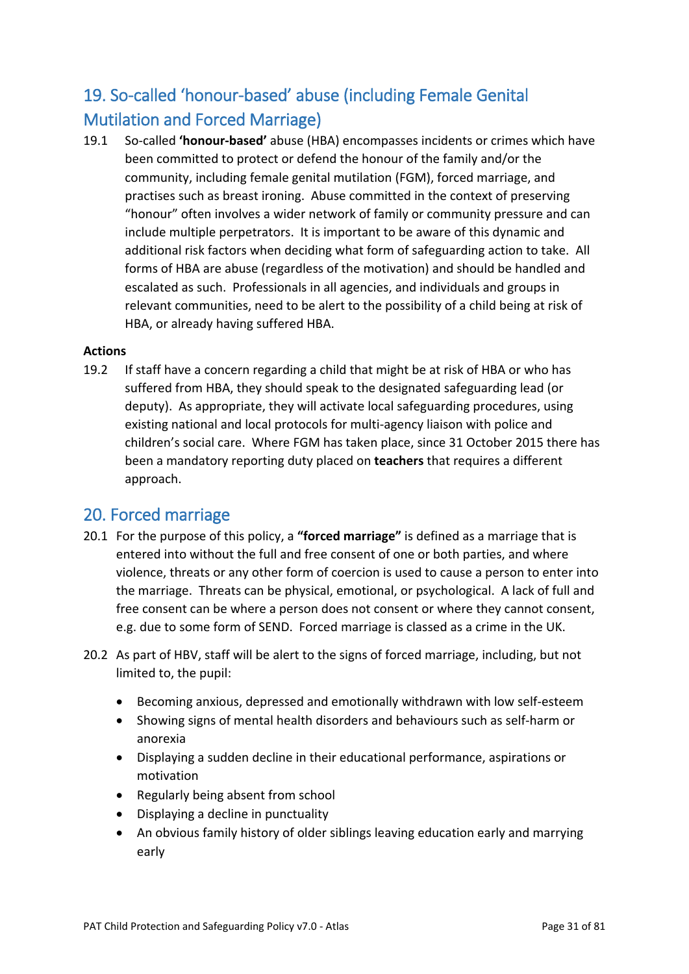# <span id="page-30-0"></span>19. So-called 'honour-based' abuse (including Female Genital Mutilation and Forced Marriage)

19.1 So-called **'honour-based'** abuse (HBA) encompasses incidents or crimes which have been committed to protect or defend the honour of the family and/or the community, including female genital mutilation (FGM), forced marriage, and practises such as breast ironing. Abuse committed in the context of preserving "honour" often involves a wider network of family or community pressure and can include multiple perpetrators. It is important to be aware of this dynamic and additional risk factors when deciding what form of safeguarding action to take. All forms of HBA are abuse (regardless of the motivation) and should be handled and escalated as such. Professionals in all agencies, and individuals and groups in relevant communities, need to be alert to the possibility of a child being at risk of HBA, or already having suffered HBA.

#### <span id="page-30-1"></span>**Actions**

19.2 If staff have a concern regarding a child that might be at risk of HBA or who has suffered from HBA, they should speak to the designated safeguarding lead (or deputy). As appropriate, they will activate local safeguarding procedures, using existing national and local protocols for multi-agency liaison with police and children's social care. Where FGM has taken place, since 31 October 2015 there has been a mandatory reporting duty placed on **teachers** that requires a different approach.

### <span id="page-30-2"></span>20. Forced marriage

- 20.1 For the purpose of this policy, a **"forced marriage"** is defined as a marriage that is entered into without the full and free consent of one or both parties, and where violence, threats or any other form of coercion is used to cause a person to enter into the marriage. Threats can be physical, emotional, or psychological. A lack of full and free consent can be where a person does not consent or where they cannot consent, e.g. due to some form of SEND. Forced marriage is classed as a crime in the UK.
- 20.2 As part of HBV, staff will be alert to the signs of forced marriage, including, but not limited to, the pupil:
	- Becoming anxious, depressed and emotionally withdrawn with low self-esteem
	- Showing signs of mental health disorders and behaviours such as self-harm or anorexia
	- Displaying a sudden decline in their educational performance, aspirations or motivation
	- Regularly being absent from school
	- Displaying a decline in punctuality
	- An obvious family history of older siblings leaving education early and marrying early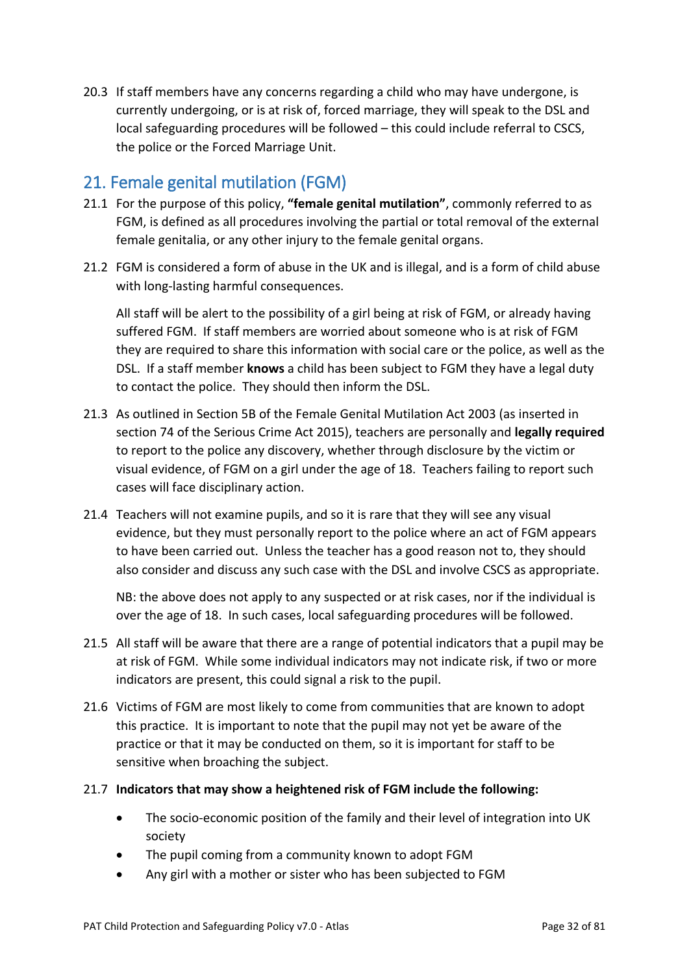20.3 If staff members have any concerns regarding a child who may have undergone, is currently undergoing, or is at risk of, forced marriage, they will speak to the DSL and local safeguarding procedures will be followed – this could include referral to CSCS, the police or the Forced Marriage Unit.

# <span id="page-31-0"></span>21. Female genital mutilation (FGM)

- 21.1 For the purpose of this policy, **"female genital mutilation"**, commonly referred to as FGM, is defined as all procedures involving the partial or total removal of the external female genitalia, or any other injury to the female genital organs.
- 21.2 FGM is considered a form of abuse in the UK and is illegal, and is a form of child abuse with long-lasting harmful consequences.

All staff will be alert to the possibility of a girl being at risk of FGM, or already having suffered FGM. If staff members are worried about someone who is at risk of FGM they are required to share this information with social care or the police, as well as the DSL. If a staff member **knows** a child has been subject to FGM they have a legal duty to contact the police. They should then inform the DSL.

- 21.3 As outlined in Section 5B of the Female Genital Mutilation Act 2003 (as inserted in section 74 of the Serious Crime Act 2015), teachers are personally and **legally required** to report to the police any discovery, whether through disclosure by the victim or visual evidence, of FGM on a girl under the age of 18. Teachers failing to report such cases will face disciplinary action.
- 21.4 Teachers will not examine pupils, and so it is rare that they will see any visual evidence, but they must personally report to the police where an act of FGM appears to have been carried out. Unless the teacher has a good reason not to, they should also consider and discuss any such case with the DSL and involve CSCS as appropriate.

NB: the above does not apply to any suspected or at risk cases, nor if the individual is over the age of 18. In such cases, local safeguarding procedures will be followed.

- 21.5 All staff will be aware that there are a range of potential indicators that a pupil may be at risk of FGM. While some individual indicators may not indicate risk, if two or more indicators are present, this could signal a risk to the pupil.
- 21.6 Victims of FGM are most likely to come from communities that are known to adopt this practice. It is important to note that the pupil may not yet be aware of the practice or that it may be conducted on them, so it is important for staff to be sensitive when broaching the subject.
- 21.7 **Indicators that may show a heightened risk of FGM include the following:**
	- The socio-economic position of the family and their level of integration into UK society
	- The pupil coming from a community known to adopt FGM
	- Any girl with a mother or sister who has been subjected to FGM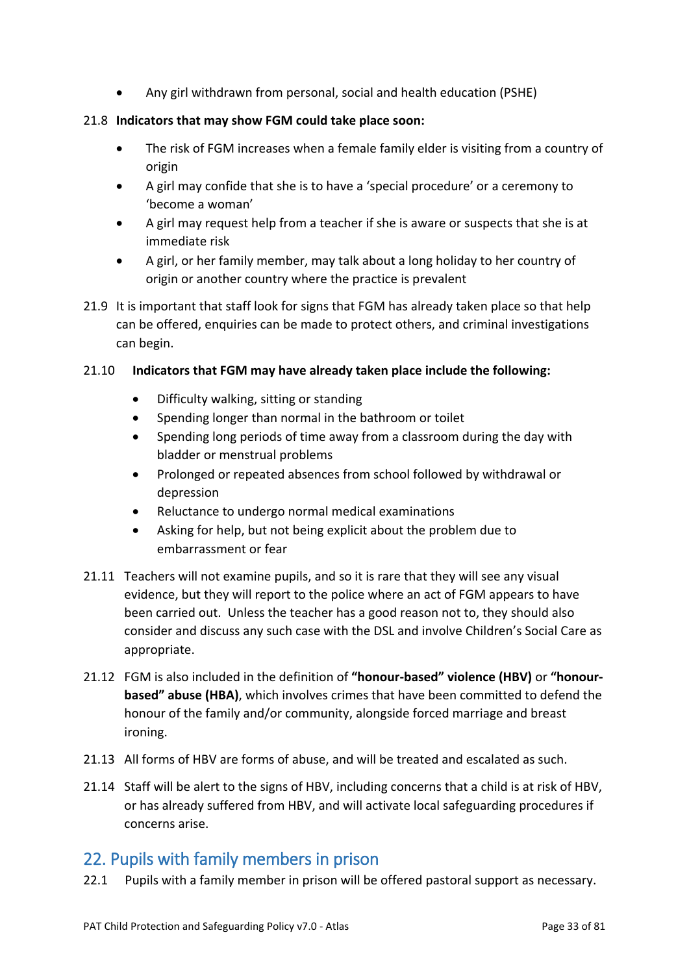• Any girl withdrawn from personal, social and health education (PSHE)

#### 21.8 **Indicators that may show FGM could take place soon:**

- The risk of FGM increases when a female family elder is visiting from a country of origin
- A girl may confide that she is to have a 'special procedure' or a ceremony to 'become a woman'
- A girl may request help from a teacher if she is aware or suspects that she is at immediate risk
- A girl, or her family member, may talk about a long holiday to her country of origin or another country where the practice is prevalent
- 21.9 It is important that staff look for signs that FGM has already taken place so that help can be offered, enquiries can be made to protect others, and criminal investigations can begin.

#### 21.10 **Indicators that FGM may have already taken place include the following:**

- Difficulty walking, sitting or standing
- Spending longer than normal in the bathroom or toilet
- Spending long periods of time away from a classroom during the day with bladder or menstrual problems
- Prolonged or repeated absences from school followed by withdrawal or depression
- Reluctance to undergo normal medical examinations
- Asking for help, but not being explicit about the problem due to embarrassment or fear
- 21.11 Teachers will not examine pupils, and so it is rare that they will see any visual evidence, but they will report to the police where an act of FGM appears to have been carried out. Unless the teacher has a good reason not to, they should also consider and discuss any such case with the DSL and involve Children's Social Care as appropriate.
- 21.12 FGM is also included in the definition of **"honour-based" violence (HBV)** or **"honourbased" abuse (HBA)**, which involves crimes that have been committed to defend the honour of the family and/or community, alongside forced marriage and breast ironing.
- 21.13 All forms of HBV are forms of abuse, and will be treated and escalated as such.
- 21.14 Staff will be alert to the signs of HBV, including concerns that a child is at risk of HBV, or has already suffered from HBV, and will activate local safeguarding procedures if concerns arise.

# <span id="page-32-0"></span>22. Pupils with family members in prison

22.1 Pupils with a family member in prison will be offered pastoral support as necessary.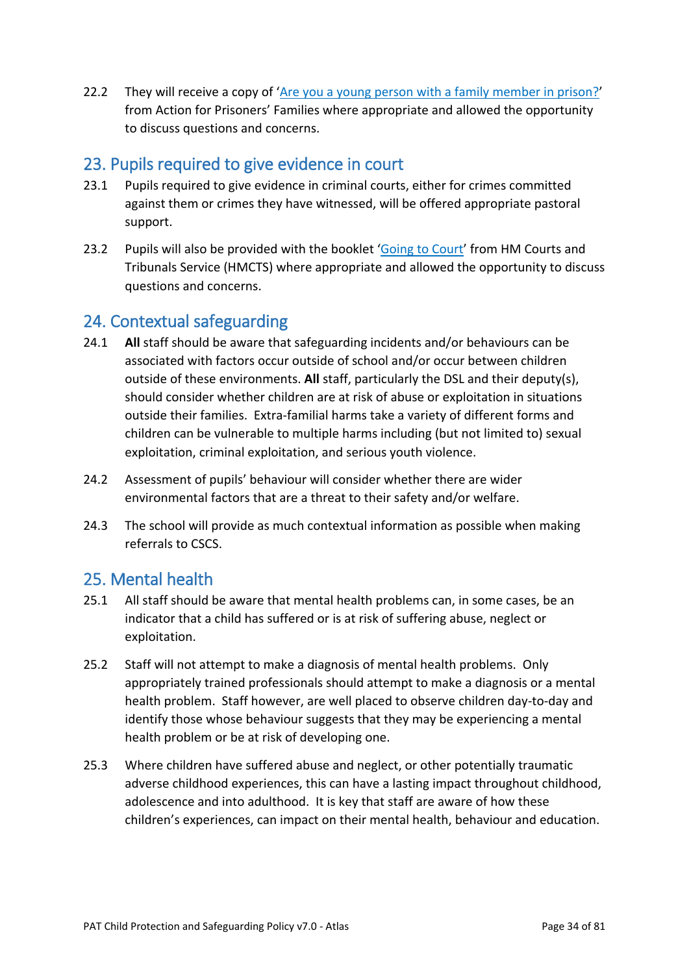22.2 They will receive a copy of '[Are you a young person with a family member in prison?](https://www.nicco.org.uk/directory-of-resources)' from Action for Prisoners' Families where appropriate and allowed the opportunity to discuss questions and concerns.

### <span id="page-33-0"></span>23. Pupils required to give evidence in court

- 23.1 Pupils required to give evidence in criminal courts, either for crimes committed against them or crimes they have witnessed, will be offered appropriate pastoral support.
- 23.2 Pupils will also be provided with the booklet '[Going to Court](https://www.gov.uk/government/publications/young-witness-booklet-for-5-to-11-year-olds)' from HM Courts and Tribunals Service (HMCTS) where appropriate and allowed the opportunity to discuss questions and concerns.

### <span id="page-33-1"></span>24. Contextual safeguarding

- 24.1 **All** staff should be aware that safeguarding incidents and/or behaviours can be associated with factors occur outside of school and/or occur between children outside of these environments. **All** staff, particularly the DSL and their deputy(s), should consider whether children are at risk of abuse or exploitation in situations outside their families. Extra-familial harms take a variety of different forms and children can be vulnerable to multiple harms including (but not limited to) sexual exploitation, criminal exploitation, and serious youth violence.
- 24.2 Assessment of pupils' behaviour will consider whether there are wider environmental factors that are a threat to their safety and/or welfare.
- 24.3 The school will provide as much contextual information as possible when making referrals to CSCS.

### <span id="page-33-2"></span>25. Mental health

- 25.1 All staff should be aware that mental health problems can, in some cases, be an indicator that a child has suffered or is at risk of suffering abuse, neglect or exploitation.
- 25.2 Staff will not attempt to make a diagnosis of mental health problems. Only appropriately trained professionals should attempt to make a diagnosis or a mental health problem. Staff however, are well placed to observe children day-to-day and identify those whose behaviour suggests that they may be experiencing a mental health problem or be at risk of developing one.
- 25.3 Where children have suffered abuse and neglect, or other potentially traumatic adverse childhood experiences, this can have a lasting impact throughout childhood, adolescence and into adulthood. It is key that staff are aware of how these children's experiences, can impact on their mental health, behaviour and education.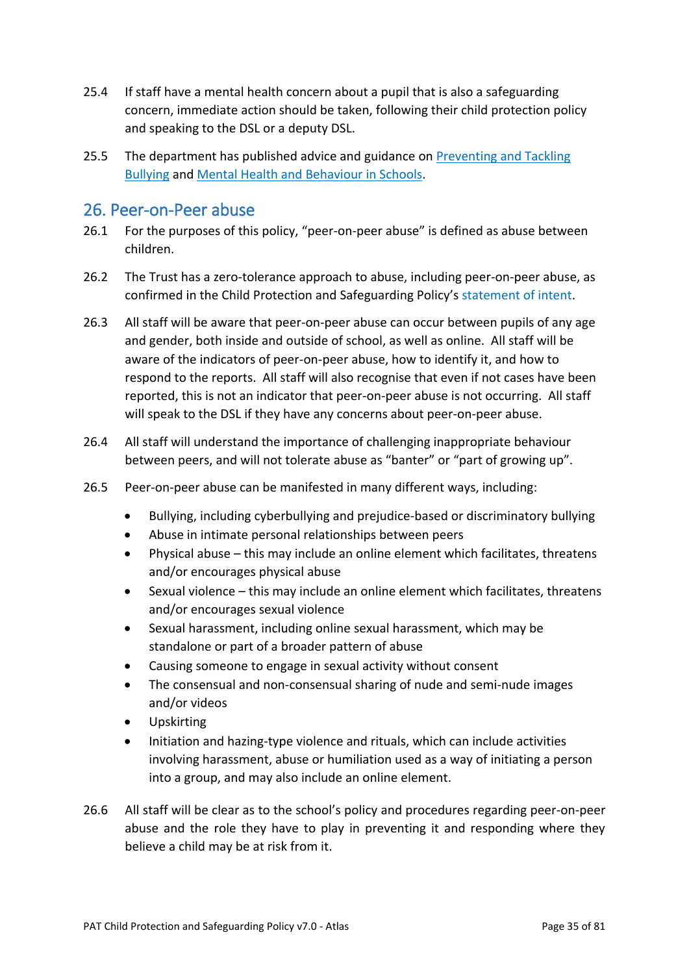- 25.4 If staff have a mental health concern about a pupil that is also a safeguarding concern, immediate action should be taken, following their child protection policy and speaking to the DSL or a deputy DSL.
- 25.5 The department has published advice and guidance on Preventing and Tackling Bullying and Mental Health and Behaviour in Schools.

### <span id="page-34-0"></span>26. Peer-on-Peer abuse

- 26.1 For the purposes of this policy, "peer-on-peer abuse" is defined as abuse between children.
- 26.2 The Trust has a zero-tolerance approach to abuse, including peer-on-peer abuse, as confirmed in the Child Protection and Safeguarding Policy's statement of intent.
- 26.3 All staff will be aware that peer-on-peer abuse can occur between pupils of any age and gender, both inside and outside of school, as well as online. All staff will be aware of the indicators of peer-on-peer abuse, how to identify it, and how to respond to the reports. All staff will also recognise that even if not cases have been reported, this is not an indicator that peer-on-peer abuse is not occurring. All staff will speak to the DSL if they have any concerns about peer-on-peer abuse.
- 26.4 All staff will understand the importance of challenging inappropriate behaviour between peers, and will not tolerate abuse as "banter" or "part of growing up".
- 26.5 Peer-on-peer abuse can be manifested in many different ways, including:
	- Bullying, including cyberbullying and prejudice-based or discriminatory bullying
	- Abuse in intimate personal relationships between peers
	- Physical abuse this may include an online element which facilitates, threatens and/or encourages physical abuse
	- Sexual violence this may include an online element which facilitates, threatens and/or encourages sexual violence
	- Sexual harassment, including online sexual harassment, which may be standalone or part of a broader pattern of abuse
	- Causing someone to engage in sexual activity without consent
	- The consensual and non-consensual sharing of nude and semi-nude images and/or videos
	- Upskirting
	- Initiation and hazing-type violence and rituals, which can include activities involving harassment, abuse or humiliation used as a way of initiating a person into a group, and may also include an online element.
- 26.6 All staff will be clear as to the school's policy and procedures regarding peer-on-peer abuse and the role they have to play in preventing it and responding where they believe a child may be at risk from it.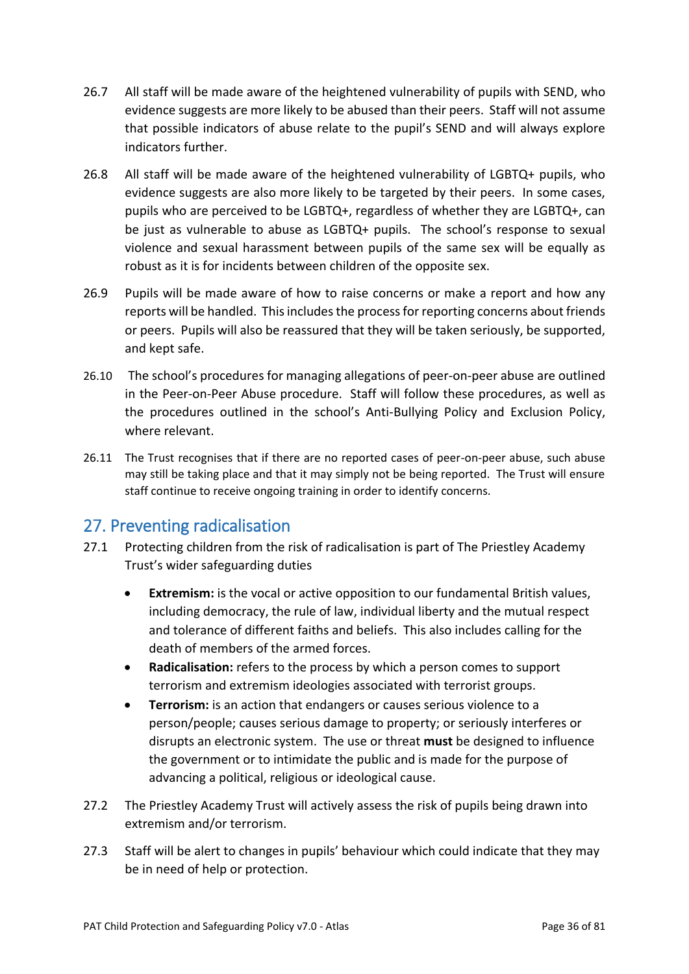- 26.7 All staff will be made aware of the heightened vulnerability of pupils with SEND, who evidence suggests are more likely to be abused than their peers. Staff will not assume that possible indicators of abuse relate to the pupil's SEND and will always explore indicators further.
- 26.8 All staff will be made aware of the heightened vulnerability of LGBTQ+ pupils, who evidence suggests are also more likely to be targeted by their peers. In some cases, pupils who are perceived to be LGBTQ+, regardless of whether they are LGBTQ+, can be just as vulnerable to abuse as LGBTQ+ pupils. The school's response to sexual violence and sexual harassment between pupils of the same sex will be equally as robust as it is for incidents between children of the opposite sex.
- 26.9 Pupils will be made aware of how to raise concerns or make a report and how any reports will be handled. This includes the process for reporting concerns about friends or peers. Pupils will also be reassured that they will be taken seriously, be supported, and kept safe.
- 26.10 The school's procedures for managing allegations of peer-on-peer abuse are outlined in the Peer-on-Peer Abuse procedure. Staff will follow these procedures, as well as the procedures outlined in the school's Anti-Bullying Policy and Exclusion Policy, where relevant.
- 26.11 The Trust recognises that if there are no reported cases of peer-on-peer abuse, such abuse may still be taking place and that it may simply not be being reported. The Trust will ensure staff continue to receive ongoing training in order to identify concerns.

### <span id="page-35-0"></span>27. Preventing radicalisation

- 27.1 Protecting children from the risk of radicalisation is part of The Priestley Academy Trust's wider safeguarding duties
	- **Extremism:** is the vocal or active opposition to our fundamental British values, including democracy, the rule of law, individual liberty and the mutual respect and tolerance of different faiths and beliefs. This also includes calling for the death of members of the armed forces.
	- **Radicalisation:** refers to the process by which a person comes to support terrorism and extremism ideologies associated with terrorist groups.
	- **Terrorism:** is an action that endangers or causes serious violence to a person/people; causes serious damage to property; or seriously interferes or disrupts an electronic system. The use or threat **must** be designed to influence the government or to intimidate the public and is made for the purpose of advancing a political, religious or ideological cause.
- 27.2 The Priestley Academy Trust will actively assess the risk of pupils being drawn into extremism and/or terrorism.
- 27.3 Staff will be alert to changes in pupils' behaviour which could indicate that they may be in need of help or protection.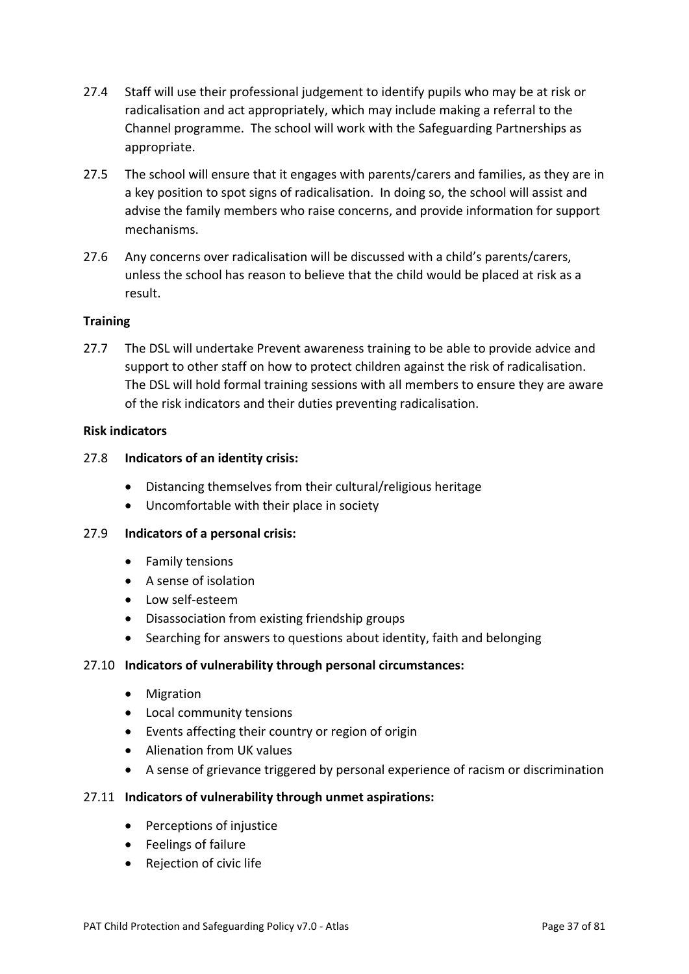- 27.4 Staff will use their professional judgement to identify pupils who may be at risk or radicalisation and act appropriately, which may include making a referral to the Channel programme. The school will work with the Safeguarding Partnerships as appropriate.
- 27.5 The school will ensure that it engages with parents/carers and families, as they are in a key position to spot signs of radicalisation. In doing so, the school will assist and advise the family members who raise concerns, and provide information for support mechanisms.
- 27.6 Any concerns over radicalisation will be discussed with a child's parents/carers, unless the school has reason to believe that the child would be placed at risk as a result.

#### **Training**

27.7 The DSL will undertake Prevent awareness training to be able to provide advice and support to other staff on how to protect children against the risk of radicalisation. The DSL will hold formal training sessions with all members to ensure they are aware of the risk indicators and their duties preventing radicalisation.

#### **Risk indicators**

#### 27.8 **Indicators of an identity crisis:**

- Distancing themselves from their cultural/religious heritage
- Uncomfortable with their place in society

#### 27.9 **Indicators of a personal crisis:**

- Family tensions
- A sense of isolation
- Low self-esteem
- Disassociation from existing friendship groups
- Searching for answers to questions about identity, faith and belonging

#### 27.10 **Indicators of vulnerability through personal circumstances:**

- Migration
- Local community tensions
- Events affecting their country or region of origin
- Alienation from UK values
- A sense of grievance triggered by personal experience of racism or discrimination

#### 27.11 **Indicators of vulnerability through unmet aspirations:**

- Perceptions of injustice
- Feelings of failure
- Rejection of civic life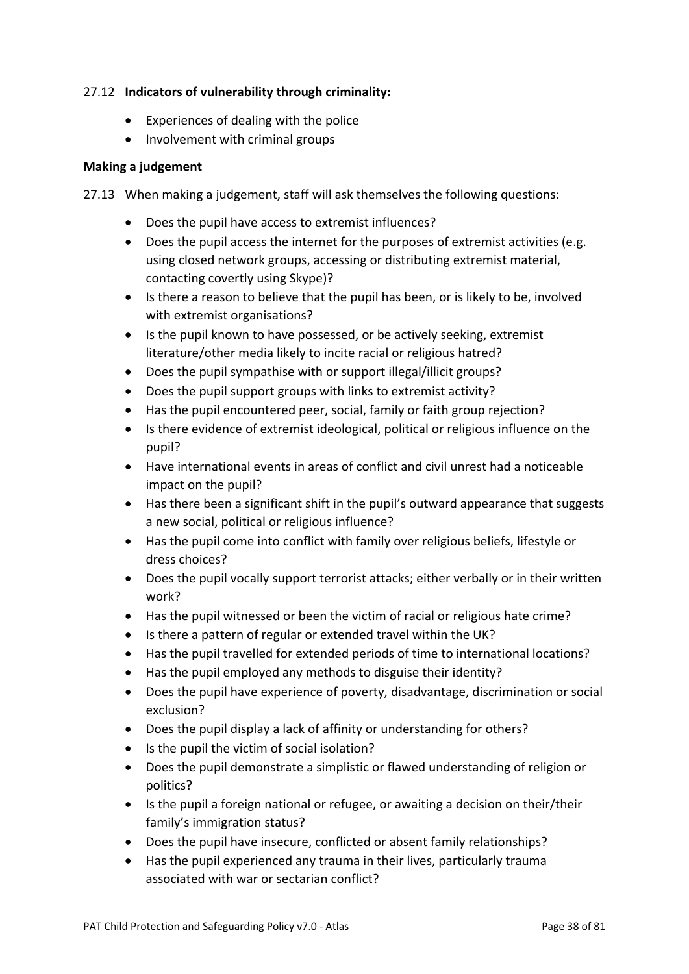### 27.12 **Indicators of vulnerability through criminality:**

- Experiences of dealing with the police
- Involvement with criminal groups

### **Making a judgement**

27.13 When making a judgement, staff will ask themselves the following questions:

- Does the pupil have access to extremist influences?
- Does the pupil access the internet for the purposes of extremist activities (e.g. using closed network groups, accessing or distributing extremist material, contacting covertly using Skype)?
- Is there a reason to believe that the pupil has been, or is likely to be, involved with extremist organisations?
- Is the pupil known to have possessed, or be actively seeking, extremist literature/other media likely to incite racial or religious hatred?
- Does the pupil sympathise with or support illegal/illicit groups?
- Does the pupil support groups with links to extremist activity?
- Has the pupil encountered peer, social, family or faith group rejection?
- Is there evidence of extremist ideological, political or religious influence on the pupil?
- Have international events in areas of conflict and civil unrest had a noticeable impact on the pupil?
- Has there been a significant shift in the pupil's outward appearance that suggests a new social, political or religious influence?
- Has the pupil come into conflict with family over religious beliefs, lifestyle or dress choices?
- Does the pupil vocally support terrorist attacks; either verbally or in their written work?
- Has the pupil witnessed or been the victim of racial or religious hate crime?
- Is there a pattern of regular or extended travel within the UK?
- Has the pupil travelled for extended periods of time to international locations?
- Has the pupil employed any methods to disguise their identity?
- Does the pupil have experience of poverty, disadvantage, discrimination or social exclusion?
- Does the pupil display a lack of affinity or understanding for others?
- Is the pupil the victim of social isolation?
- Does the pupil demonstrate a simplistic or flawed understanding of religion or politics?
- Is the pupil a foreign national or refugee, or awaiting a decision on their/their family's immigration status?
- Does the pupil have insecure, conflicted or absent family relationships?
- Has the pupil experienced any trauma in their lives, particularly trauma associated with war or sectarian conflict?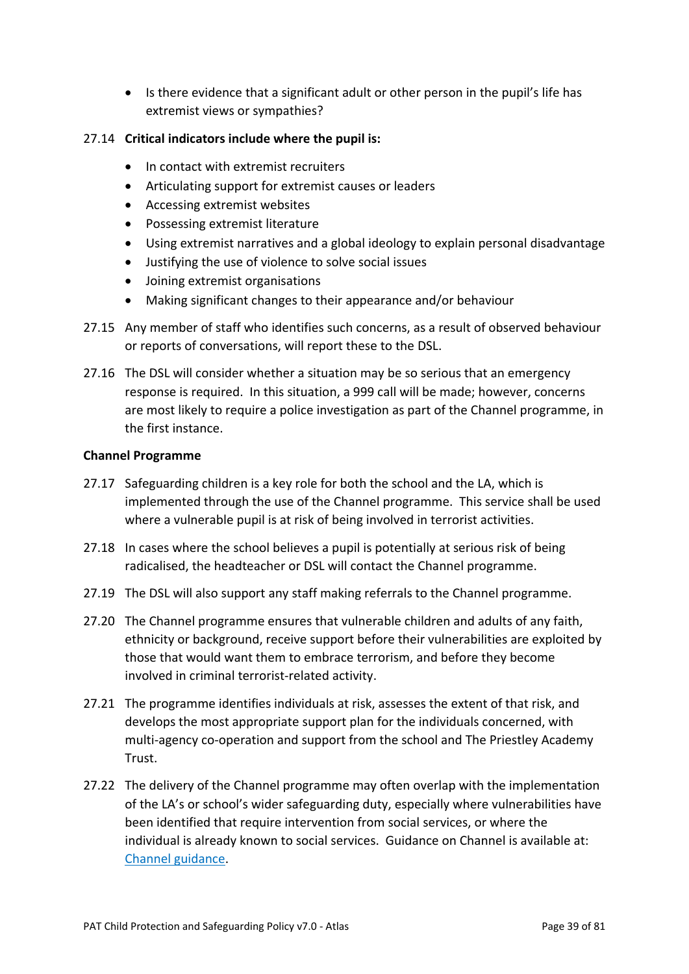• Is there evidence that a significant adult or other person in the pupil's life has extremist views or sympathies?

### 27.14 **Critical indicators include where the pupil is:**

- In contact with extremist recruiters
- Articulating support for extremist causes or leaders
- Accessing extremist websites
- Possessing extremist literature
- Using extremist narratives and a global ideology to explain personal disadvantage
- Justifying the use of violence to solve social issues
- Joining extremist organisations
- Making significant changes to their appearance and/or behaviour
- 27.15 Any member of staff who identifies such concerns, as a result of observed behaviour or reports of conversations, will report these to the DSL.
- 27.16 The DSL will consider whether a situation may be so serious that an emergency response is required. In this situation, a 999 call will be made; however, concerns are most likely to require a police investigation as part of the Channel programme, in the first instance.

#### **Channel Programme**

- 27.17 Safeguarding children is a key role for both the school and the LA, which is implemented through the use of the Channel programme. This service shall be used where a vulnerable pupil is at risk of being involved in terrorist activities.
- 27.18 In cases where the school believes a pupil is potentially at serious risk of being radicalised, the headteacher or DSL will contact the Channel programme.
- 27.19 The DSL will also support any staff making referrals to the Channel programme.
- 27.20 The Channel programme ensures that vulnerable children and adults of any faith, ethnicity or background, receive support before their vulnerabilities are exploited by those that would want them to embrace terrorism, and before they become involved in criminal terrorist-related activity.
- 27.21 The programme identifies individuals at risk, assesses the extent of that risk, and develops the most appropriate support plan for the individuals concerned, with multi-agency co-operation and support from the school and The Priestley Academy Trust.
- 27.22 The delivery of the Channel programme may often overlap with the implementation of the LA's or school's wider safeguarding duty, especially where vulnerabilities have been identified that require intervention from social services, or where the individual is already known to social services. Guidance on Channel is available at: Channel guidance.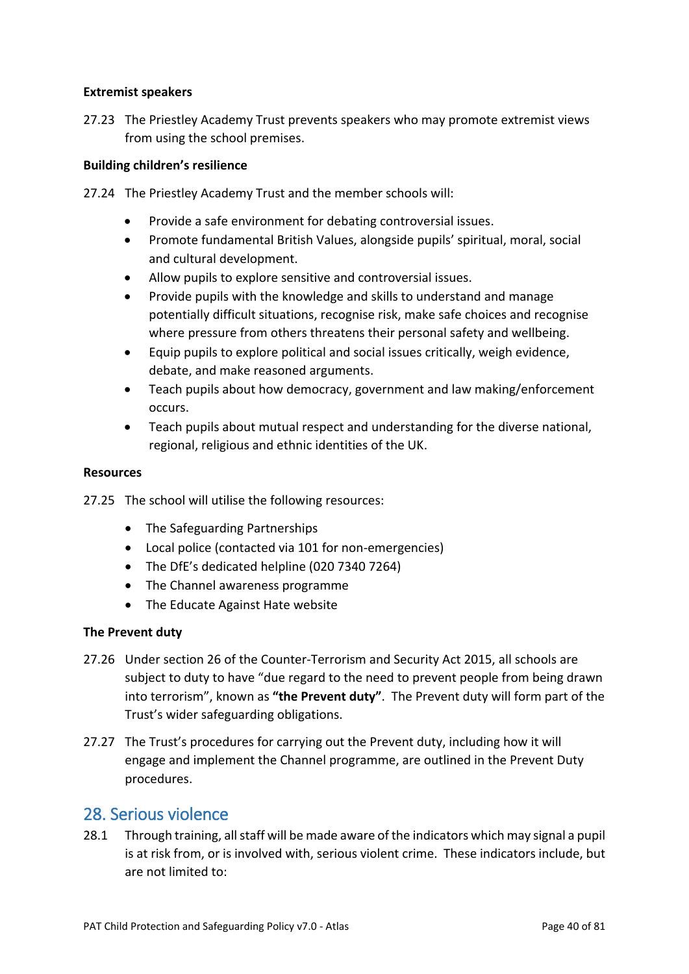#### **Extremist speakers**

27.23 The Priestley Academy Trust prevents speakers who may promote extremist views from using the school premises.

#### **Building children's resilience**

27.24 The Priestley Academy Trust and the member schools will:

- Provide a safe environment for debating controversial issues.
- Promote fundamental British Values, alongside pupils' spiritual, moral, social and cultural development.
- Allow pupils to explore sensitive and controversial issues.
- Provide pupils with the knowledge and skills to understand and manage potentially difficult situations, recognise risk, make safe choices and recognise where pressure from others threatens their personal safety and wellbeing.
- Equip pupils to explore political and social issues critically, weigh evidence, debate, and make reasoned arguments.
- Teach pupils about how democracy, government and law making/enforcement occurs.
- Teach pupils about mutual respect and understanding for the diverse national, regional, religious and ethnic identities of the UK.

#### **Resources**

27.25 The school will utilise the following resources:

- The Safeguarding Partnerships
- Local police (contacted via 101 for non-emergencies)
- The DfE's dedicated helpline (020 7340 7264)
- The Channel awareness programme
- The Educate Against Hate website

#### **The Prevent duty**

- 27.26 Under section 26 of the Counter-Terrorism and Security Act 2015, all schools are subject to duty to have "due regard to the need to prevent people from being drawn into terrorism", known as **"the Prevent duty"**. The Prevent duty will form part of the Trust's wider safeguarding obligations.
- 27.27 The Trust's procedures for carrying out the Prevent duty, including how it will engage and implement the Channel programme, are outlined in the Prevent Duty procedures.

### 28. Serious violence

28.1 Through training, all staff will be made aware of the indicators which may signal a pupil is at risk from, or is involved with, serious violent crime. These indicators include, but are not limited to: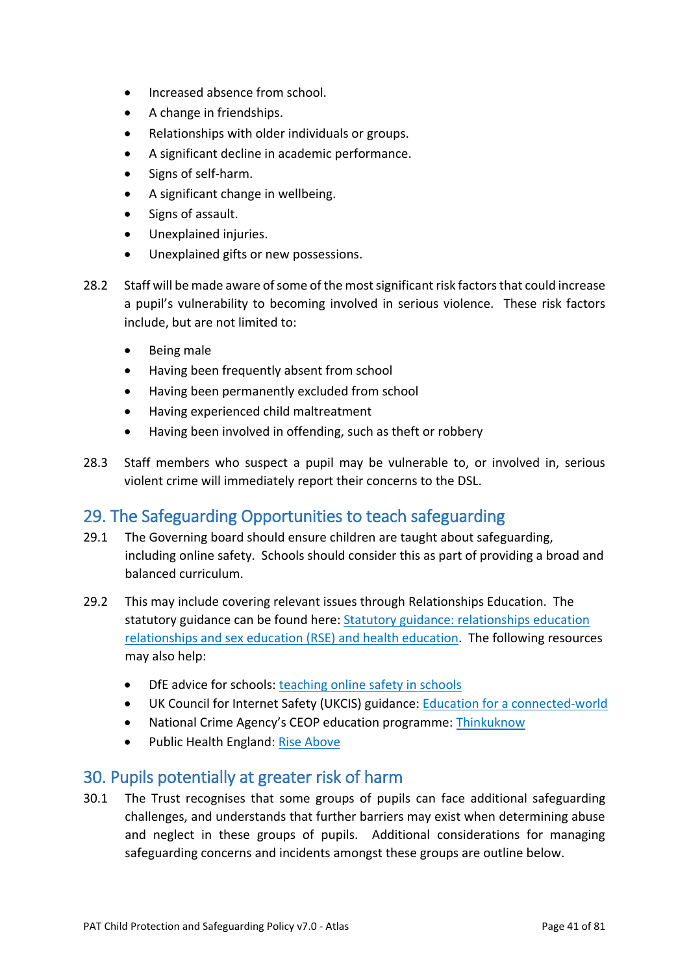- Increased absence from school.
- A change in friendships.
- Relationships with older individuals or groups.
- A significant decline in academic performance.
- Signs of self-harm.
- A significant change in wellbeing.
- Signs of assault.
- Unexplained injuries.
- Unexplained gifts or new possessions.
- 28.2 Staff will be made aware of some of the most significant risk factors that could increase a pupil's vulnerability to becoming involved in serious violence. These risk factors include, but are not limited to:
	- Being male
	- Having been frequently absent from school
	- Having been permanently excluded from school
	- Having experienced child maltreatment
	- Having been involved in offending, such as theft or robbery
- 28.3 Staff members who suspect a pupil may be vulnerable to, or involved in, serious violent crime will immediately report their concerns to the DSL.

## 29. The Safeguarding Opportunities to teach safeguarding

- 29.1 The Governing board should ensure children are taught about safeguarding, including online safety. Schools should consider this as part of providing a broad and balanced curriculum.
- 29.2 This may include covering relevant issues through Relationships Education. The statutory guidance can be found here: Statutory guidance: relationships education relationships and sex education (RSE) and health education. The following resources may also help:
	- DfE advice for schools: teaching online safety in schools
	- UK Council for Internet Safety (UKCIS) guidance: Education for a connected-world
	- National Crime Agency's CEOP education programme: Thinkuknow
	- Public Health England: Rise Above

## 30. Pupils potentially at greater risk of harm

30.1 The Trust recognises that some groups of pupils can face additional safeguarding challenges, and understands that further barriers may exist when determining abuse and neglect in these groups of pupils. Additional considerations for managing safeguarding concerns and incidents amongst these groups are outline below.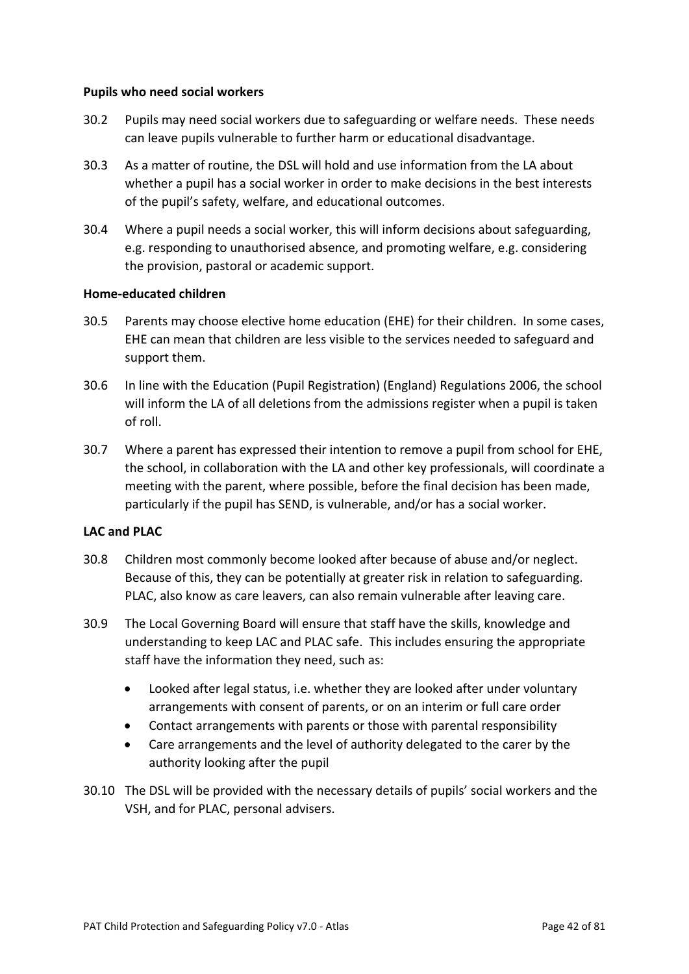#### **Pupils who need social workers**

- 30.2 Pupils may need social workers due to safeguarding or welfare needs. These needs can leave pupils vulnerable to further harm or educational disadvantage.
- 30.3 As a matter of routine, the DSL will hold and use information from the LA about whether a pupil has a social worker in order to make decisions in the best interests of the pupil's safety, welfare, and educational outcomes.
- 30.4 Where a pupil needs a social worker, this will inform decisions about safeguarding, e.g. responding to unauthorised absence, and promoting welfare, e.g. considering the provision, pastoral or academic support.

#### **Home-educated children**

- 30.5 Parents may choose elective home education (EHE) for their children. In some cases, EHE can mean that children are less visible to the services needed to safeguard and support them.
- 30.6 In line with the Education (Pupil Registration) (England) Regulations 2006, the school will inform the LA of all deletions from the admissions register when a pupil is taken of roll.
- 30.7 Where a parent has expressed their intention to remove a pupil from school for EHE, the school, in collaboration with the LA and other key professionals, will coordinate a meeting with the parent, where possible, before the final decision has been made, particularly if the pupil has SEND, is vulnerable, and/or has a social worker.

#### **LAC and PLAC**

- 30.8 Children most commonly become looked after because of abuse and/or neglect. Because of this, they can be potentially at greater risk in relation to safeguarding. PLAC, also know as care leavers, can also remain vulnerable after leaving care.
- 30.9 The Local Governing Board will ensure that staff have the skills, knowledge and understanding to keep LAC and PLAC safe. This includes ensuring the appropriate staff have the information they need, such as:
	- Looked after legal status, i.e. whether they are looked after under voluntary arrangements with consent of parents, or on an interim or full care order
	- Contact arrangements with parents or those with parental responsibility
	- Care arrangements and the level of authority delegated to the carer by the authority looking after the pupil
- 30.10 The DSL will be provided with the necessary details of pupils' social workers and the VSH, and for PLAC, personal advisers.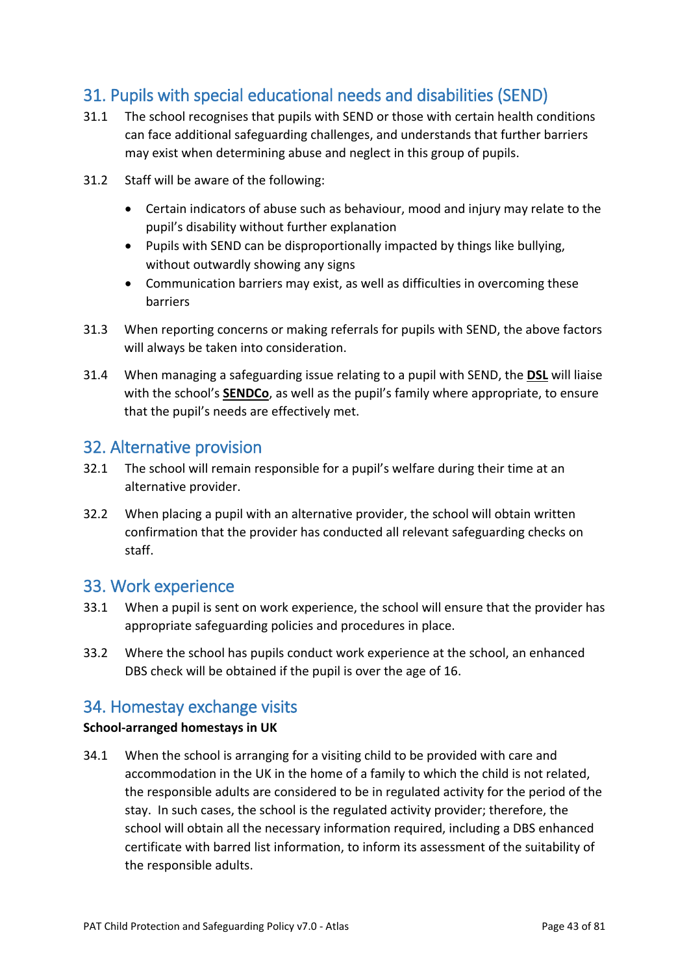# 31. Pupils with special educational needs and disabilities (SEND)

- 31.1 The school recognises that pupils with SEND or those with certain health conditions can face additional safeguarding challenges, and understands that further barriers may exist when determining abuse and neglect in this group of pupils.
- 31.2 Staff will be aware of the following:
	- Certain indicators of abuse such as behaviour, mood and injury may relate to the pupil's disability without further explanation
	- Pupils with SEND can be disproportionally impacted by things like bullying, without outwardly showing any signs
	- Communication barriers may exist, as well as difficulties in overcoming these barriers
- 31.3 When reporting concerns or making referrals for pupils with SEND, the above factors will always be taken into consideration.
- 31.4 When managing a safeguarding issue relating to a pupil with SEND, the **DSL** will liaise with the school's **SENDCo**, as well as the pupil's family where appropriate, to ensure that the pupil's needs are effectively met.

## 32. Alternative provision

- 32.1 The school will remain responsible for a pupil's welfare during their time at an alternative provider.
- 32.2 When placing a pupil with an alternative provider, the school will obtain written confirmation that the provider has conducted all relevant safeguarding checks on staff.

### 33. Work experience

- 33.1 When a pupil is sent on work experience, the school will ensure that the provider has appropriate safeguarding policies and procedures in place.
- 33.2 Where the school has pupils conduct work experience at the school, an enhanced DBS check will be obtained if the pupil is over the age of 16.

## 34. Homestay exchange visits

### **School-arranged homestays in UK**

34.1 When the school is arranging for a visiting child to be provided with care and accommodation in the UK in the home of a family to which the child is not related, the responsible adults are considered to be in regulated activity for the period of the stay. In such cases, the school is the regulated activity provider; therefore, the school will obtain all the necessary information required, including a DBS enhanced certificate with barred list information, to inform its assessment of the suitability of the responsible adults.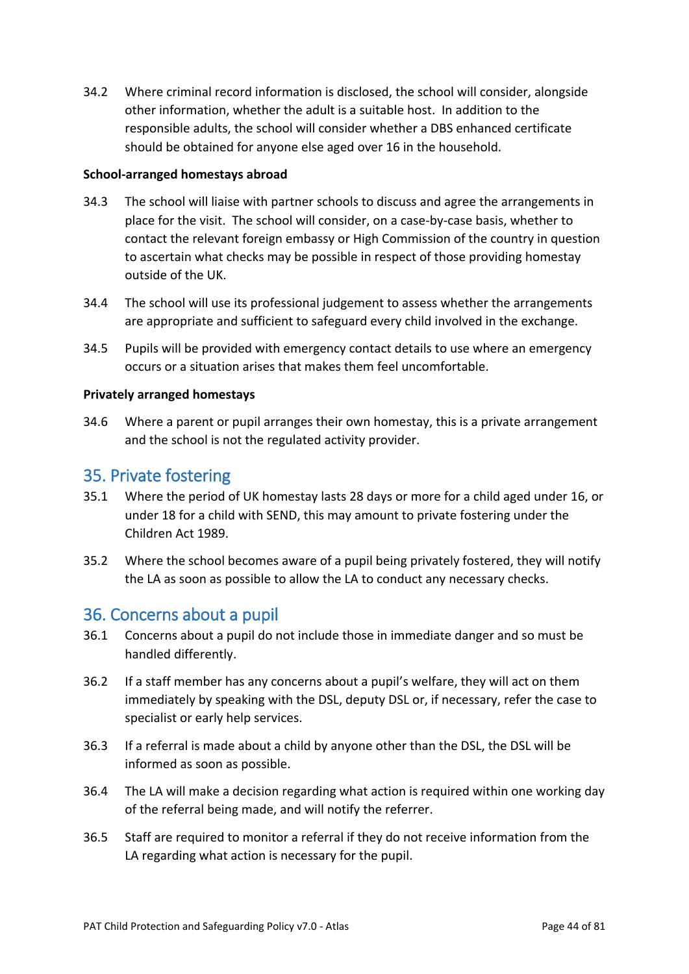34.2 Where criminal record information is disclosed, the school will consider, alongside other information, whether the adult is a suitable host. In addition to the responsible adults, the school will consider whether a DBS enhanced certificate should be obtained for anyone else aged over 16 in the household.

#### **School-arranged homestays abroad**

- 34.3 The school will liaise with partner schools to discuss and agree the arrangements in place for the visit. The school will consider, on a case-by-case basis, whether to contact the relevant foreign embassy or High Commission of the country in question to ascertain what checks may be possible in respect of those providing homestay outside of the UK.
- 34.4 The school will use its professional judgement to assess whether the arrangements are appropriate and sufficient to safeguard every child involved in the exchange.
- 34.5 Pupils will be provided with emergency contact details to use where an emergency occurs or a situation arises that makes them feel uncomfortable.

### **Privately arranged homestays**

34.6 Where a parent or pupil arranges their own homestay, this is a private arrangement and the school is not the regulated activity provider.

## 35. Private fostering

- 35.1 Where the period of UK homestay lasts 28 days or more for a child aged under 16, or under 18 for a child with SEND, this may amount to private fostering under the Children Act 1989.
- 35.2 Where the school becomes aware of a pupil being privately fostered, they will notify the LA as soon as possible to allow the LA to conduct any necessary checks.

## 36. Concerns about a pupil

- 36.1 Concerns about a pupil do not include those in immediate danger and so must be handled differently.
- 36.2 If a staff member has any concerns about a pupil's welfare, they will act on them immediately by speaking with the DSL, deputy DSL or, if necessary, refer the case to specialist or early help services.
- 36.3 If a referral is made about a child by anyone other than the DSL, the DSL will be informed as soon as possible.
- 36.4 The LA will make a decision regarding what action is required within one working day of the referral being made, and will notify the referrer.
- 36.5 Staff are required to monitor a referral if they do not receive information from the LA regarding what action is necessary for the pupil.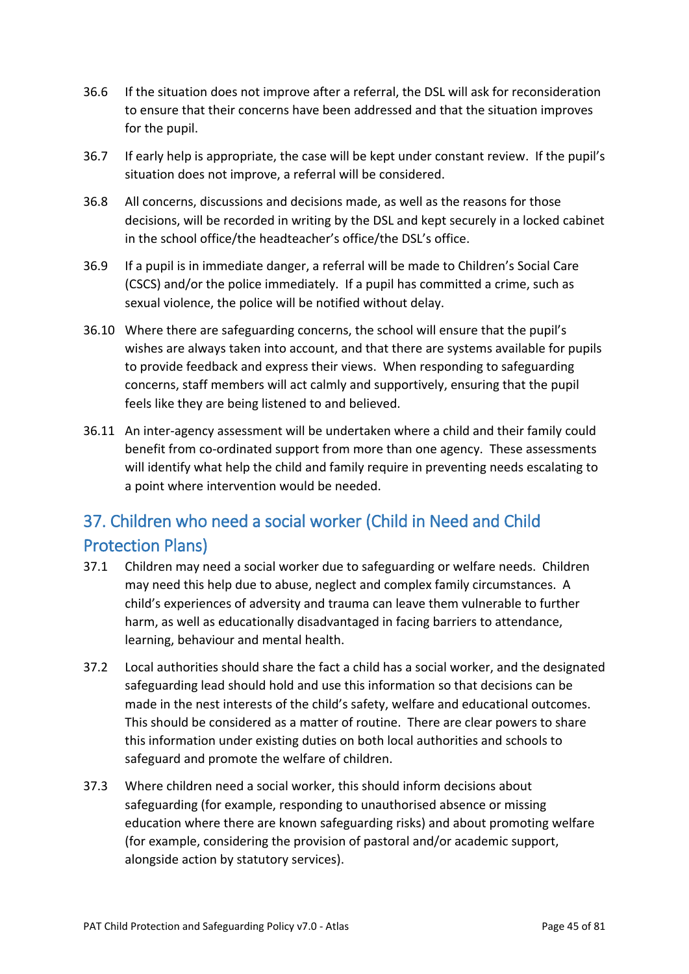- 36.6 If the situation does not improve after a referral, the DSL will ask for reconsideration to ensure that their concerns have been addressed and that the situation improves for the pupil.
- 36.7 If early help is appropriate, the case will be kept under constant review. If the pupil's situation does not improve, a referral will be considered.
- 36.8 All concerns, discussions and decisions made, as well as the reasons for those decisions, will be recorded in writing by the DSL and kept securely in a locked cabinet in the school office/the headteacher's office/the DSL's office.
- 36.9 If a pupil is in immediate danger, a referral will be made to Children's Social Care (CSCS) and/or the police immediately. If a pupil has committed a crime, such as sexual violence, the police will be notified without delay.
- 36.10 Where there are safeguarding concerns, the school will ensure that the pupil's wishes are always taken into account, and that there are systems available for pupils to provide feedback and express their views. When responding to safeguarding concerns, staff members will act calmly and supportively, ensuring that the pupil feels like they are being listened to and believed.
- 36.11 An inter-agency assessment will be undertaken where a child and their family could benefit from co-ordinated support from more than one agency. These assessments will identify what help the child and family require in preventing needs escalating to a point where intervention would be needed.

# 37. Children who need a social worker (Child in Need and Child Protection Plans)

- 37.1 Children may need a social worker due to safeguarding or welfare needs. Children may need this help due to abuse, neglect and complex family circumstances. A child's experiences of adversity and trauma can leave them vulnerable to further harm, as well as educationally disadvantaged in facing barriers to attendance, learning, behaviour and mental health.
- 37.2 Local authorities should share the fact a child has a social worker, and the designated safeguarding lead should hold and use this information so that decisions can be made in the nest interests of the child's safety, welfare and educational outcomes. This should be considered as a matter of routine. There are clear powers to share this information under existing duties on both local authorities and schools to safeguard and promote the welfare of children.
- 37.3 Where children need a social worker, this should inform decisions about safeguarding (for example, responding to unauthorised absence or missing education where there are known safeguarding risks) and about promoting welfare (for example, considering the provision of pastoral and/or academic support, alongside action by statutory services).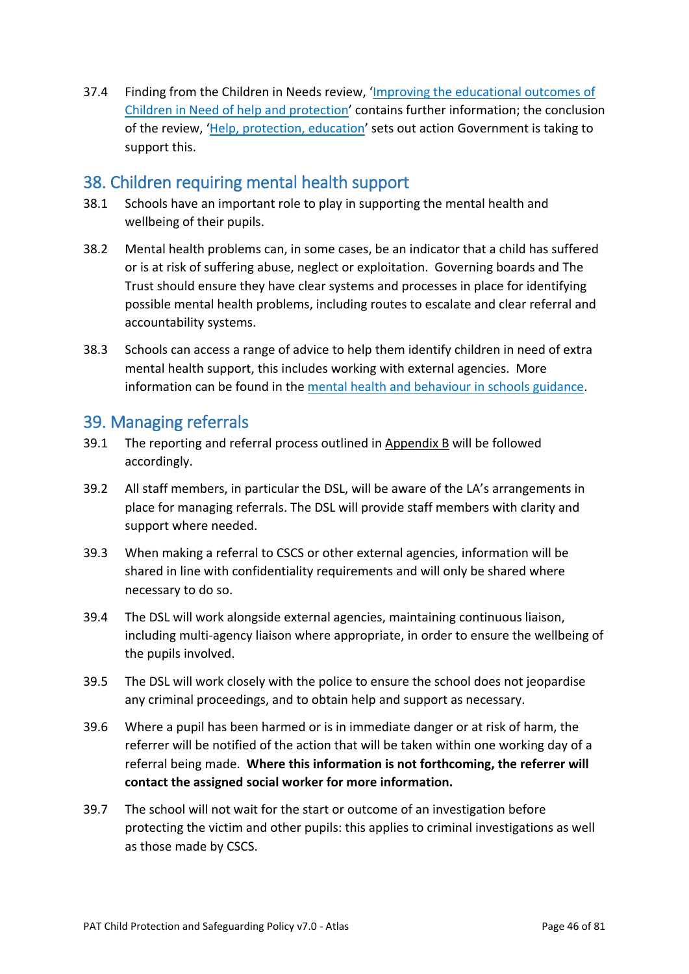37.4 Finding from the Children in Needs review, 'Improving the educational outcomes of Children in Need of help and protection' contains further information; the conclusion of the review, 'Help, protection, education' sets out action Government is taking to support this.

## 38. Children requiring mental health support

- 38.1 Schools have an important role to play in supporting the mental health and wellbeing of their pupils.
- 38.2 Mental health problems can, in some cases, be an indicator that a child has suffered or is at risk of suffering abuse, neglect or exploitation. Governing boards and The Trust should ensure they have clear systems and processes in place for identifying possible mental health problems, including routes to escalate and clear referral and accountability systems.
- 38.3 Schools can access a range of advice to help them identify children in need of extra mental health support, this includes working with external agencies. More information can be found in the mental health and behaviour in schools guidance.

## 39. Managing referrals

- 39.1 The reporting and referral process outlined in Appendix B will be followed accordingly.
- 39.2 All staff members, in particular the DSL, will be aware of the LA's arrangements in place for managing referrals. The DSL will provide staff members with clarity and support where needed.
- 39.3 When making a referral to CSCS or other external agencies, information will be shared in line with confidentiality requirements and will only be shared where necessary to do so.
- 39.4 The DSL will work alongside external agencies, maintaining continuous liaison, including multi-agency liaison where appropriate, in order to ensure the wellbeing of the pupils involved.
- 39.5 The DSL will work closely with the police to ensure the school does not jeopardise any criminal proceedings, and to obtain help and support as necessary.
- 39.6 Where a pupil has been harmed or is in immediate danger or at risk of harm, the referrer will be notified of the action that will be taken within one working day of a referral being made. **Where this information is not forthcoming, the referrer will contact the assigned social worker for more information.**
- 39.7 The school will not wait for the start or outcome of an investigation before protecting the victim and other pupils: this applies to criminal investigations as well as those made by CSCS.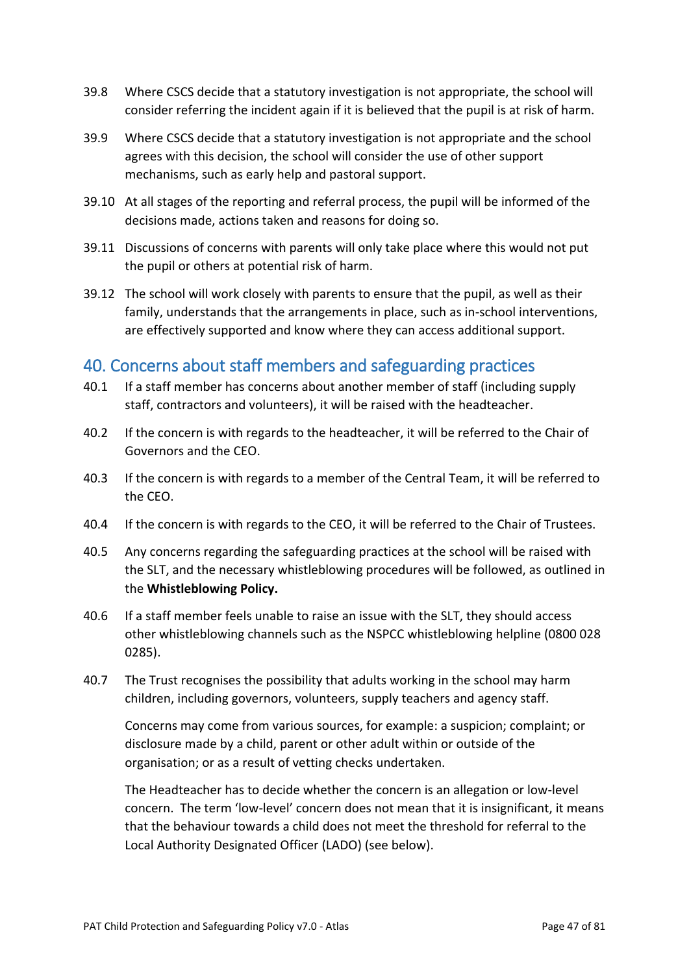- 39.8 Where CSCS decide that a statutory investigation is not appropriate, the school will consider referring the incident again if it is believed that the pupil is at risk of harm.
- 39.9 Where CSCS decide that a statutory investigation is not appropriate and the school agrees with this decision, the school will consider the use of other support mechanisms, such as early help and pastoral support.
- 39.10 At all stages of the reporting and referral process, the pupil will be informed of the decisions made, actions taken and reasons for doing so.
- 39.11 Discussions of concerns with parents will only take place where this would not put the pupil or others at potential risk of harm.
- 39.12 The school will work closely with parents to ensure that the pupil, as well as their family, understands that the arrangements in place, such as in-school interventions, are effectively supported and know where they can access additional support.

## 40. Concerns about staff members and safeguarding practices

- 40.1 If a staff member has concerns about another member of staff (including supply staff, contractors and volunteers), it will be raised with the headteacher.
- 40.2 If the concern is with regards to the headteacher, it will be referred to the Chair of Governors and the CEO.
- 40.3 If the concern is with regards to a member of the Central Team, it will be referred to the CEO.
- 40.4 If the concern is with regards to the CEO, it will be referred to the Chair of Trustees.
- 40.5 Any concerns regarding the safeguarding practices at the school will be raised with the SLT, and the necessary whistleblowing procedures will be followed, as outlined in the **Whistleblowing Policy.**
- 40.6 If a staff member feels unable to raise an issue with the SLT, they should access other whistleblowing channels such as the NSPCC whistleblowing helpline (0800 028 0285).
- 40.7 The Trust recognises the possibility that adults working in the school may harm children, including governors, volunteers, supply teachers and agency staff.

Concerns may come from various sources, for example: a suspicion; complaint; or disclosure made by a child, parent or other adult within or outside of the organisation; or as a result of vetting checks undertaken.

The Headteacher has to decide whether the concern is an allegation or low-level concern. The term 'low-level' concern does not mean that it is insignificant, it means that the behaviour towards a child does not meet the threshold for referral to the Local Authority Designated Officer (LADO) (see below).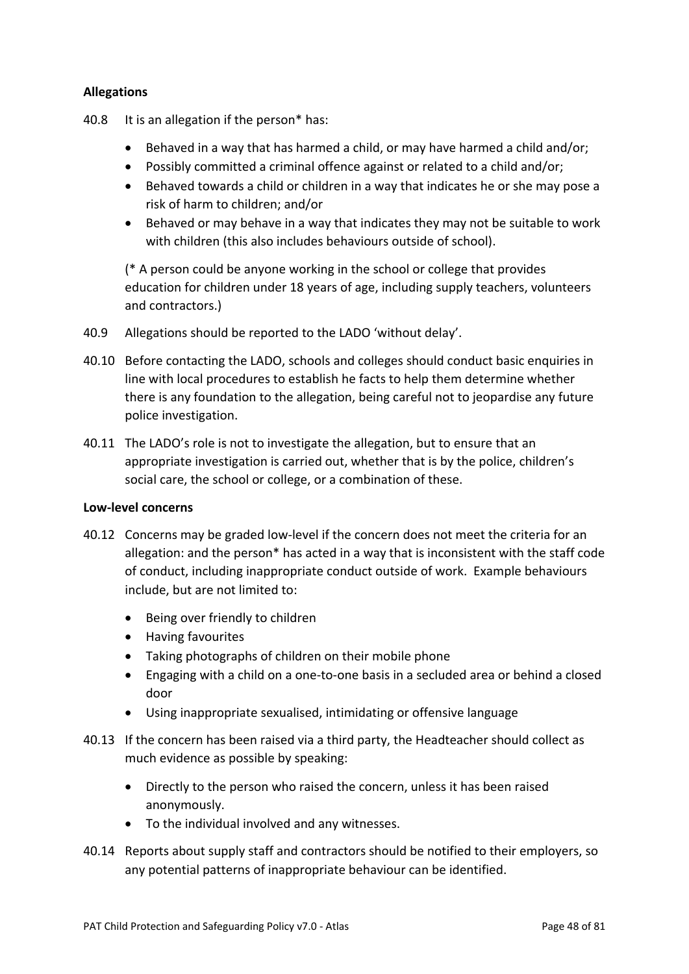### **Allegations**

- 40.8 It is an allegation if the person\* has:
	- Behaved in a way that has harmed a child, or may have harmed a child and/or;
	- Possibly committed a criminal offence against or related to a child and/or;
	- Behaved towards a child or children in a way that indicates he or she may pose a risk of harm to children; and/or
	- Behaved or may behave in a way that indicates they may not be suitable to work with children (this also includes behaviours outside of school).

(\* A person could be anyone working in the school or college that provides education for children under 18 years of age, including supply teachers, volunteers and contractors.)

- 40.9 Allegations should be reported to the LADO 'without delay'.
- 40.10 Before contacting the LADO, schools and colleges should conduct basic enquiries in line with local procedures to establish he facts to help them determine whether there is any foundation to the allegation, being careful not to jeopardise any future police investigation.
- 40.11 The LADO's role is not to investigate the allegation, but to ensure that an appropriate investigation is carried out, whether that is by the police, children's social care, the school or college, or a combination of these.

#### **Low-level concerns**

- 40.12 Concerns may be graded low-level if the concern does not meet the criteria for an allegation: and the person\* has acted in a way that is inconsistent with the staff code of conduct, including inappropriate conduct outside of work. Example behaviours include, but are not limited to:
	- Being over friendly to children
	- Having favourites
	- Taking photographs of children on their mobile phone
	- Engaging with a child on a one-to-one basis in a secluded area or behind a closed door
	- Using inappropriate sexualised, intimidating or offensive language
- 40.13 If the concern has been raised via a third party, the Headteacher should collect as much evidence as possible by speaking:
	- Directly to the person who raised the concern, unless it has been raised anonymously.
	- To the individual involved and any witnesses.
- 40.14 Reports about supply staff and contractors should be notified to their employers, so any potential patterns of inappropriate behaviour can be identified.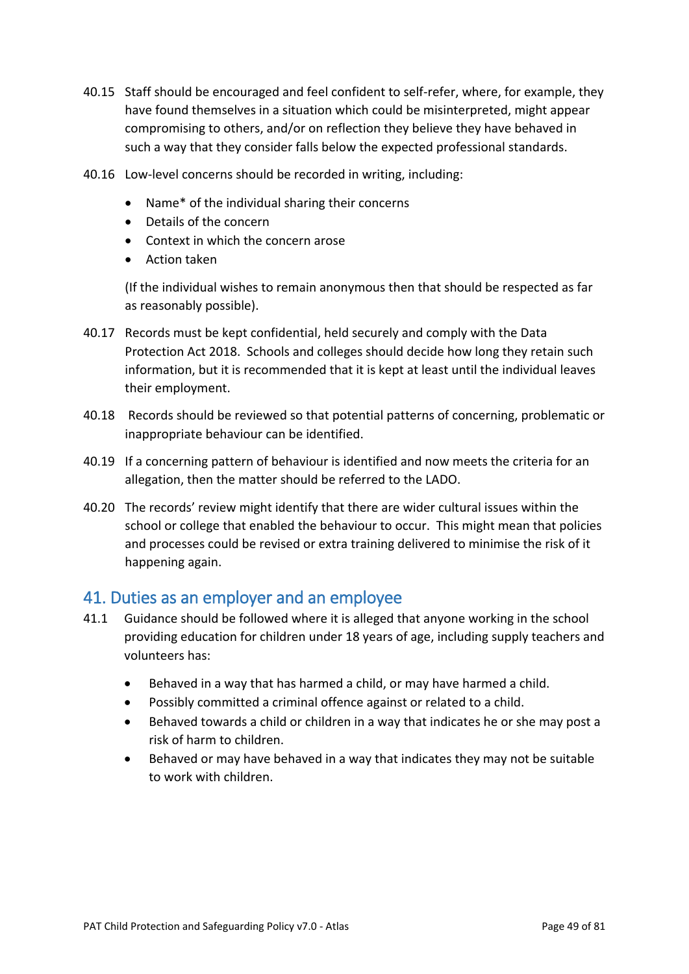- 40.15 Staff should be encouraged and feel confident to self-refer, where, for example, they have found themselves in a situation which could be misinterpreted, might appear compromising to others, and/or on reflection they believe they have behaved in such a way that they consider falls below the expected professional standards.
- 40.16 Low-level concerns should be recorded in writing, including:
	- Name\* of the individual sharing their concerns
	- Details of the concern
	- Context in which the concern arose
	- Action taken

(If the individual wishes to remain anonymous then that should be respected as far as reasonably possible).

- 40.17 Records must be kept confidential, held securely and comply with the Data Protection Act 2018. Schools and colleges should decide how long they retain such information, but it is recommended that it is kept at least until the individual leaves their employment.
- 40.18 Records should be reviewed so that potential patterns of concerning, problematic or inappropriate behaviour can be identified.
- 40.19 If a concerning pattern of behaviour is identified and now meets the criteria for an allegation, then the matter should be referred to the LADO.
- 40.20 The records' review might identify that there are wider cultural issues within the school or college that enabled the behaviour to occur. This might mean that policies and processes could be revised or extra training delivered to minimise the risk of it happening again.

## 41. Duties as an employer and an employee

- 41.1 Guidance should be followed where it is alleged that anyone working in the school providing education for children under 18 years of age, including supply teachers and volunteers has:
	- Behaved in a way that has harmed a child, or may have harmed a child.
	- Possibly committed a criminal offence against or related to a child.
	- Behaved towards a child or children in a way that indicates he or she may post a risk of harm to children.
	- Behaved or may have behaved in a way that indicates they may not be suitable to work with children.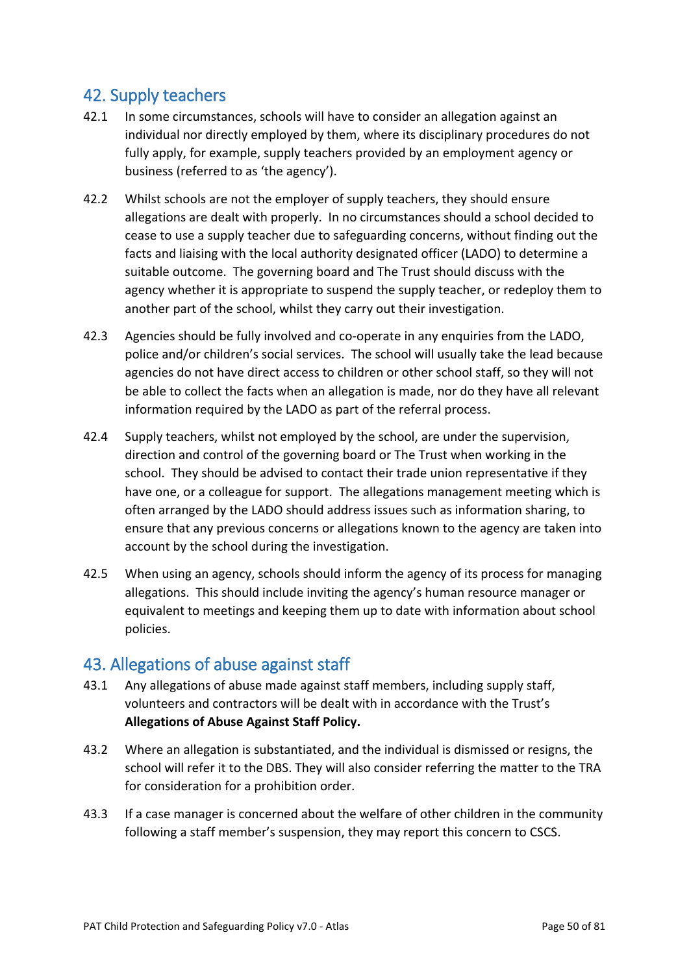## 42. Supply teachers

- 42.1 In some circumstances, schools will have to consider an allegation against an individual nor directly employed by them, where its disciplinary procedures do not fully apply, for example, supply teachers provided by an employment agency or business (referred to as 'the agency').
- 42.2 Whilst schools are not the employer of supply teachers, they should ensure allegations are dealt with properly. In no circumstances should a school decided to cease to use a supply teacher due to safeguarding concerns, without finding out the facts and liaising with the local authority designated officer (LADO) to determine a suitable outcome. The governing board and The Trust should discuss with the agency whether it is appropriate to suspend the supply teacher, or redeploy them to another part of the school, whilst they carry out their investigation.
- 42.3 Agencies should be fully involved and co-operate in any enquiries from the LADO, police and/or children's social services. The school will usually take the lead because agencies do not have direct access to children or other school staff, so they will not be able to collect the facts when an allegation is made, nor do they have all relevant information required by the LADO as part of the referral process.
- 42.4 Supply teachers, whilst not employed by the school, are under the supervision, direction and control of the governing board or The Trust when working in the school. They should be advised to contact their trade union representative if they have one, or a colleague for support. The allegations management meeting which is often arranged by the LADO should address issues such as information sharing, to ensure that any previous concerns or allegations known to the agency are taken into account by the school during the investigation.
- 42.5 When using an agency, schools should inform the agency of its process for managing allegations. This should include inviting the agency's human resource manager or equivalent to meetings and keeping them up to date with information about school policies.

## 43. Allegations of abuse against staff

- 43.1 Any allegations of abuse made against staff members, including supply staff, volunteers and contractors will be dealt with in accordance with the Trust's **Allegations of Abuse Against Staff Policy.**
- 43.2 Where an allegation is substantiated, and the individual is dismissed or resigns, the school will refer it to the DBS. They will also consider referring the matter to the TRA for consideration for a prohibition order.
- 43.3 If a case manager is concerned about the welfare of other children in the community following a staff member's suspension, they may report this concern to CSCS.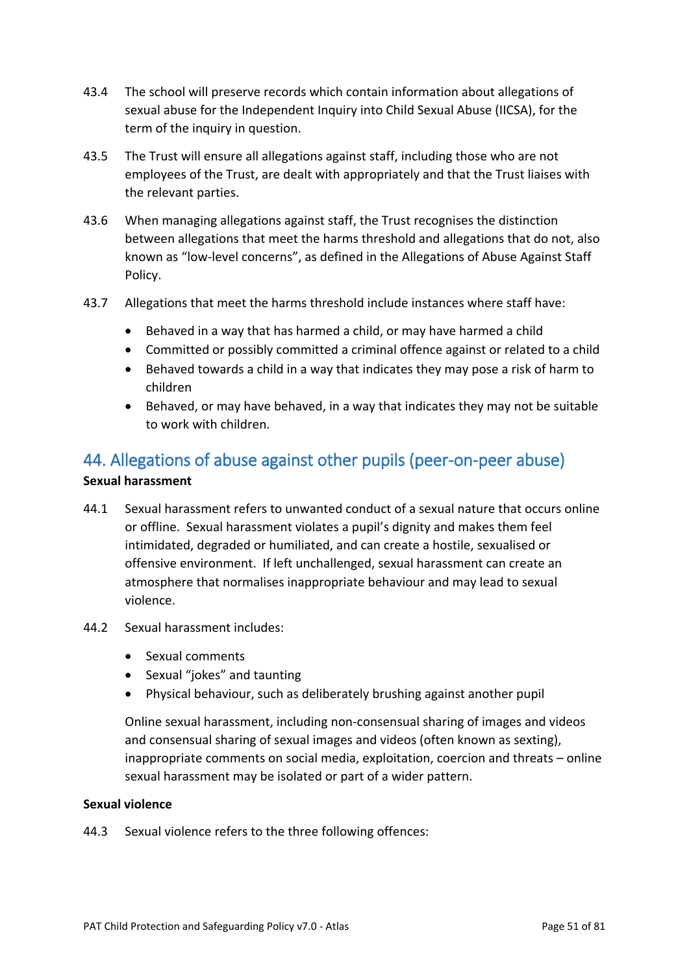- 43.4 The school will preserve records which contain information about allegations of sexual abuse for the Independent Inquiry into Child Sexual Abuse (IICSA), for the term of the inquiry in question.
- 43.5 The Trust will ensure all allegations against staff, including those who are not employees of the Trust, are dealt with appropriately and that the Trust liaises with the relevant parties.
- 43.6 When managing allegations against staff, the Trust recognises the distinction between allegations that meet the harms threshold and allegations that do not, also known as "low-level concerns", as defined in the Allegations of Abuse Against Staff Policy.
- 43.7 Allegations that meet the harms threshold include instances where staff have:
	- Behaved in a way that has harmed a child, or may have harmed a child
	- Committed or possibly committed a criminal offence against or related to a child
	- Behaved towards a child in a way that indicates they may pose a risk of harm to children
	- Behaved, or may have behaved, in a way that indicates they may not be suitable to work with children.

## 44. Allegations of abuse against other pupils (peer-on-peer abuse)

#### **Sexual harassment**

- 44.1 Sexual harassment refers to unwanted conduct of a sexual nature that occurs online or offline. Sexual harassment violates a pupil's dignity and makes them feel intimidated, degraded or humiliated, and can create a hostile, sexualised or offensive environment. If left unchallenged, sexual harassment can create an atmosphere that normalises inappropriate behaviour and may lead to sexual violence.
- 44.2 Sexual harassment includes:
	- Sexual comments
	- Sexual "jokes" and taunting
	- Physical behaviour, such as deliberately brushing against another pupil

Online sexual harassment, including non-consensual sharing of images and videos and consensual sharing of sexual images and videos (often known as sexting), inappropriate comments on social media, exploitation, coercion and threats – online sexual harassment may be isolated or part of a wider pattern.

#### **Sexual violence**

44.3 Sexual violence refers to the three following offences: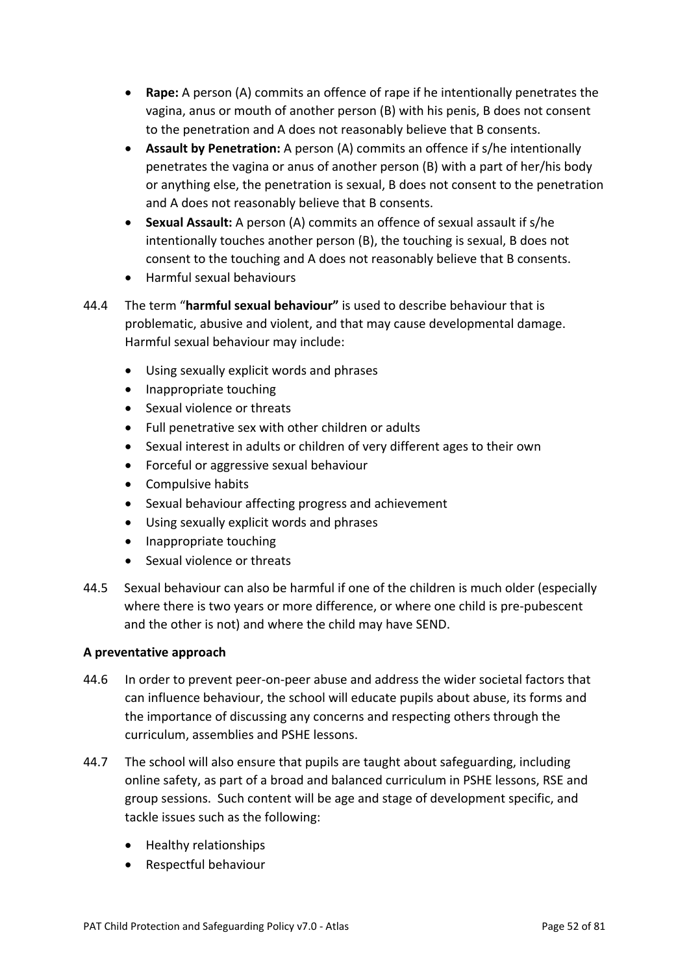- **Rape:** A person (A) commits an offence of rape if he intentionally penetrates the vagina, anus or mouth of another person (B) with his penis, B does not consent to the penetration and A does not reasonably believe that B consents.
- **Assault by Penetration:** A person (A) commits an offence if s/he intentionally penetrates the vagina or anus of another person (B) with a part of her/his body or anything else, the penetration is sexual, B does not consent to the penetration and A does not reasonably believe that B consents.
- **Sexual Assault:** A person (A) commits an offence of sexual assault if s/he intentionally touches another person (B), the touching is sexual, B does not consent to the touching and A does not reasonably believe that B consents.
- Harmful sexual behaviours
- 44.4 The term "**harmful sexual behaviour"** is used to describe behaviour that is problematic, abusive and violent, and that may cause developmental damage. Harmful sexual behaviour may include:
	- Using sexually explicit words and phrases
	- Inappropriate touching
	- Sexual violence or threats
	- Full penetrative sex with other children or adults
	- Sexual interest in adults or children of very different ages to their own
	- Forceful or aggressive sexual behaviour
	- Compulsive habits
	- Sexual behaviour affecting progress and achievement
	- Using sexually explicit words and phrases
	- Inappropriate touching
	- Sexual violence or threats
- 44.5 Sexual behaviour can also be harmful if one of the children is much older (especially where there is two years or more difference, or where one child is pre-pubescent and the other is not) and where the child may have SEND.

#### **A preventative approach**

- 44.6 In order to prevent peer-on-peer abuse and address the wider societal factors that can influence behaviour, the school will educate pupils about abuse, its forms and the importance of discussing any concerns and respecting others through the curriculum, assemblies and PSHE lessons.
- 44.7 The school will also ensure that pupils are taught about safeguarding, including online safety, as part of a broad and balanced curriculum in PSHE lessons, RSE and group sessions. Such content will be age and stage of development specific, and tackle issues such as the following:
	- Healthy relationships
	- Respectful behaviour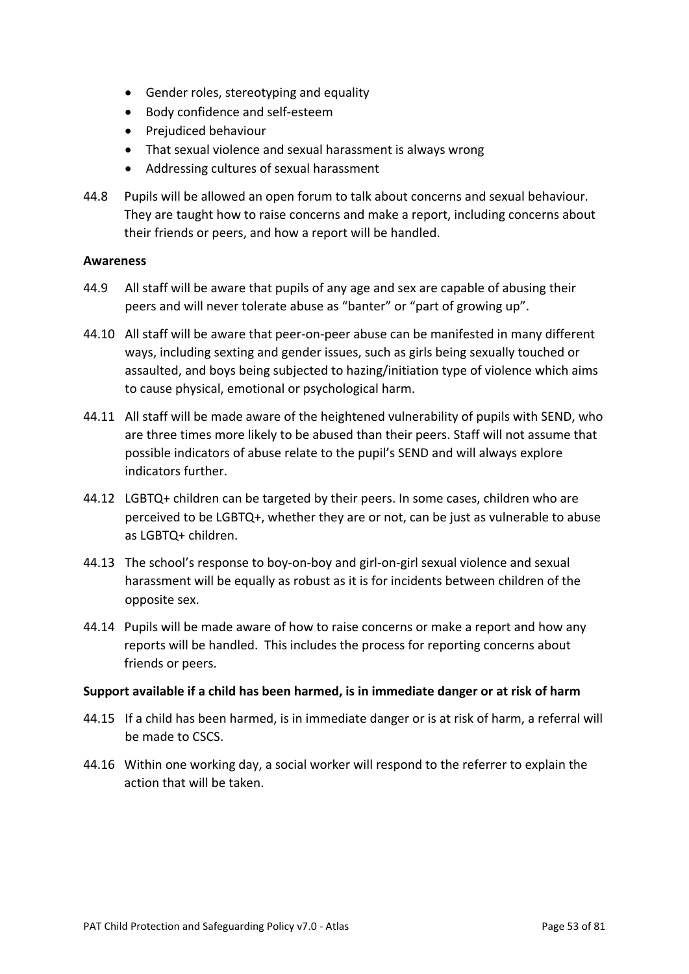- Gender roles, stereotyping and equality
- Body confidence and self-esteem
- Prejudiced behaviour
- That sexual violence and sexual harassment is always wrong
- Addressing cultures of sexual harassment
- 44.8 Pupils will be allowed an open forum to talk about concerns and sexual behaviour. They are taught how to raise concerns and make a report, including concerns about their friends or peers, and how a report will be handled.

#### **Awareness**

- 44.9 All staff will be aware that pupils of any age and sex are capable of abusing their peers and will never tolerate abuse as "banter" or "part of growing up".
- 44.10 All staff will be aware that peer-on-peer abuse can be manifested in many different ways, including sexting and gender issues, such as girls being sexually touched or assaulted, and boys being subjected to hazing/initiation type of violence which aims to cause physical, emotional or psychological harm.
- 44.11 All staff will be made aware of the heightened vulnerability of pupils with SEND, who are three times more likely to be abused than their peers. Staff will not assume that possible indicators of abuse relate to the pupil's SEND and will always explore indicators further.
- 44.12 LGBTQ+ children can be targeted by their peers. In some cases, children who are perceived to be LGBTQ+, whether they are or not, can be just as vulnerable to abuse as LGBTQ+ children.
- 44.13 The school's response to boy-on-boy and girl-on-girl sexual violence and sexual harassment will be equally as robust as it is for incidents between children of the opposite sex.
- 44.14 Pupils will be made aware of how to raise concerns or make a report and how any reports will be handled. This includes the process for reporting concerns about friends or peers.

#### **Support available if a child has been harmed, is in immediate danger or at risk of harm**

- 44.15 If a child has been harmed, is in immediate danger or is at risk of harm, a referral will be made to CSCS.
- 44.16 Within one working day, a social worker will respond to the referrer to explain the action that will be taken.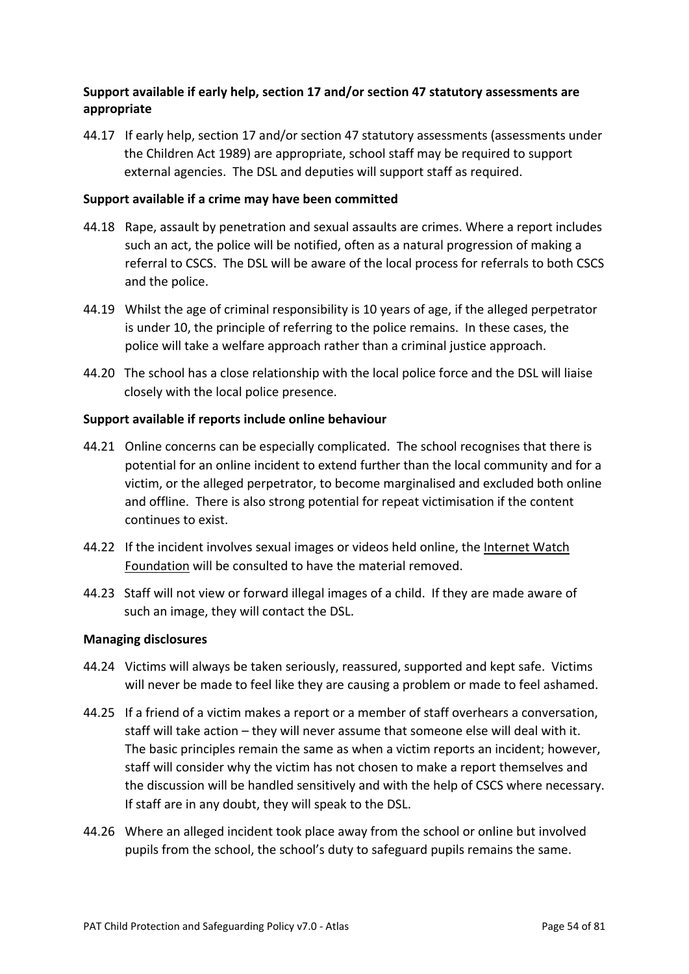### **Support available if early help, section 17 and/or section 47 statutory assessments are appropriate**

44.17 If early help, section 17 and/or section 47 statutory assessments (assessments under the Children Act 1989) are appropriate, school staff may be required to support external agencies. The DSL and deputies will support staff as required.

#### **Support available if a crime may have been committed**

- 44.18 Rape, assault by penetration and sexual assaults are crimes. Where a report includes such an act, the police will be notified, often as a natural progression of making a referral to CSCS. The DSL will be aware of the local process for referrals to both CSCS and the police.
- 44.19 Whilst the age of criminal responsibility is 10 years of age, if the alleged perpetrator is under 10, the principle of referring to the police remains. In these cases, the police will take a welfare approach rather than a criminal justice approach.
- 44.20 The school has a close relationship with the local police force and the DSL will liaise closely with the local police presence.

#### **Support available if reports include online behaviour**

- 44.21 Online concerns can be especially complicated. The school recognises that there is potential for an online incident to extend further than the local community and for a victim, or the alleged perpetrator, to become marginalised and excluded both online and offline. There is also strong potential for repeat victimisation if the content continues to exist.
- 44.22 If the incident involves sexual images or videos held online, the [Internet Watch](https://www.iwf.org.uk/)  [Foundation](https://www.iwf.org.uk/) will be consulted to have the material removed.
- 44.23 Staff will not view or forward illegal images of a child. If they are made aware of such an image, they will contact the DSL.

#### **Managing disclosures**

- 44.24 Victims will always be taken seriously, reassured, supported and kept safe. Victims will never be made to feel like they are causing a problem or made to feel ashamed.
- 44.25 If a friend of a victim makes a report or a member of staff overhears a conversation, staff will take action – they will never assume that someone else will deal with it. The basic principles remain the same as when a victim reports an incident; however, staff will consider why the victim has not chosen to make a report themselves and the discussion will be handled sensitively and with the help of CSCS where necessary. If staff are in any doubt, they will speak to the DSL.
- 44.26 Where an alleged incident took place away from the school or online but involved pupils from the school, the school's duty to safeguard pupils remains the same.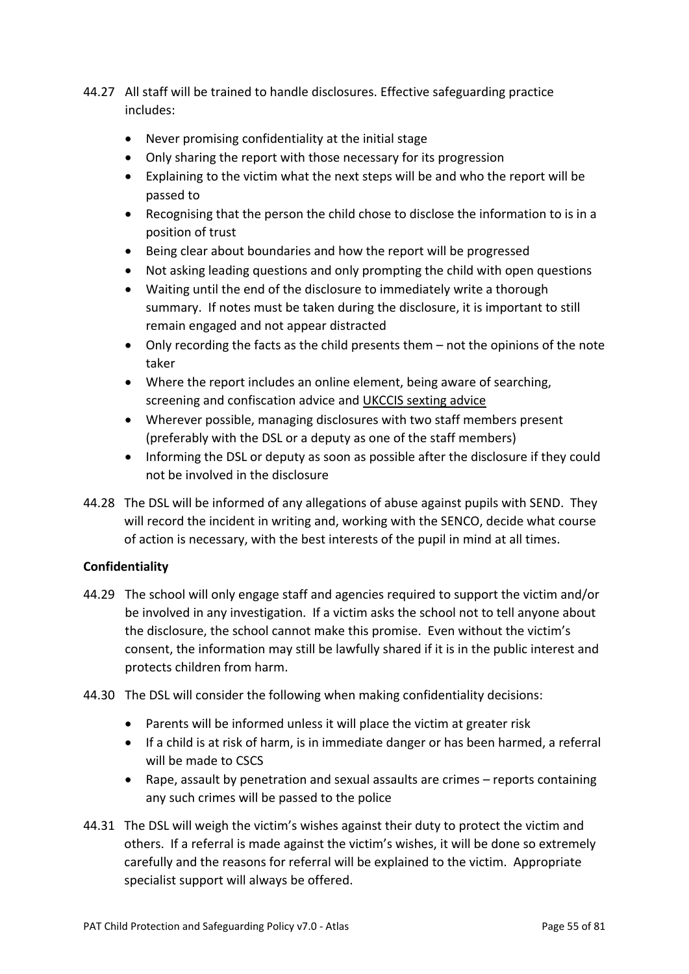- 44.27 All staff will be trained to handle disclosures. Effective safeguarding practice includes:
	- Never promising confidentiality at the initial stage
	- Only sharing the report with those necessary for its progression
	- Explaining to the victim what the next steps will be and who the report will be passed to
	- Recognising that the person the child chose to disclose the information to is in a position of trust
	- Being clear about boundaries and how the report will be progressed
	- Not asking leading questions and only prompting the child with open questions
	- Waiting until the end of the disclosure to immediately write a thorough summary. If notes must be taken during the disclosure, it is important to still remain engaged and not appear distracted
	- Only recording the facts as the child presents them not the opinions of the note taker
	- Where the report includes an online element, being aware of searching, screening and confiscation advice and [UKCCIS sexting advice](https://www.safeguardinginschools.co.uk/responding-sexting-schools-colleges-ukccis/)
	- Wherever possible, managing disclosures with two staff members present (preferably with the DSL or a deputy as one of the staff members)
	- Informing the DSL or deputy as soon as possible after the disclosure if they could not be involved in the disclosure
- 44.28 The DSL will be informed of any allegations of abuse against pupils with SEND. They will record the incident in writing and, working with the SENCO, decide what course of action is necessary, with the best interests of the pupil in mind at all times.

### **Confidentiality**

- 44.29 The school will only engage staff and agencies required to support the victim and/or be involved in any investigation. If a victim asks the school not to tell anyone about the disclosure, the school cannot make this promise. Even without the victim's consent, the information may still be lawfully shared if it is in the public interest and protects children from harm.
- 44.30 The DSL will consider the following when making confidentiality decisions:
	- Parents will be informed unless it will place the victim at greater risk
	- If a child is at risk of harm, is in immediate danger or has been harmed, a referral will be made to CSCS
	- Rape, assault by penetration and sexual assaults are crimes reports containing any such crimes will be passed to the police
- 44.31 The DSL will weigh the victim's wishes against their duty to protect the victim and others. If a referral is made against the victim's wishes, it will be done so extremely carefully and the reasons for referral will be explained to the victim. Appropriate specialist support will always be offered.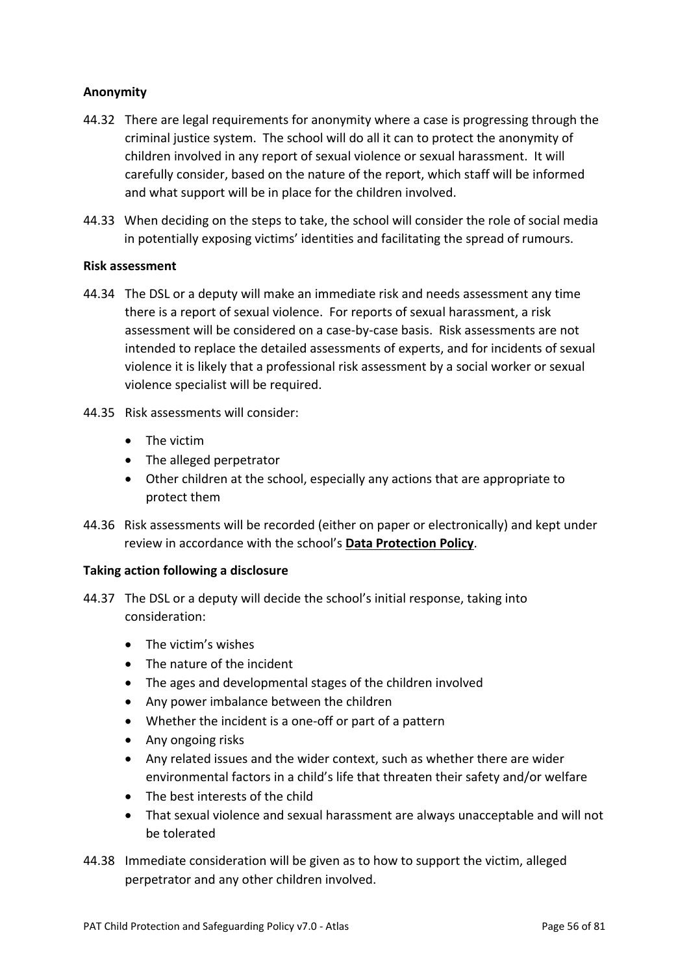### **Anonymity**

- 44.32 There are legal requirements for anonymity where a case is progressing through the criminal justice system. The school will do all it can to protect the anonymity of children involved in any report of sexual violence or sexual harassment. It will carefully consider, based on the nature of the report, which staff will be informed and what support will be in place for the children involved.
- 44.33 When deciding on the steps to take, the school will consider the role of social media in potentially exposing victims' identities and facilitating the spread of rumours.

#### **Risk assessment**

- 44.34 The DSL or a deputy will make an immediate risk and needs assessment any time there is a report of sexual violence. For reports of sexual harassment, a risk assessment will be considered on a case-by-case basis. Risk assessments are not intended to replace the detailed assessments of experts, and for incidents of sexual violence it is likely that a professional risk assessment by a social worker or sexual violence specialist will be required.
- 44.35 Risk assessments will consider:
	- The victim
	- The alleged perpetrator
	- Other children at the school, especially any actions that are appropriate to protect them
- 44.36 Risk assessments will be recorded (either on paper or electronically) and kept under review in accordance with the school's **Data Protection Policy**.

#### **Taking action following a disclosure**

- 44.37 The DSL or a deputy will decide the school's initial response, taking into consideration:
	- The victim's wishes
	- The nature of the incident
	- The ages and developmental stages of the children involved
	- Any power imbalance between the children
	- Whether the incident is a one-off or part of a pattern
	- Any ongoing risks
	- Any related issues and the wider context, such as whether there are wider environmental factors in a child's life that threaten their safety and/or welfare
	- The best interests of the child
	- That sexual violence and sexual harassment are always unacceptable and will not be tolerated
- 44.38 Immediate consideration will be given as to how to support the victim, alleged perpetrator and any other children involved.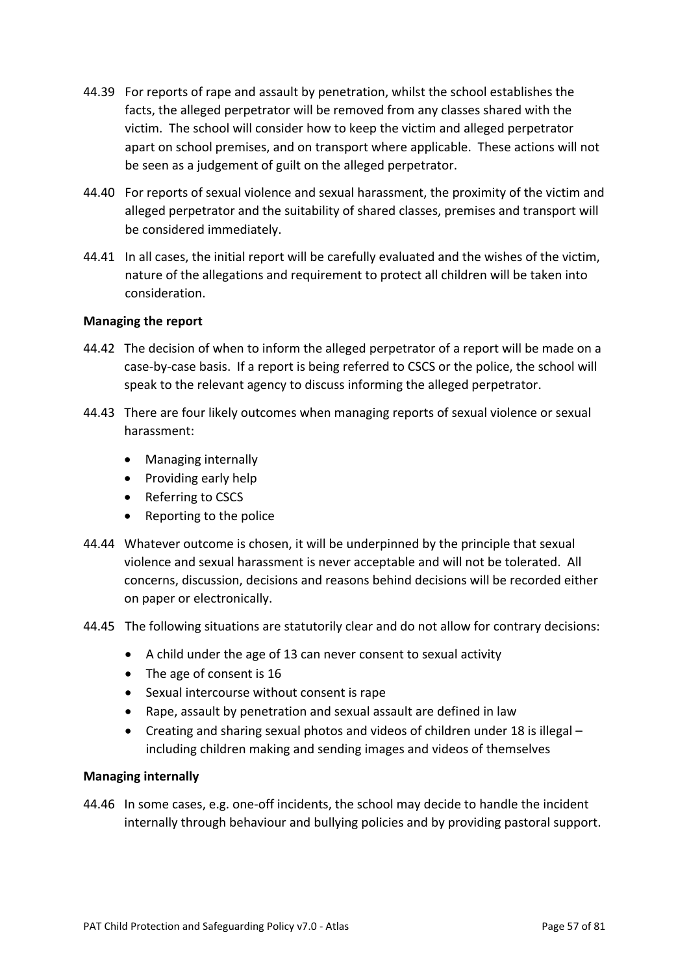- 44.39 For reports of rape and assault by penetration, whilst the school establishes the facts, the alleged perpetrator will be removed from any classes shared with the victim. The school will consider how to keep the victim and alleged perpetrator apart on school premises, and on transport where applicable. These actions will not be seen as a judgement of guilt on the alleged perpetrator.
- 44.40 For reports of sexual violence and sexual harassment, the proximity of the victim and alleged perpetrator and the suitability of shared classes, premises and transport will be considered immediately.
- 44.41 In all cases, the initial report will be carefully evaluated and the wishes of the victim, nature of the allegations and requirement to protect all children will be taken into consideration.

#### **Managing the report**

- 44.42 The decision of when to inform the alleged perpetrator of a report will be made on a case-by-case basis. If a report is being referred to CSCS or the police, the school will speak to the relevant agency to discuss informing the alleged perpetrator.
- 44.43 There are four likely outcomes when managing reports of sexual violence or sexual harassment:
	- Managing internally
	- Providing early help
	- Referring to CSCS
	- Reporting to the police
- 44.44 Whatever outcome is chosen, it will be underpinned by the principle that sexual violence and sexual harassment is never acceptable and will not be tolerated. All concerns, discussion, decisions and reasons behind decisions will be recorded either on paper or electronically.
- 44.45 The following situations are statutorily clear and do not allow for contrary decisions:
	- A child under the age of 13 can never consent to sexual activity
	- The age of consent is 16
	- Sexual intercourse without consent is rape
	- Rape, assault by penetration and sexual assault are defined in law
	- Creating and sharing sexual photos and videos of children under 18 is illegal including children making and sending images and videos of themselves

#### **Managing internally**

44.46 In some cases, e.g. one-off incidents, the school may decide to handle the incident internally through behaviour and bullying policies and by providing pastoral support.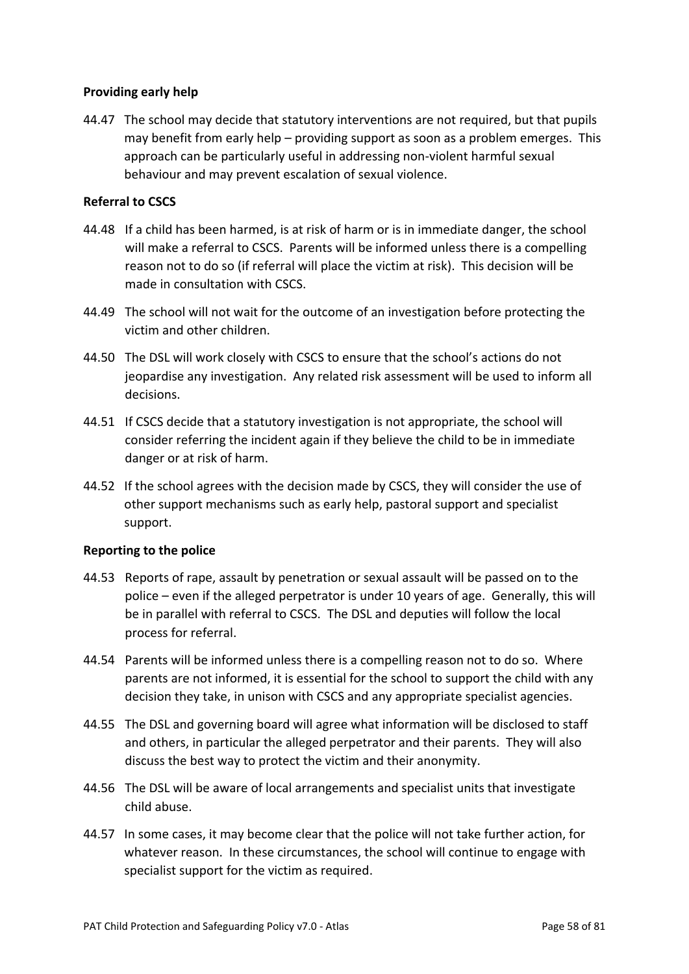#### **Providing early help**

44.47 The school may decide that statutory interventions are not required, but that pupils may benefit from early help – providing support as soon as a problem emerges. This approach can be particularly useful in addressing non-violent harmful sexual behaviour and may prevent escalation of sexual violence.

### **Referral to CSCS**

- 44.48 If a child has been harmed, is at risk of harm or is in immediate danger, the school will make a referral to CSCS. Parents will be informed unless there is a compelling reason not to do so (if referral will place the victim at risk). This decision will be made in consultation with CSCS.
- 44.49 The school will not wait for the outcome of an investigation before protecting the victim and other children.
- 44.50 The DSL will work closely with CSCS to ensure that the school's actions do not jeopardise any investigation. Any related risk assessment will be used to inform all decisions.
- 44.51 If CSCS decide that a statutory investigation is not appropriate, the school will consider referring the incident again if they believe the child to be in immediate danger or at risk of harm.
- 44.52 If the school agrees with the decision made by CSCS, they will consider the use of other support mechanisms such as early help, pastoral support and specialist support.

#### **Reporting to the police**

- 44.53 Reports of rape, assault by penetration or sexual assault will be passed on to the police – even if the alleged perpetrator is under 10 years of age. Generally, this will be in parallel with referral to CSCS. The DSL and deputies will follow the local process for referral.
- 44.54 Parents will be informed unless there is a compelling reason not to do so. Where parents are not informed, it is essential for the school to support the child with any decision they take, in unison with CSCS and any appropriate specialist agencies.
- 44.55 The DSL and governing board will agree what information will be disclosed to staff and others, in particular the alleged perpetrator and their parents. They will also discuss the best way to protect the victim and their anonymity.
- 44.56 The DSL will be aware of local arrangements and specialist units that investigate child abuse.
- 44.57 In some cases, it may become clear that the police will not take further action, for whatever reason. In these circumstances, the school will continue to engage with specialist support for the victim as required.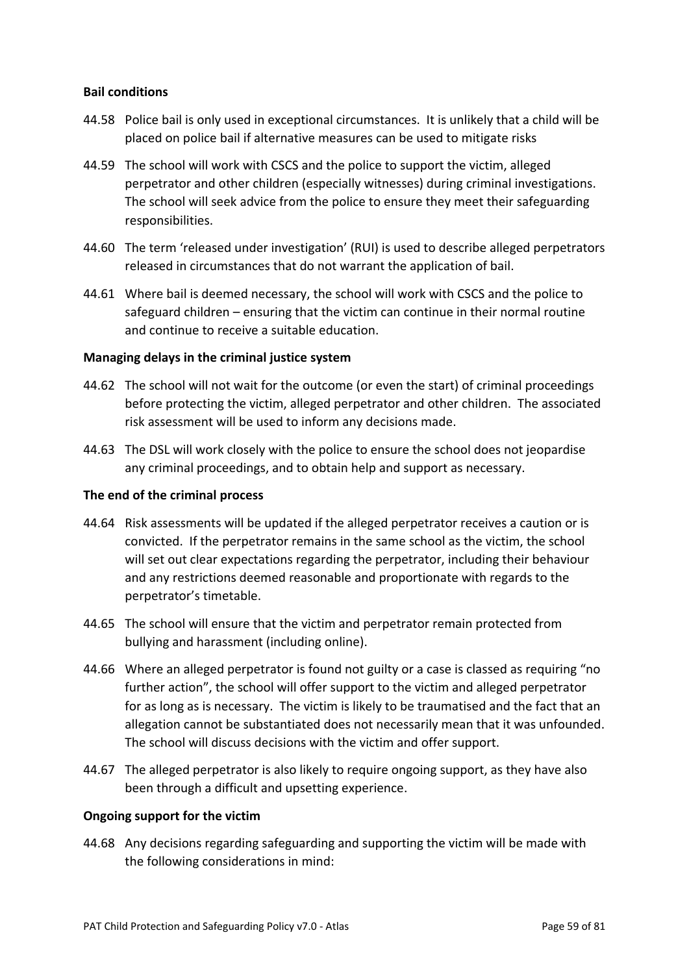#### **Bail conditions**

- 44.58 Police bail is only used in exceptional circumstances. It is unlikely that a child will be placed on police bail if alternative measures can be used to mitigate risks
- 44.59 The school will work with CSCS and the police to support the victim, alleged perpetrator and other children (especially witnesses) during criminal investigations. The school will seek advice from the police to ensure they meet their safeguarding responsibilities.
- 44.60 The term 'released under investigation' (RUI) is used to describe alleged perpetrators released in circumstances that do not warrant the application of bail.
- 44.61 Where bail is deemed necessary, the school will work with CSCS and the police to safeguard children – ensuring that the victim can continue in their normal routine and continue to receive a suitable education.

#### **Managing delays in the criminal justice system**

- 44.62 The school will not wait for the outcome (or even the start) of criminal proceedings before protecting the victim, alleged perpetrator and other children. The associated risk assessment will be used to inform any decisions made.
- 44.63 The DSL will work closely with the police to ensure the school does not jeopardise any criminal proceedings, and to obtain help and support as necessary.

#### **The end of the criminal process**

- 44.64 Risk assessments will be updated if the alleged perpetrator receives a caution or is convicted. If the perpetrator remains in the same school as the victim, the school will set out clear expectations regarding the perpetrator, including their behaviour and any restrictions deemed reasonable and proportionate with regards to the perpetrator's timetable.
- 44.65 The school will ensure that the victim and perpetrator remain protected from bullying and harassment (including online).
- 44.66 Where an alleged perpetrator is found not guilty or a case is classed as requiring "no further action", the school will offer support to the victim and alleged perpetrator for as long as is necessary. The victim is likely to be traumatised and the fact that an allegation cannot be substantiated does not necessarily mean that it was unfounded. The school will discuss decisions with the victim and offer support.
- 44.67 The alleged perpetrator is also likely to require ongoing support, as they have also been through a difficult and upsetting experience.

#### **Ongoing support for the victim**

44.68 Any decisions regarding safeguarding and supporting the victim will be made with the following considerations in mind: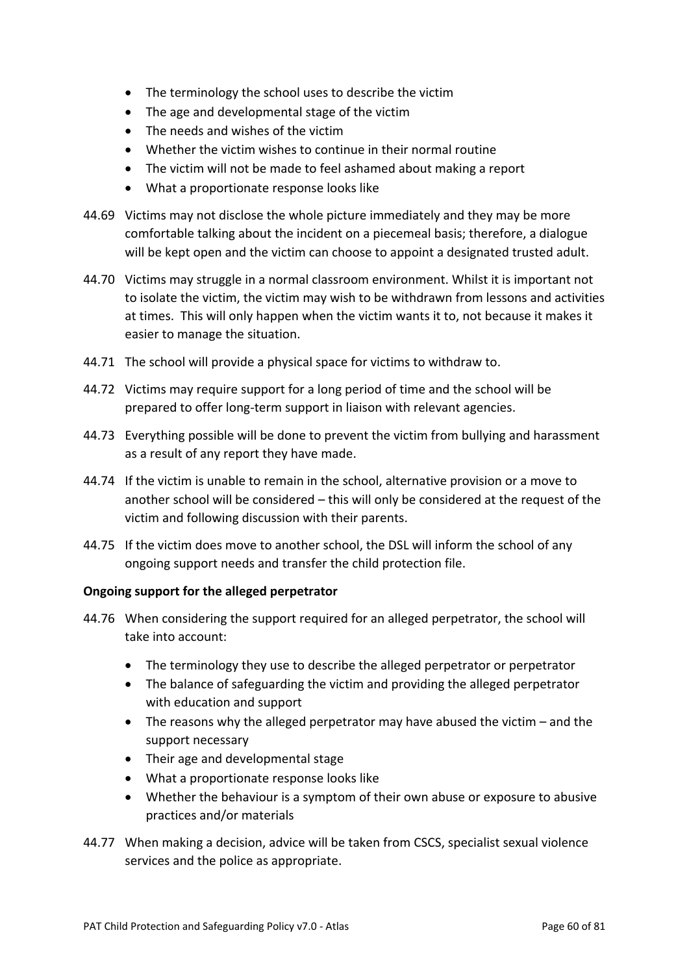- The terminology the school uses to describe the victim
- The age and developmental stage of the victim
- The needs and wishes of the victim
- Whether the victim wishes to continue in their normal routine
- The victim will not be made to feel ashamed about making a report
- What a proportionate response looks like
- 44.69 Victims may not disclose the whole picture immediately and they may be more comfortable talking about the incident on a piecemeal basis; therefore, a dialogue will be kept open and the victim can choose to appoint a designated trusted adult.
- 44.70 Victims may struggle in a normal classroom environment. Whilst it is important not to isolate the victim, the victim may wish to be withdrawn from lessons and activities at times. This will only happen when the victim wants it to, not because it makes it easier to manage the situation.
- 44.71 The school will provide a physical space for victims to withdraw to.
- 44.72 Victims may require support for a long period of time and the school will be prepared to offer long-term support in liaison with relevant agencies.
- 44.73 Everything possible will be done to prevent the victim from bullying and harassment as a result of any report they have made.
- 44.74 If the victim is unable to remain in the school, alternative provision or a move to another school will be considered – this will only be considered at the request of the victim and following discussion with their parents.
- 44.75 If the victim does move to another school, the DSL will inform the school of any ongoing support needs and transfer the child protection file.

#### **Ongoing support for the alleged perpetrator**

- 44.76 When considering the support required for an alleged perpetrator, the school will take into account:
	- The terminology they use to describe the alleged perpetrator or perpetrator
	- The balance of safeguarding the victim and providing the alleged perpetrator with education and support
	- The reasons why the alleged perpetrator may have abused the victim and the support necessary
	- Their age and developmental stage
	- What a proportionate response looks like
	- Whether the behaviour is a symptom of their own abuse or exposure to abusive practices and/or materials
- 44.77 When making a decision, advice will be taken from CSCS, specialist sexual violence services and the police as appropriate.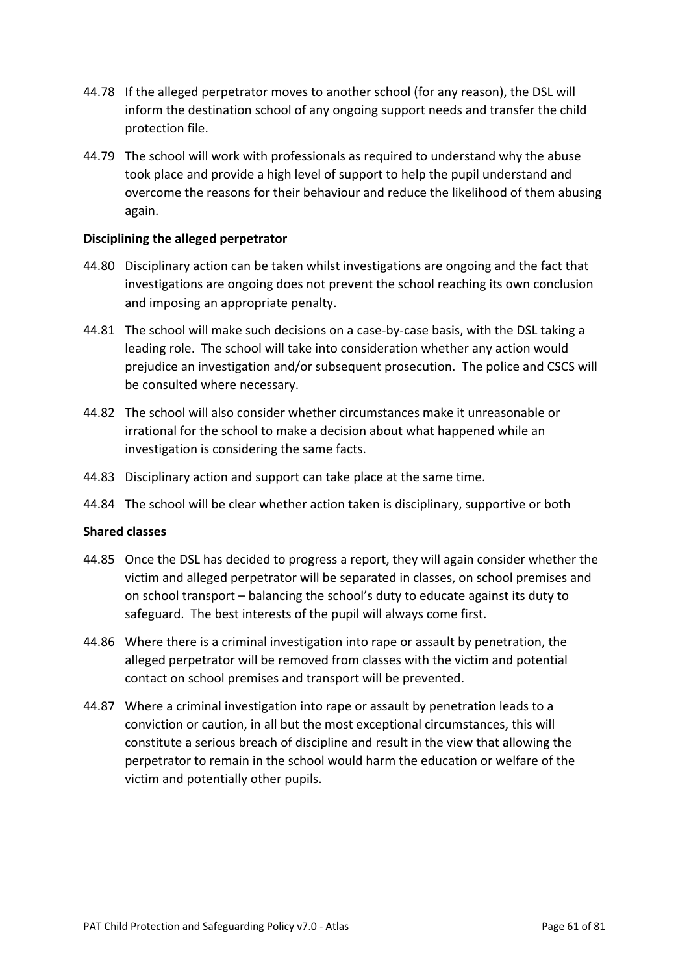- 44.78 If the alleged perpetrator moves to another school (for any reason), the DSL will inform the destination school of any ongoing support needs and transfer the child protection file.
- 44.79 The school will work with professionals as required to understand why the abuse took place and provide a high level of support to help the pupil understand and overcome the reasons for their behaviour and reduce the likelihood of them abusing again.

#### **Disciplining the alleged perpetrator**

- 44.80 Disciplinary action can be taken whilst investigations are ongoing and the fact that investigations are ongoing does not prevent the school reaching its own conclusion and imposing an appropriate penalty.
- 44.81 The school will make such decisions on a case-by-case basis, with the DSL taking a leading role. The school will take into consideration whether any action would prejudice an investigation and/or subsequent prosecution. The police and CSCS will be consulted where necessary.
- 44.82 The school will also consider whether circumstances make it unreasonable or irrational for the school to make a decision about what happened while an investigation is considering the same facts.
- 44.83 Disciplinary action and support can take place at the same time.
- 44.84 The school will be clear whether action taken is disciplinary, supportive or both

#### **Shared classes**

- 44.85 Once the DSL has decided to progress a report, they will again consider whether the victim and alleged perpetrator will be separated in classes, on school premises and on school transport – balancing the school's duty to educate against its duty to safeguard. The best interests of the pupil will always come first.
- 44.86 Where there is a criminal investigation into rape or assault by penetration, the alleged perpetrator will be removed from classes with the victim and potential contact on school premises and transport will be prevented.
- 44.87 Where a criminal investigation into rape or assault by penetration leads to a conviction or caution, in all but the most exceptional circumstances, this will constitute a serious breach of discipline and result in the view that allowing the perpetrator to remain in the school would harm the education or welfare of the victim and potentially other pupils.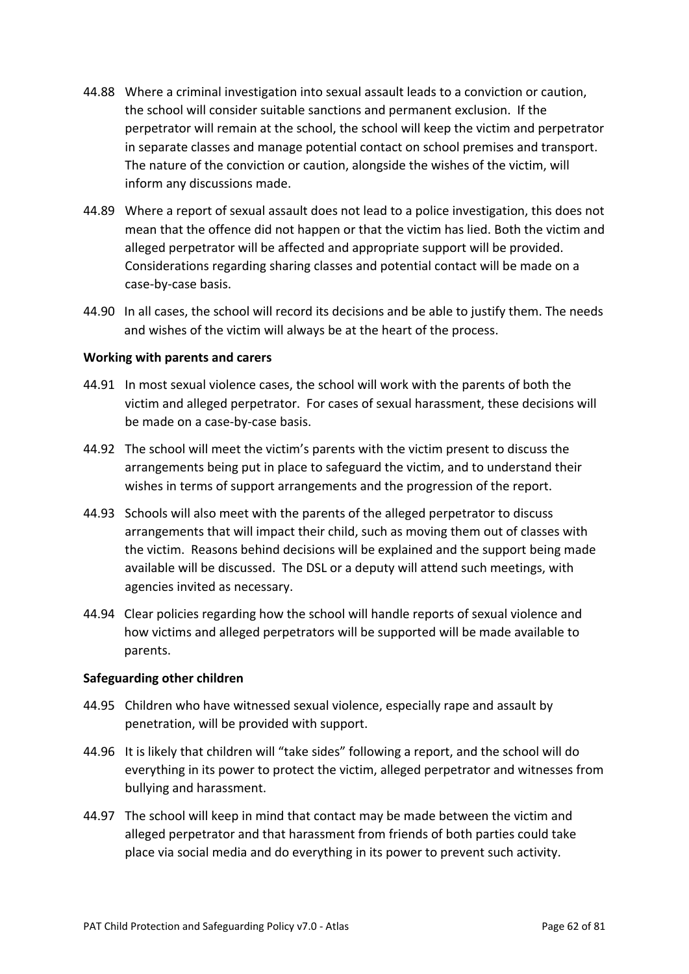- 44.88 Where a criminal investigation into sexual assault leads to a conviction or caution, the school will consider suitable sanctions and permanent exclusion. If the perpetrator will remain at the school, the school will keep the victim and perpetrator in separate classes and manage potential contact on school premises and transport. The nature of the conviction or caution, alongside the wishes of the victim, will inform any discussions made.
- 44.89 Where a report of sexual assault does not lead to a police investigation, this does not mean that the offence did not happen or that the victim has lied. Both the victim and alleged perpetrator will be affected and appropriate support will be provided. Considerations regarding sharing classes and potential contact will be made on a case-by-case basis.
- 44.90 In all cases, the school will record its decisions and be able to justify them. The needs and wishes of the victim will always be at the heart of the process.

#### **Working with parents and carers**

- 44.91 In most sexual violence cases, the school will work with the parents of both the victim and alleged perpetrator. For cases of sexual harassment, these decisions will be made on a case-by-case basis.
- 44.92 The school will meet the victim's parents with the victim present to discuss the arrangements being put in place to safeguard the victim, and to understand their wishes in terms of support arrangements and the progression of the report.
- 44.93 Schools will also meet with the parents of the alleged perpetrator to discuss arrangements that will impact their child, such as moving them out of classes with the victim. Reasons behind decisions will be explained and the support being made available will be discussed. The DSL or a deputy will attend such meetings, with agencies invited as necessary.
- 44.94 Clear policies regarding how the school will handle reports of sexual violence and how victims and alleged perpetrators will be supported will be made available to parents.

#### **Safeguarding other children**

- 44.95 Children who have witnessed sexual violence, especially rape and assault by penetration, will be provided with support.
- 44.96 It is likely that children will "take sides" following a report, and the school will do everything in its power to protect the victim, alleged perpetrator and witnesses from bullying and harassment.
- 44.97 The school will keep in mind that contact may be made between the victim and alleged perpetrator and that harassment from friends of both parties could take place via social media and do everything in its power to prevent such activity.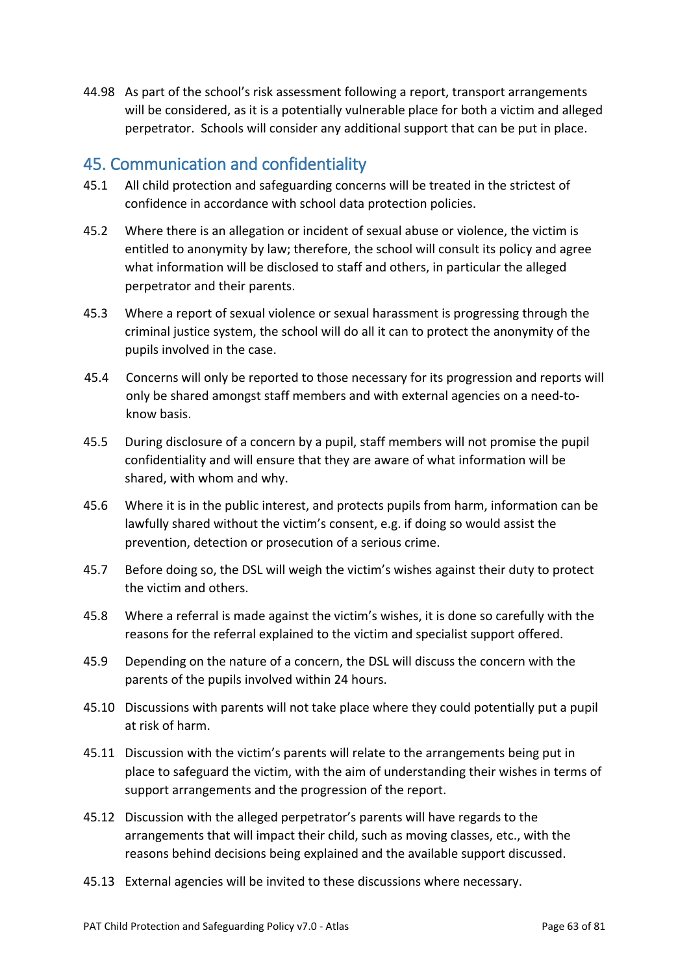44.98 As part of the school's risk assessment following a report, transport arrangements will be considered, as it is a potentially vulnerable place for both a victim and alleged perpetrator. Schools will consider any additional support that can be put in place.

## 45. Communication and confidentiality

- 45.1 All child protection and safeguarding concerns will be treated in the strictest of confidence in accordance with school data protection policies.
- 45.2 Where there is an allegation or incident of sexual abuse or violence, the victim is entitled to anonymity by law; therefore, the school will consult its policy and agree what information will be disclosed to staff and others, in particular the alleged perpetrator and their parents.
- 45.3 Where a report of sexual violence or sexual harassment is progressing through the criminal justice system, the school will do all it can to protect the anonymity of the pupils involved in the case.
- 45.4 Concerns will only be reported to those necessary for its progression and reports will only be shared amongst staff members and with external agencies on a need-toknow basis.
- 45.5 During disclosure of a concern by a pupil, staff members will not promise the pupil confidentiality and will ensure that they are aware of what information will be shared, with whom and why.
- 45.6 Where it is in the public interest, and protects pupils from harm, information can be lawfully shared without the victim's consent, e.g. if doing so would assist the prevention, detection or prosecution of a serious crime.
- 45.7 Before doing so, the DSL will weigh the victim's wishes against their duty to protect the victim and others.
- 45.8 Where a referral is made against the victim's wishes, it is done so carefully with the reasons for the referral explained to the victim and specialist support offered.
- 45.9 Depending on the nature of a concern, the DSL will discuss the concern with the parents of the pupils involved within 24 hours.
- 45.10 Discussions with parents will not take place where they could potentially put a pupil at risk of harm.
- 45.11 Discussion with the victim's parents will relate to the arrangements being put in place to safeguard the victim, with the aim of understanding their wishes in terms of support arrangements and the progression of the report.
- 45.12 Discussion with the alleged perpetrator's parents will have regards to the arrangements that will impact their child, such as moving classes, etc., with the reasons behind decisions being explained and the available support discussed.
- 45.13 External agencies will be invited to these discussions where necessary.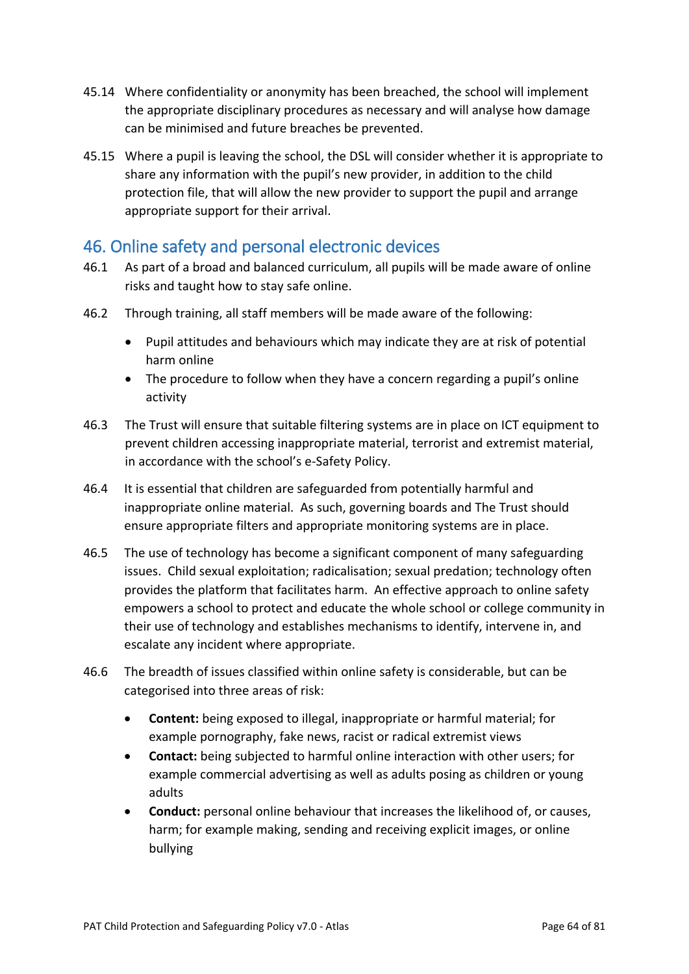- 45.14 Where confidentiality or anonymity has been breached, the school will implement the appropriate disciplinary procedures as necessary and will analyse how damage can be minimised and future breaches be prevented.
- 45.15 Where a pupil is leaving the school, the DSL will consider whether it is appropriate to share any information with the pupil's new provider, in addition to the child protection file, that will allow the new provider to support the pupil and arrange appropriate support for their arrival.

## 46. Online safety and personal electronic devices

- 46.1 As part of a broad and balanced curriculum, all pupils will be made aware of online risks and taught how to stay safe online.
- 46.2 Through training, all staff members will be made aware of the following:
	- Pupil attitudes and behaviours which may indicate they are at risk of potential harm online
	- The procedure to follow when they have a concern regarding a pupil's online activity
- 46.3 The Trust will ensure that suitable filtering systems are in place on ICT equipment to prevent children accessing inappropriate material, terrorist and extremist material, in accordance with the school's e-Safety Policy.
- 46.4 It is essential that children are safeguarded from potentially harmful and inappropriate online material. As such, governing boards and The Trust should ensure appropriate filters and appropriate monitoring systems are in place.
- 46.5 The use of technology has become a significant component of many safeguarding issues. Child sexual exploitation; radicalisation; sexual predation; technology often provides the platform that facilitates harm. An effective approach to online safety empowers a school to protect and educate the whole school or college community in their use of technology and establishes mechanisms to identify, intervene in, and escalate any incident where appropriate.
- 46.6 The breadth of issues classified within online safety is considerable, but can be categorised into three areas of risk:
	- **Content:** being exposed to illegal, inappropriate or harmful material; for example pornography, fake news, racist or radical extremist views
	- **Contact:** being subjected to harmful online interaction with other users; for example commercial advertising as well as adults posing as children or young adults
	- **Conduct:** personal online behaviour that increases the likelihood of, or causes, harm; for example making, sending and receiving explicit images, or online bullying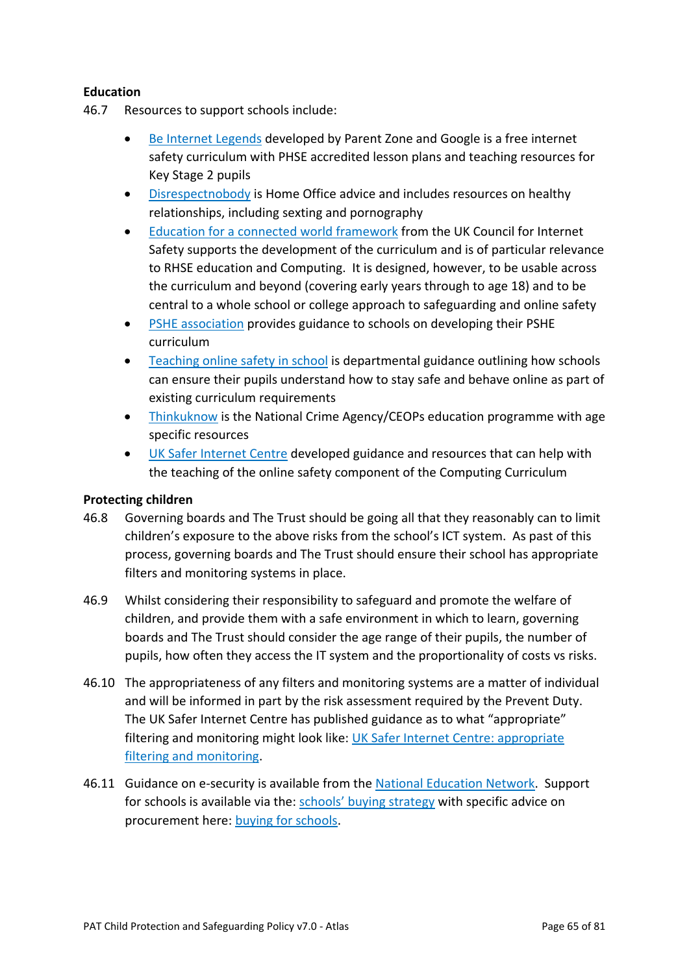### **Education**

- 46.7 Resources to support schools include:
	- Be Internet Legends developed by Parent Zone and Google is a free internet safety curriculum with PHSE accredited lesson plans and teaching resources for Key Stage 2 pupils
	- Disrespectnobody is Home Office advice and includes resources on healthy relationships, including sexting and pornography
	- Education for a connected world framework from the UK Council for Internet Safety supports the development of the curriculum and is of particular relevance to RHSE education and Computing. It is designed, however, to be usable across the curriculum and beyond (covering early years through to age 18) and to be central to a whole school or college approach to safeguarding and online safety
	- PSHE association provides guidance to schools on developing their PSHE curriculum
	- Teaching online safety in school is departmental guidance outlining how schools can ensure their pupils understand how to stay safe and behave online as part of existing curriculum requirements
	- Thinkuknow is the National Crime Agency/CEOPs education programme with age specific resources
	- UK Safer Internet Centre developed guidance and resources that can help with the teaching of the online safety component of the Computing Curriculum

#### **Protecting children**

- 46.8 Governing boards and The Trust should be going all that they reasonably can to limit children's exposure to the above risks from the school's ICT system. As past of this process, governing boards and The Trust should ensure their school has appropriate filters and monitoring systems in place.
- 46.9 Whilst considering their responsibility to safeguard and promote the welfare of children, and provide them with a safe environment in which to learn, governing boards and The Trust should consider the age range of their pupils, the number of pupils, how often they access the IT system and the proportionality of costs vs risks.
- 46.10 The appropriateness of any filters and monitoring systems are a matter of individual and will be informed in part by the risk assessment required by the Prevent Duty. The UK Safer Internet Centre has published guidance as to what "appropriate" filtering and monitoring might look like: UK Safer Internet Centre: appropriate filtering and monitoring.
- 46.11 Guidance on e-security is available from the National Education Network. Support for schools is available via the: schools' buying strategy with specific advice on procurement here: buying for schools.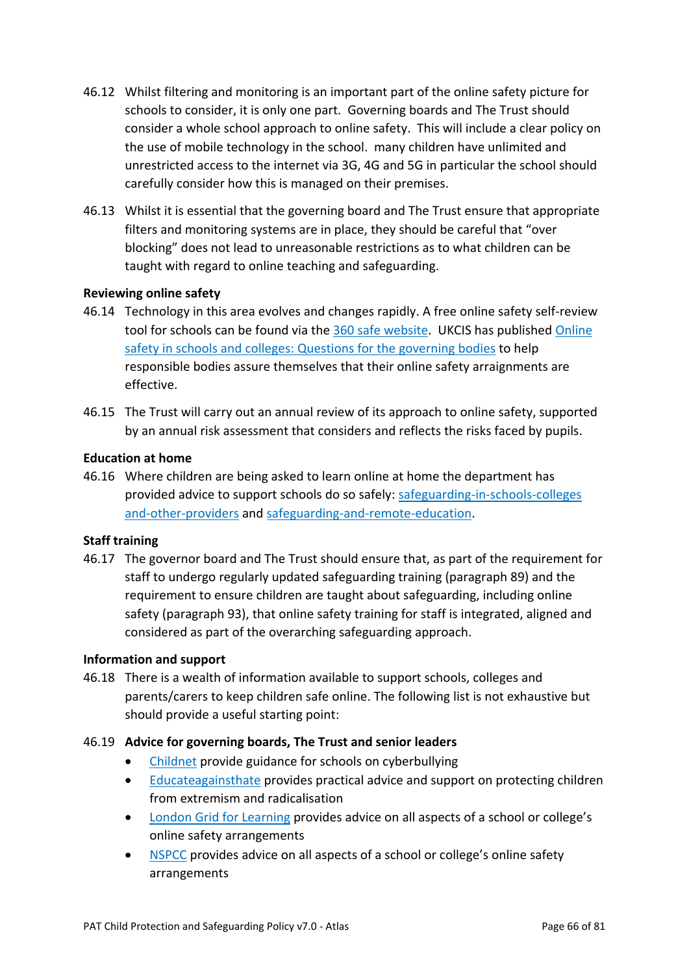- 46.12 Whilst filtering and monitoring is an important part of the online safety picture for schools to consider, it is only one part. Governing boards and The Trust should consider a whole school approach to online safety. This will include a clear policy on the use of mobile technology in the school. many children have unlimited and unrestricted access to the internet via 3G, 4G and 5G in particular the school should carefully consider how this is managed on their premises.
- 46.13 Whilst it is essential that the governing board and The Trust ensure that appropriate filters and monitoring systems are in place, they should be careful that "over blocking" does not lead to unreasonable restrictions as to what children can be taught with regard to online teaching and safeguarding.

#### **Reviewing online safety**

- 46.14 Technology in this area evolves and changes rapidly. A free online safety self-review tool for schools can be found via the 360 safe website. UKCIS has published Online safety in schools and colleges: Questions for the governing bodies to help responsible bodies assure themselves that their online safety arraignments are effective.
- 46.15 The Trust will carry out an annual review of its approach to online safety, supported by an annual risk assessment that considers and reflects the risks faced by pupils.

#### **Education at home**

46.16 Where children are being asked to learn online at home the department has provided advice to support schools do so safely: safeguarding-in-schools-colleges and-other-providers and safeguarding-and-remote-education.

#### **Staff training**

46.17 The governor board and The Trust should ensure that, as part of the requirement for staff to undergo regularly updated safeguarding training (paragraph 89) and the requirement to ensure children are taught about safeguarding, including online safety (paragraph 93), that online safety training for staff is integrated, aligned and considered as part of the overarching safeguarding approach.

#### **Information and support**

46.18 There is a wealth of information available to support schools, colleges and parents/carers to keep children safe online. The following list is not exhaustive but should provide a useful starting point:

#### 46.19 **Advice for governing boards, The Trust and senior leaders**

- Childnet provide guidance for schools on cyberbullying
- Educateagainsthate provides practical advice and support on protecting children from extremism and radicalisation
- London Grid for Learning provides advice on all aspects of a school or college's online safety arrangements
- NSPCC provides advice on all aspects of a school or college's online safety arrangements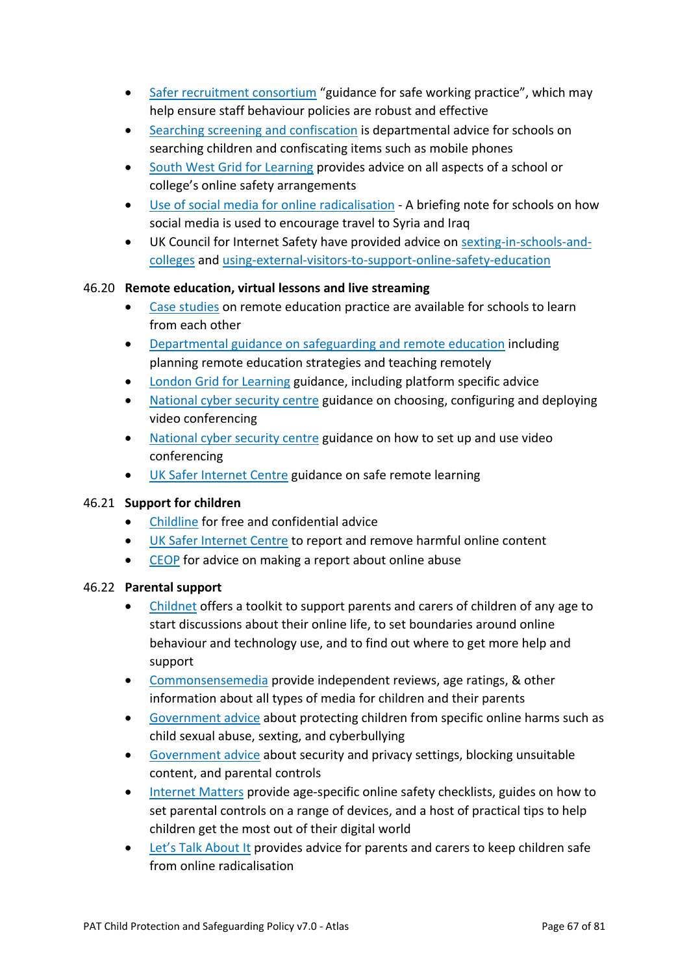- Safer recruitment consortium "guidance for safe working practice", which may help ensure staff behaviour policies are robust and effective
- Searching screening and confiscation is departmental advice for schools on searching children and confiscating items such as mobile phones
- South West Grid for Learning provides advice on all aspects of a school or college's online safety arrangements
- Use of social media for online radicalisation A briefing note for schools on how social media is used to encourage travel to Syria and Iraq
- UK Council for Internet Safety have provided advice on sexting-in-schools-andcolleges and using-external-visitors-to-support-online-safety-education

### 46.20 **Remote education, virtual lessons and live streaming**

- Case studies on remote education practice are available for schools to learn from each other
- Departmental guidance on safeguarding and remote education including planning remote education strategies and teaching remotely
- London Grid for Learning guidance, including platform specific advice
- National cyber security centre guidance on choosing, configuring and deploying video conferencing
- National cyber security centre guidance on how to set up and use video conferencing
- UK Safer Internet Centre guidance on safe remote learning

### 46.21 **Support for children**

- Childline for free and confidential advice
- UK Safer Internet Centre to report and remove harmful online content
- CEOP for advice on making a report about online abuse

### 46.22 **Parental support**

- Childnet offers a toolkit to support parents and carers of children of any age to start discussions about their online life, to set boundaries around online behaviour and technology use, and to find out where to get more help and support
- Commonsensemedia provide independent reviews, age ratings, & other information about all types of media for children and their parents
- Government advice about protecting children from specific online harms such as child sexual abuse, sexting, and cyberbullying
- Government advice about security and privacy settings, blocking unsuitable content, and parental controls
- Internet Matters provide age-specific online safety checklists, guides on how to set parental controls on a range of devices, and a host of practical tips to help children get the most out of their digital world
- Let's Talk About It provides advice for parents and carers to keep children safe from online radicalisation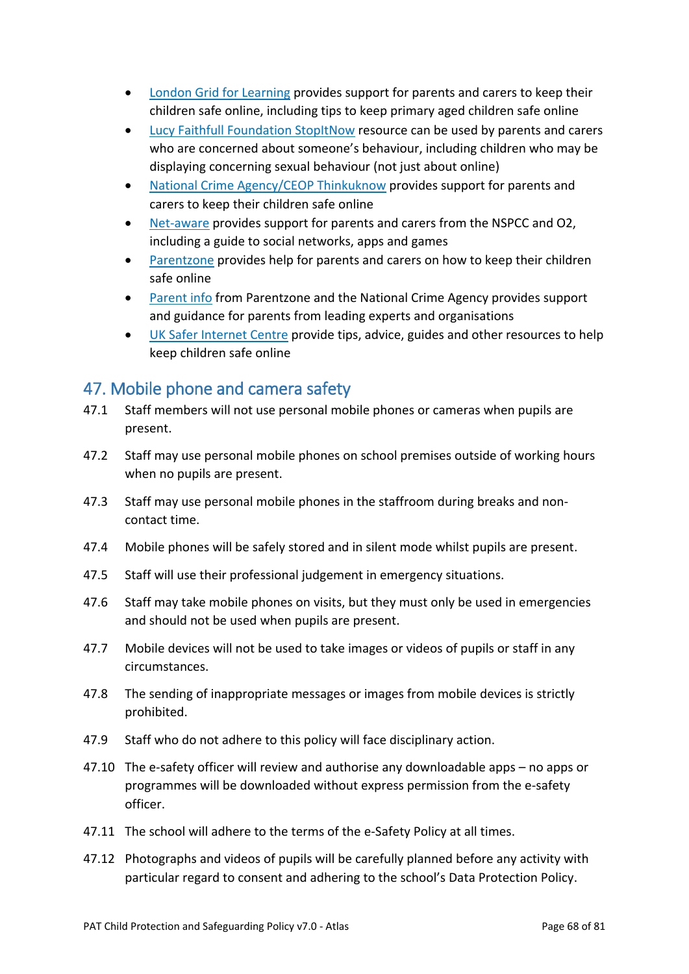- London Grid for Learning provides support for parents and carers to keep their children safe online, including tips to keep primary aged children safe online
- Lucy Faithfull Foundation StopItNow resource can be used by parents and carers who are concerned about someone's behaviour, including children who may be displaying concerning sexual behaviour (not just about online)
- National Crime Agency/CEOP Thinkuknow provides support for parents and carers to keep their children safe online
- Net-aware provides support for parents and carers from the NSPCC and O2, including a guide to social networks, apps and games
- Parentzone provides help for parents and carers on how to keep their children safe online
- Parent info from Parentzone and the National Crime Agency provides support and guidance for parents from leading experts and organisations
- UK Safer Internet Centre provide tips, advice, guides and other resources to help keep children safe online

## 47. Mobile phone and camera safety

- 47.1 Staff members will not use personal mobile phones or cameras when pupils are present.
- 47.2 Staff may use personal mobile phones on school premises outside of working hours when no pupils are present.
- 47.3 Staff may use personal mobile phones in the staffroom during breaks and noncontact time.
- 47.4 Mobile phones will be safely stored and in silent mode whilst pupils are present.
- 47.5 Staff will use their professional judgement in emergency situations.
- 47.6 Staff may take mobile phones on visits, but they must only be used in emergencies and should not be used when pupils are present.
- 47.7 Mobile devices will not be used to take images or videos of pupils or staff in any circumstances.
- 47.8 The sending of inappropriate messages or images from mobile devices is strictly prohibited.
- 47.9 Staff who do not adhere to this policy will face disciplinary action.
- 47.10 The e-safety officer will review and authorise any downloadable apps no apps or programmes will be downloaded without express permission from the e-safety officer.
- 47.11 The school will adhere to the terms of the e-Safety Policy at all times.
- 47.12 Photographs and videos of pupils will be carefully planned before any activity with particular regard to consent and adhering to the school's Data Protection Policy.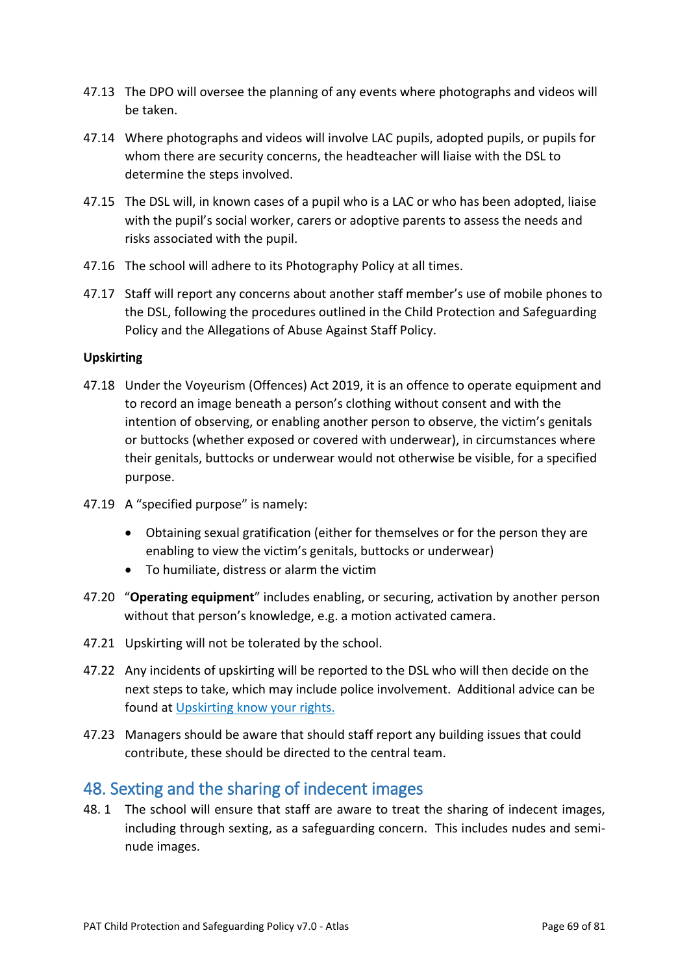- 47.13 The DPO will oversee the planning of any events where photographs and videos will be taken.
- 47.14 Where photographs and videos will involve LAC pupils, adopted pupils, or pupils for whom there are security concerns, the headteacher will liaise with the DSL to determine the steps involved.
- 47.15 The DSL will, in known cases of a pupil who is a LAC or who has been adopted, liaise with the pupil's social worker, carers or adoptive parents to assess the needs and risks associated with the pupil.
- 47.16 The school will adhere to its Photography Policy at all times.
- 47.17 Staff will report any concerns about another staff member's use of mobile phones to the DSL, following the procedures outlined in the Child Protection and Safeguarding Policy and the Allegations of Abuse Against Staff Policy.

### **Upskirting**

- 47.18 Under the Voyeurism (Offences) Act 2019, it is an offence to operate equipment and to record an image beneath a person's clothing without consent and with the intention of observing, or enabling another person to observe, the victim's genitals or buttocks (whether exposed or covered with underwear), in circumstances where their genitals, buttocks or underwear would not otherwise be visible, for a specified purpose.
- 47.19 A "specified purpose" is namely:
	- Obtaining sexual gratification (either for themselves or for the person they are enabling to view the victim's genitals, buttocks or underwear)
	- To humiliate, distress or alarm the victim
- 47.20 "**Operating equipment**" includes enabling, or securing, activation by another person without that person's knowledge, e.g. a motion activated camera.
- 47.21 Upskirting will not be tolerated by the school.
- 47.22 Any incidents of upskirting will be reported to the DSL who will then decide on the next steps to take, which may include police involvement. Additional advice can be found at Upskirting know your rights.
- 47.23 Managers should be aware that should staff report any building issues that could contribute, these should be directed to the central team.

## 48. Sexting and the sharing of indecent images

48. 1 The school will ensure that staff are aware to treat the sharing of indecent images, including through sexting, as a safeguarding concern. This includes nudes and seminude images.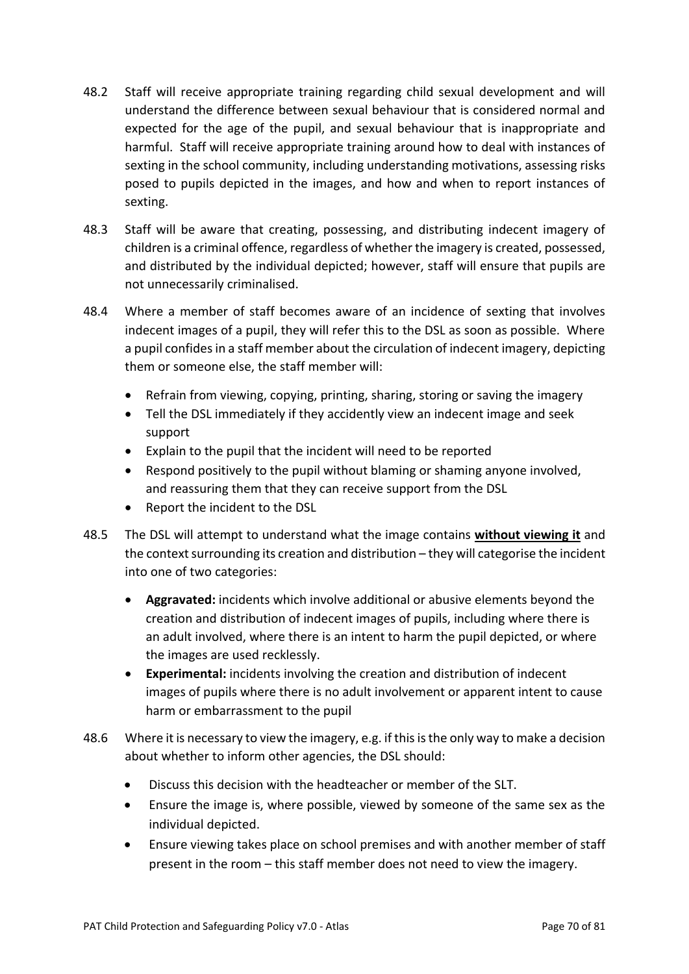- 48.2 Staff will receive appropriate training regarding child sexual development and will understand the difference between sexual behaviour that is considered normal and expected for the age of the pupil, and sexual behaviour that is inappropriate and harmful. Staff will receive appropriate training around how to deal with instances of sexting in the school community, including understanding motivations, assessing risks posed to pupils depicted in the images, and how and when to report instances of sexting.
- 48.3 Staff will be aware that creating, possessing, and distributing indecent imagery of children is a criminal offence, regardless of whether the imagery is created, possessed, and distributed by the individual depicted; however, staff will ensure that pupils are not unnecessarily criminalised.
- 48.4 Where a member of staff becomes aware of an incidence of sexting that involves indecent images of a pupil, they will refer this to the DSL as soon as possible. Where a pupil confides in a staff member about the circulation of indecent imagery, depicting them or someone else, the staff member will:
	- Refrain from viewing, copying, printing, sharing, storing or saving the imagery
	- Tell the DSL immediately if they accidently view an indecent image and seek support
	- Explain to the pupil that the incident will need to be reported
	- Respond positively to the pupil without blaming or shaming anyone involved, and reassuring them that they can receive support from the DSL
	- Report the incident to the DSL
- 48.5 The DSL will attempt to understand what the image contains **without viewing it** and the context surrounding its creation and distribution – they will categorise the incident into one of two categories:
	- **Aggravated:** incidents which involve additional or abusive elements beyond the creation and distribution of indecent images of pupils, including where there is an adult involved, where there is an intent to harm the pupil depicted, or where the images are used recklessly.
	- **Experimental:** incidents involving the creation and distribution of indecent images of pupils where there is no adult involvement or apparent intent to cause harm or embarrassment to the pupil
- 48.6 Where it is necessary to view the imagery, e.g. if this is the only way to make a decision about whether to inform other agencies, the DSL should:
	- Discuss this decision with the headteacher or member of the SLT.
	- Ensure the image is, where possible, viewed by someone of the same sex as the individual depicted.
	- Ensure viewing takes place on school premises and with another member of staff present in the room – this staff member does not need to view the imagery.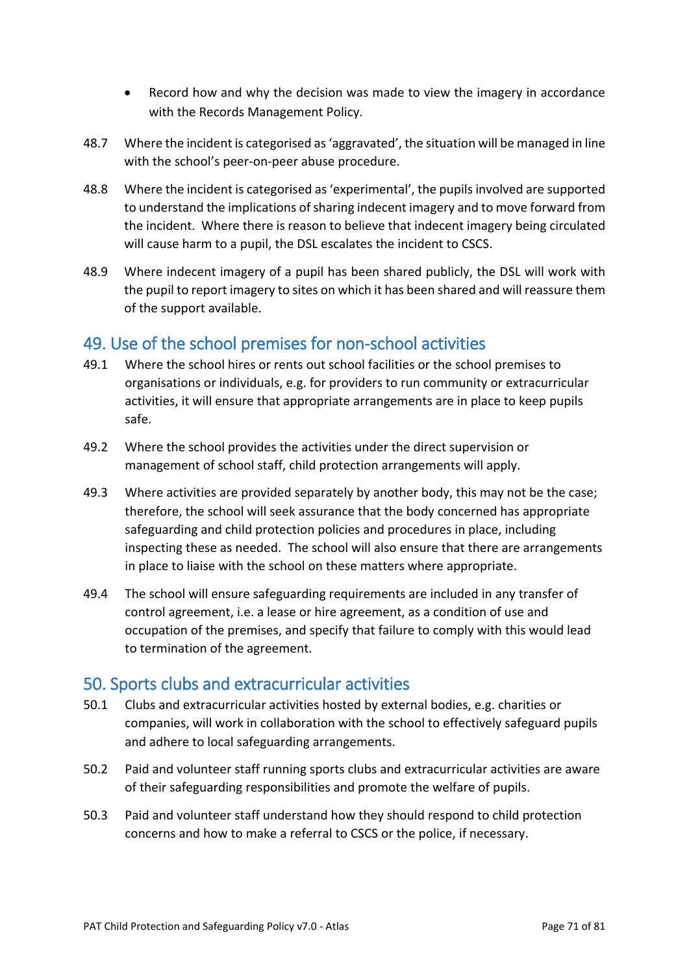- Record how and why the decision was made to view the imagery in accordance with the Records Management Policy.
- 48.7 Where the incident is categorised as 'aggravated', the situation will be managed in line with the school's peer-on-peer abuse procedure.
- 48.8 Where the incident is categorised as 'experimental', the pupils involved are supported to understand the implications of sharing indecent imagery and to move forward from the incident. Where there is reason to believe that indecent imagery being circulated will cause harm to a pupil, the DSL escalates the incident to CSCS.
- 48.9 Where indecent imagery of a pupil has been shared publicly, the DSL will work with the pupil to report imagery to sites on which it has been shared and will reassure them of the support available.

## 49. Use of the school premises for non-school activities

- 49.1 Where the school hires or rents out school facilities or the school premises to organisations or individuals, e.g. for providers to run community or extracurricular activities, it will ensure that appropriate arrangements are in place to keep pupils safe.
- 49.2 Where the school provides the activities under the direct supervision or management of school staff, child protection arrangements will apply.
- 49.3 Where activities are provided separately by another body, this may not be the case; therefore, the school will seek assurance that the body concerned has appropriate safeguarding and child protection policies and procedures in place, including inspecting these as needed. The school will also ensure that there are arrangements in place to liaise with the school on these matters where appropriate.
- 49.4 The school will ensure safeguarding requirements are included in any transfer of control agreement, i.e. a lease or hire agreement, as a condition of use and occupation of the premises, and specify that failure to comply with this would lead to termination of the agreement.

## 50. Sports clubs and extracurricular activities

- 50.1 Clubs and extracurricular activities hosted by external bodies, e.g. charities or companies, will work in collaboration with the school to effectively safeguard pupils and adhere to local safeguarding arrangements.
- 50.2 Paid and volunteer staff running sports clubs and extracurricular activities are aware of their safeguarding responsibilities and promote the welfare of pupils.
- 50.3 Paid and volunteer staff understand how they should respond to child protection concerns and how to make a referral to CSCS or the police, if necessary.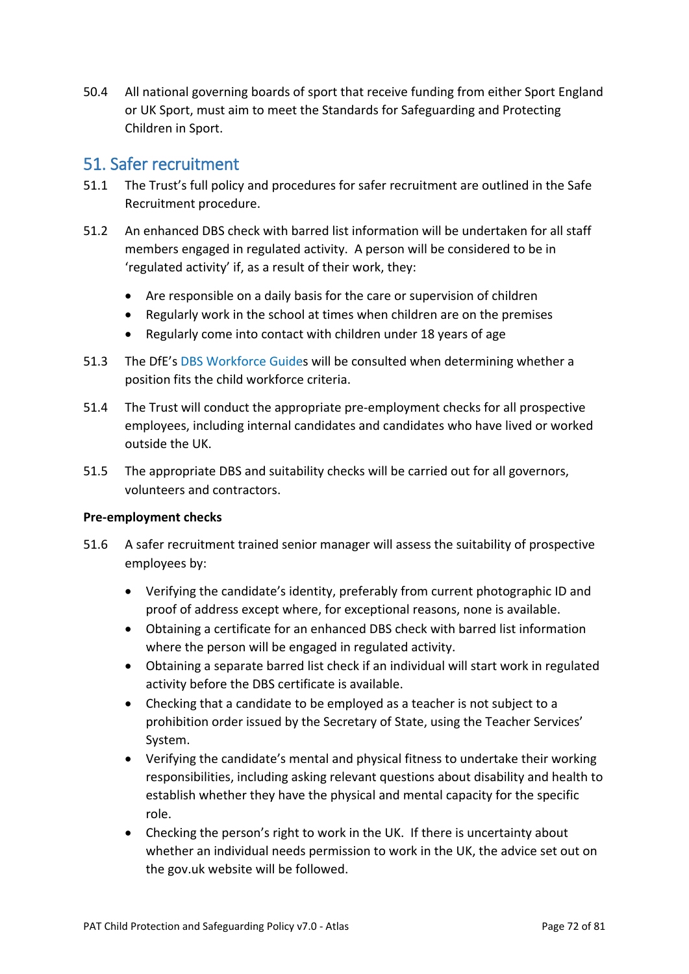50.4 All national governing boards of sport that receive funding from either Sport England or UK Sport, must aim to meet the Standards for Safeguarding and Protecting Children in Sport.

## 51. Safer recruitment

- 51.1 The Trust's full policy and procedures for safer recruitment are outlined in the Safe Recruitment procedure.
- 51.2 An enhanced DBS check with barred list information will be undertaken for all staff members engaged in regulated activity. A person will be considered to be in 'regulated activity' if, as a result of their work, they:
	- Are responsible on a daily basis for the care or supervision of children
	- Regularly work in the school at times when children are on the premises
	- Regularly come into contact with children under 18 years of age
- 51.3 The DfE's [DBS Workforce Guides](https://www.gov.uk/government/publications/dbs-workforce-guidance) will be consulted when determining whether a position fits the child workforce criteria.
- 51.4 The Trust will conduct the appropriate pre-employment checks for all prospective employees, including internal candidates and candidates who have lived or worked outside the UK.
- 51.5 The appropriate DBS and suitability checks will be carried out for all governors, volunteers and contractors.

### **Pre-employment checks**

- 51.6 A safer recruitment trained senior manager will assess the suitability of prospective employees by:
	- Verifying the candidate's identity, preferably from current photographic ID and proof of address except where, for exceptional reasons, none is available.
	- Obtaining a certificate for an enhanced DBS check with barred list information where the person will be engaged in regulated activity.
	- Obtaining a separate barred list check if an individual will start work in regulated activity before the DBS certificate is available.
	- Checking that a candidate to be employed as a teacher is not subject to a prohibition order issued by the Secretary of State, using the Teacher Services' System.
	- Verifying the candidate's mental and physical fitness to undertake their working responsibilities, including asking relevant questions about disability and health to establish whether they have the physical and mental capacity for the specific role.
	- Checking the person's right to work in the UK. If there is uncertainty about whether an individual needs permission to work in the UK, the advice set out on the gov.uk website will be followed.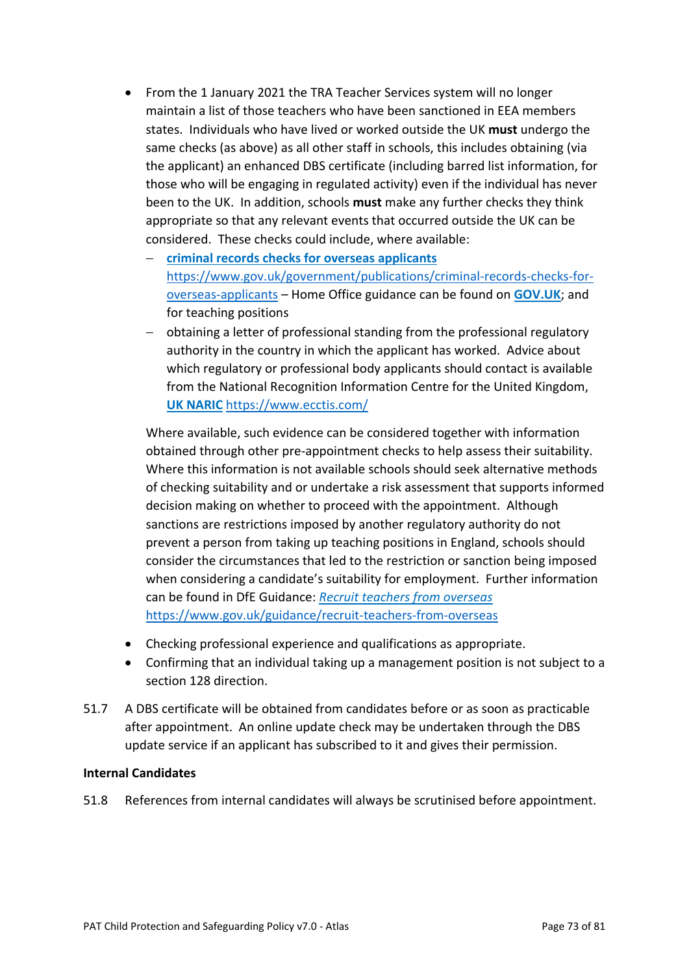- From the 1 January 2021 the TRA Teacher Services system will no longer maintain a list of those teachers who have been sanctioned in EEA members states. Individuals who have lived or worked outside the UK **must** undergo the same checks (as above) as all other staff in schools, this includes obtaining (via the applicant) an enhanced DBS certificate (including barred list information, for those who will be engaging in regulated activity) even if the individual has never been to the UK. In addition, schools **must** make any further checks they think appropriate so that any relevant events that occurred outside the UK can be considered. These checks could include, where available:
	- − **criminal records checks for overseas applicants** [https://www.gov.uk/government/publications/criminal-records-checks-for](https://www.gov.uk/government/publications/criminal-records-checks-for-overseas-applicants)[overseas-applicants](https://www.gov.uk/government/publications/criminal-records-checks-for-overseas-applicants) – Home Office guidance can be found on **GOV.UK**; and for teaching positions
	- − obtaining a letter of professional standing from the professional regulatory authority in the country in which the applicant has worked. Advice about which regulatory or professional body applicants should contact is available from the National Recognition Information Centre for the United Kingdom, **UK NARIC** <https://www.ecctis.com/>

Where available, such evidence can be considered together with information obtained through other pre-appointment checks to help assess their suitability. Where this information is not available schools should seek alternative methods of checking suitability and or undertake a risk assessment that supports informed decision making on whether to proceed with the appointment. Although sanctions are restrictions imposed by another regulatory authority do not prevent a person from taking up teaching positions in England, schools should consider the circumstances that led to the restriction or sanction being imposed when considering a candidate's suitability for employment. Further information can be found in DfE Guidance: *Recruit teachers from overseas* <https://www.gov.uk/guidance/recruit-teachers-from-overseas>

- Checking professional experience and qualifications as appropriate.
- Confirming that an individual taking up a management position is not subject to a section 128 direction.
- 51.7 A DBS certificate will be obtained from candidates before or as soon as practicable after appointment. An online update check may be undertaken through the DBS update service if an applicant has subscribed to it and gives their permission.

### **Internal Candidates**

51.8 References from internal candidates will always be scrutinised before appointment.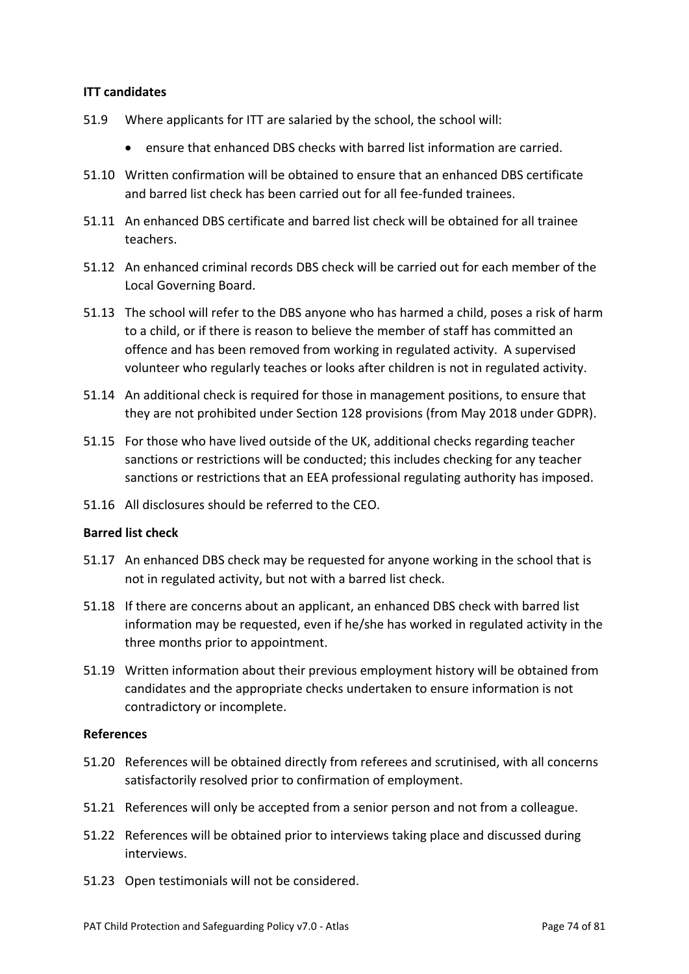### **ITT candidates**

- 51.9 Where applicants for ITT are salaried by the school, the school will:
	- ensure that enhanced DBS checks with barred list information are carried.
- 51.10 Written confirmation will be obtained to ensure that an enhanced DBS certificate and barred list check has been carried out for all fee-funded trainees.
- 51.11 An enhanced DBS certificate and barred list check will be obtained for all trainee teachers.
- 51.12 An enhanced criminal records DBS check will be carried out for each member of the Local Governing Board.
- 51.13 The school will refer to the DBS anyone who has harmed a child, poses a risk of harm to a child, or if there is reason to believe the member of staff has committed an offence and has been removed from working in regulated activity. A supervised volunteer who regularly teaches or looks after children is not in regulated activity.
- 51.14 An additional check is required for those in management positions, to ensure that they are not prohibited under Section 128 provisions (from May 2018 under GDPR).
- 51.15 For those who have lived outside of the UK, additional checks regarding teacher sanctions or restrictions will be conducted; this includes checking for any teacher sanctions or restrictions that an EEA professional regulating authority has imposed.
- 51.16 All disclosures should be referred to the CEO.

#### **Barred list check**

- 51.17 An enhanced DBS check may be requested for anyone working in the school that is not in regulated activity, but not with a barred list check.
- 51.18 If there are concerns about an applicant, an enhanced DBS check with barred list information may be requested, even if he/she has worked in regulated activity in the three months prior to appointment.
- 51.19 Written information about their previous employment history will be obtained from candidates and the appropriate checks undertaken to ensure information is not contradictory or incomplete.

#### **References**

- 51.20 References will be obtained directly from referees and scrutinised, with all concerns satisfactorily resolved prior to confirmation of employment.
- 51.21 References will only be accepted from a senior person and not from a colleague.
- 51.22 References will be obtained prior to interviews taking place and discussed during interviews.
- 51.23 Open testimonials will not be considered.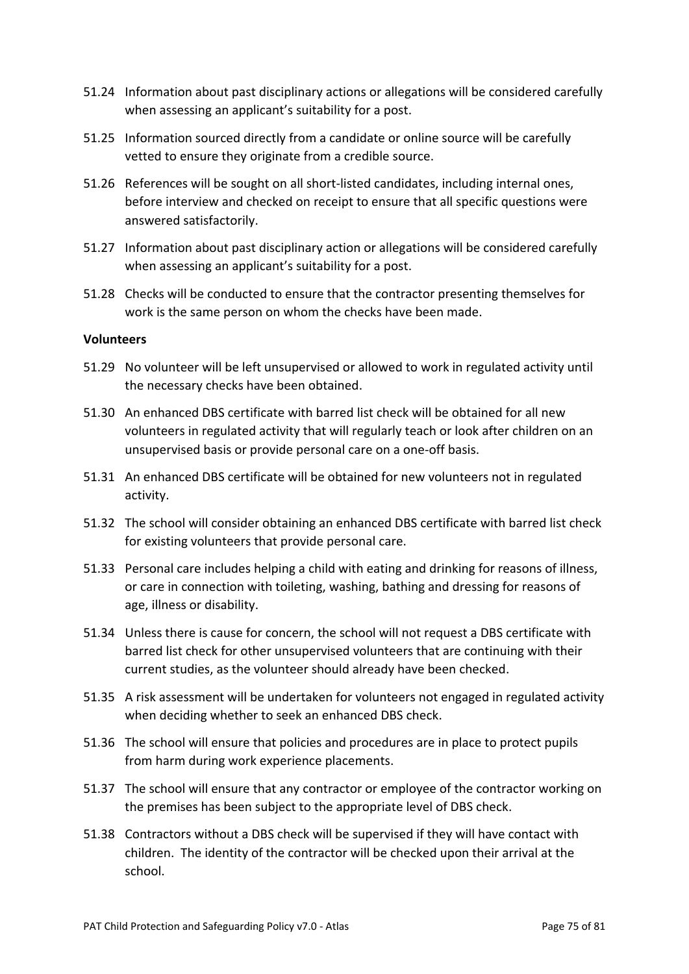- 51.24 Information about past disciplinary actions or allegations will be considered carefully when assessing an applicant's suitability for a post.
- 51.25 Information sourced directly from a candidate or online source will be carefully vetted to ensure they originate from a credible source.
- 51.26 References will be sought on all short-listed candidates, including internal ones, before interview and checked on receipt to ensure that all specific questions were answered satisfactorily.
- 51.27 Information about past disciplinary action or allegations will be considered carefully when assessing an applicant's suitability for a post.
- 51.28 Checks will be conducted to ensure that the contractor presenting themselves for work is the same person on whom the checks have been made.

### **Volunteers**

- 51.29 No volunteer will be left unsupervised or allowed to work in regulated activity until the necessary checks have been obtained.
- 51.30 An enhanced DBS certificate with barred list check will be obtained for all new volunteers in regulated activity that will regularly teach or look after children on an unsupervised basis or provide personal care on a one-off basis.
- 51.31 An enhanced DBS certificate will be obtained for new volunteers not in regulated activity.
- 51.32 The school will consider obtaining an enhanced DBS certificate with barred list check for existing volunteers that provide personal care.
- 51.33 Personal care includes helping a child with eating and drinking for reasons of illness, or care in connection with toileting, washing, bathing and dressing for reasons of age, illness or disability.
- 51.34 Unless there is cause for concern, the school will not request a DBS certificate with barred list check for other unsupervised volunteers that are continuing with their current studies, as the volunteer should already have been checked.
- 51.35 A risk assessment will be undertaken for volunteers not engaged in regulated activity when deciding whether to seek an enhanced DBS check.
- 51.36 The school will ensure that policies and procedures are in place to protect pupils from harm during work experience placements.
- 51.37 The school will ensure that any contractor or employee of the contractor working on the premises has been subject to the appropriate level of DBS check.
- 51.38 Contractors without a DBS check will be supervised if they will have contact with children. The identity of the contractor will be checked upon their arrival at the school.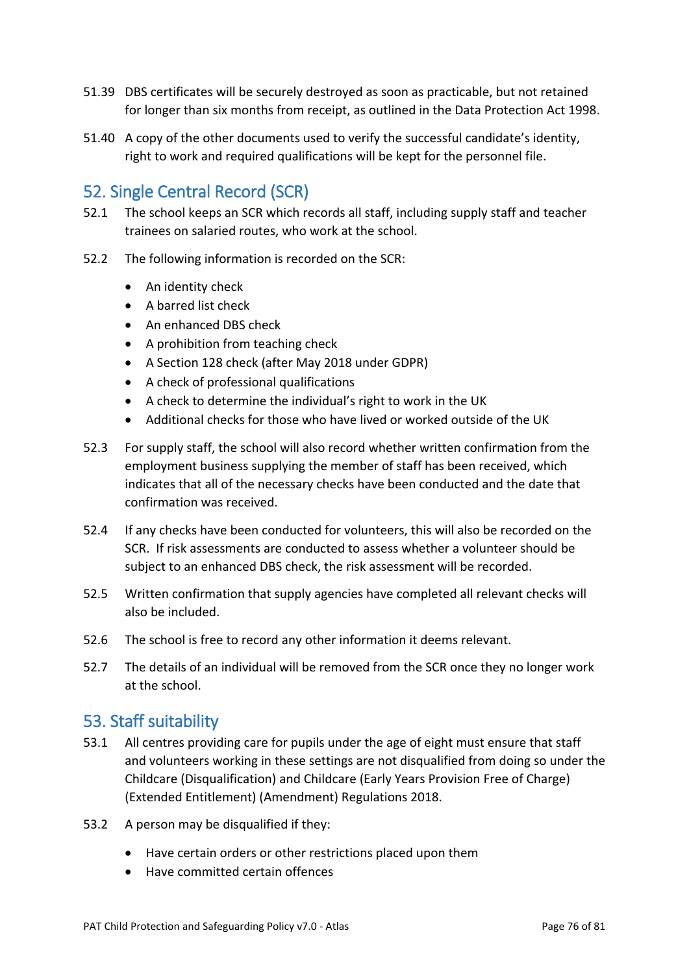- 51.39 DBS certificates will be securely destroyed as soon as practicable, but not retained for longer than six months from receipt, as outlined in the Data Protection Act 1998.
- 51.40 A copy of the other documents used to verify the successful candidate's identity, right to work and required qualifications will be kept for the personnel file.

# 52. Single Central Record (SCR)

- 52.1 The school keeps an SCR which records all staff, including supply staff and teacher trainees on salaried routes, who work at the school.
- 52.2 The following information is recorded on the SCR:
	- An identity check
	- A barred list check
	- An enhanced DBS check
	- A prohibition from teaching check
	- A Section 128 check (after May 2018 under GDPR)
	- A check of professional qualifications
	- A check to determine the individual's right to work in the UK
	- Additional checks for those who have lived or worked outside of the UK
- 52.3 For supply staff, the school will also record whether written confirmation from the employment business supplying the member of staff has been received, which indicates that all of the necessary checks have been conducted and the date that confirmation was received.
- 52.4 If any checks have been conducted for volunteers, this will also be recorded on the SCR. If risk assessments are conducted to assess whether a volunteer should be subject to an enhanced DBS check, the risk assessment will be recorded.
- 52.5 Written confirmation that supply agencies have completed all relevant checks will also be included.
- 52.6 The school is free to record any other information it deems relevant.
- 52.7 The details of an individual will be removed from the SCR once they no longer work at the school.

### 53. Staff suitability

- 53.1 All centres providing care for pupils under the age of eight must ensure that staff and volunteers working in these settings are not disqualified from doing so under the Childcare (Disqualification) and Childcare (Early Years Provision Free of Charge) (Extended Entitlement) (Amendment) Regulations 2018.
- 53.2 A person may be disqualified if they:
	- Have certain orders or other restrictions placed upon them
	- Have committed certain offences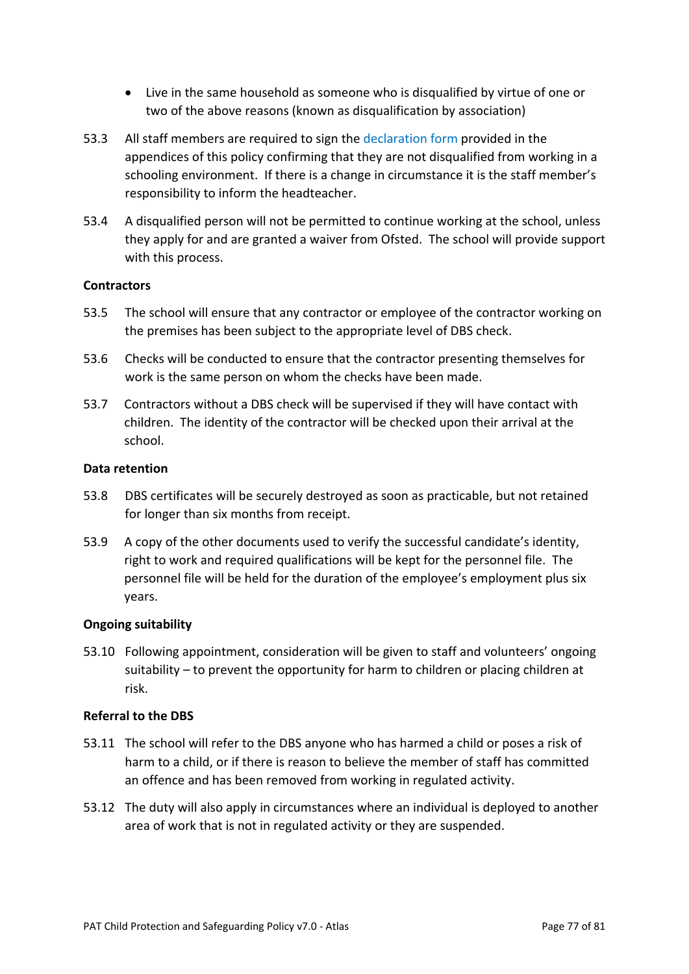- Live in the same household as someone who is disqualified by virtue of one or two of the above reasons (known as disqualification by association)
- 53.3 All staff members are required to sign the declaration form provided in the appendices of this policy confirming that they are not disqualified from working in a schooling environment. If there is a change in circumstance it is the staff member's responsibility to inform the headteacher.
- 53.4 A disqualified person will not be permitted to continue working at the school, unless they apply for and are granted a waiver from Ofsted. The school will provide support with this process.

### **Contractors**

- 53.5 The school will ensure that any contractor or employee of the contractor working on the premises has been subject to the appropriate level of DBS check.
- 53.6 Checks will be conducted to ensure that the contractor presenting themselves for work is the same person on whom the checks have been made.
- 53.7 Contractors without a DBS check will be supervised if they will have contact with children. The identity of the contractor will be checked upon their arrival at the school.

### **Data retention**

- 53.8 DBS certificates will be securely destroyed as soon as practicable, but not retained for longer than six months from receipt.
- 53.9 A copy of the other documents used to verify the successful candidate's identity, right to work and required qualifications will be kept for the personnel file. The personnel file will be held for the duration of the employee's employment plus six years.

### **Ongoing suitability**

53.10 Following appointment, consideration will be given to staff and volunteers' ongoing suitability – to prevent the opportunity for harm to children or placing children at risk.

### **Referral to the DBS**

- 53.11 The school will refer to the DBS anyone who has harmed a child or poses a risk of harm to a child, or if there is reason to believe the member of staff has committed an offence and has been removed from working in regulated activity.
- 53.12 The duty will also apply in circumstances where an individual is deployed to another area of work that is not in regulated activity or they are suspended.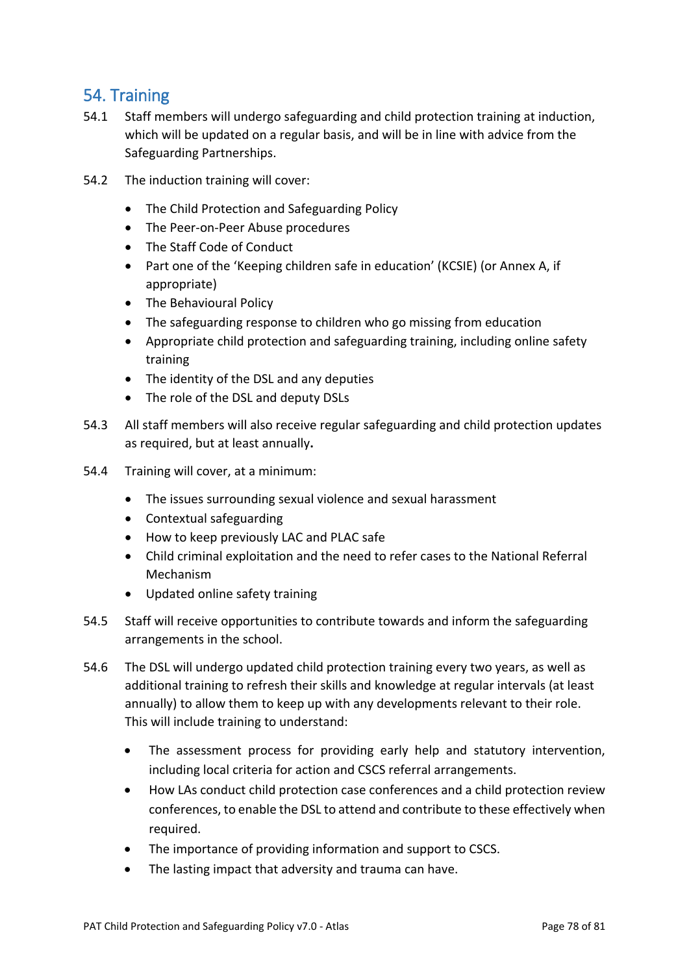### 54. Training

- 54.1 Staff members will undergo safeguarding and child protection training at induction, which will be updated on a regular basis, and will be in line with advice from the Safeguarding Partnerships.
- 54.2 The induction training will cover:
	- The Child Protection and Safeguarding Policy
	- The Peer-on-Peer Abuse procedures
	- The Staff Code of Conduct
	- Part one of the 'Keeping children safe in education' (KCSIE) (or Annex A, if appropriate)
	- The Behavioural Policy
	- The safeguarding response to children who go missing from education
	- Appropriate child protection and safeguarding training, including online safety training
	- The identity of the DSL and any deputies
	- The role of the DSL and deputy DSLs
- 54.3 All staff members will also receive regular safeguarding and child protection updates as required, but at least annually**.**
- 54.4 Training will cover, at a minimum:
	- The issues surrounding sexual violence and sexual harassment
	- Contextual safeguarding
	- How to keep previously LAC and PLAC safe
	- Child criminal exploitation and the need to refer cases to the National Referral Mechanism
	- Updated online safety training
- 54.5 Staff will receive opportunities to contribute towards and inform the safeguarding arrangements in the school.
- 54.6 The DSL will undergo updated child protection training every two years, as well as additional training to refresh their skills and knowledge at regular intervals (at least annually) to allow them to keep up with any developments relevant to their role. This will include training to understand:
	- The assessment process for providing early help and statutory intervention, including local criteria for action and CSCS referral arrangements.
	- How LAs conduct child protection case conferences and a child protection review conferences, to enable the DSL to attend and contribute to these effectively when required.
	- The importance of providing information and support to CSCS.
	- The lasting impact that adversity and trauma can have.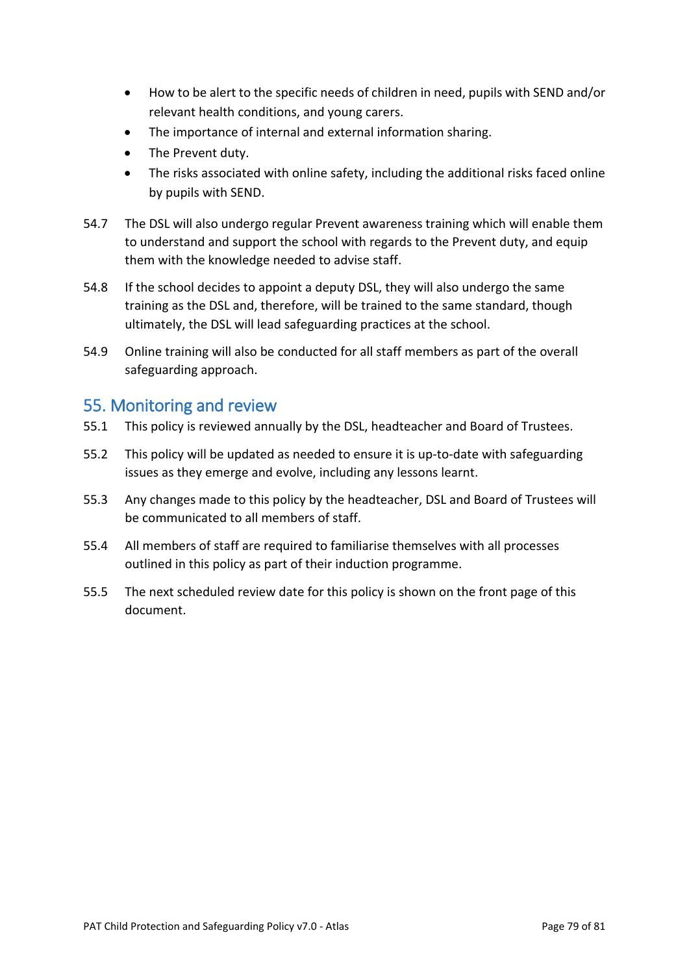- How to be alert to the specific needs of children in need, pupils with SEND and/or relevant health conditions, and young carers.
- The importance of internal and external information sharing.
- The Prevent duty.
- The risks associated with online safety, including the additional risks faced online by pupils with SEND.
- 54.7 The DSL will also undergo regular Prevent awareness training which will enable them to understand and support the school with regards to the Prevent duty, and equip them with the knowledge needed to advise staff.
- 54.8 If the school decides to appoint a deputy DSL, they will also undergo the same training as the DSL and, therefore, will be trained to the same standard, though ultimately, the DSL will lead safeguarding practices at the school.
- 54.9 Online training will also be conducted for all staff members as part of the overall safeguarding approach.

### 55. Monitoring and review

- 55.1 This policy is reviewed annually by the DSL, headteacher and Board of Trustees.
- 55.2 This policy will be updated as needed to ensure it is up-to-date with safeguarding issues as they emerge and evolve, including any lessons learnt.
- 55.3 Any changes made to this policy by the headteacher, DSL and Board of Trustees will be communicated to all members of staff.
- 55.4 All members of staff are required to familiarise themselves with all processes outlined in this policy as part of their induction programme.
- 55.5 The next scheduled review date for this policy is shown on the front page of this document.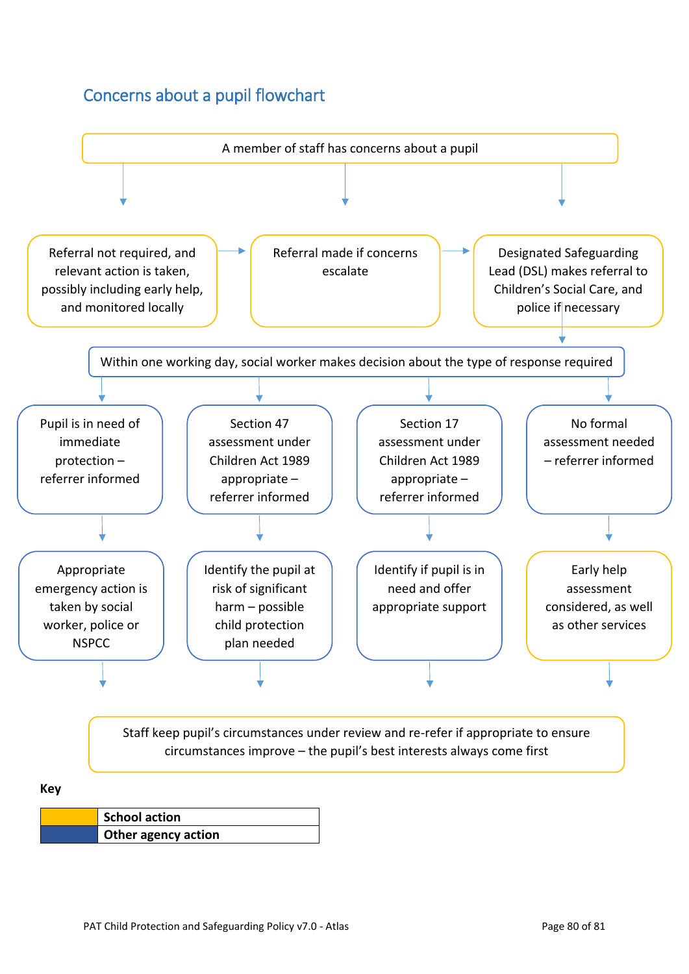## Concerns about a pupil flowchart